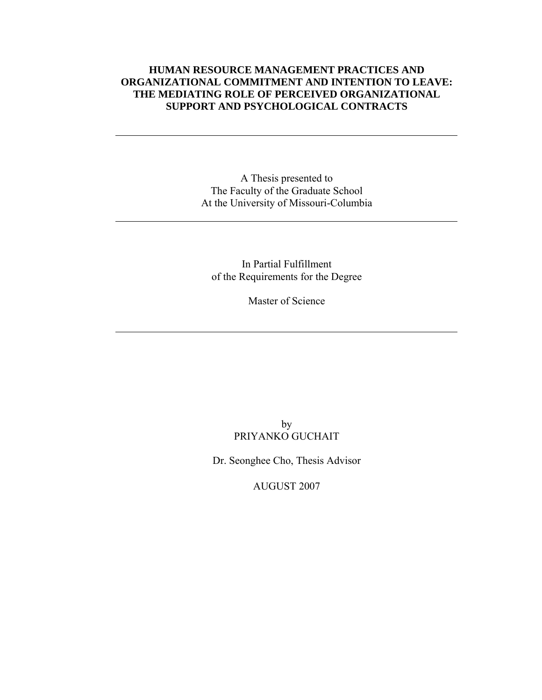## **HUMAN RESOURCE MANAGEMENT PRACTICES AND ORGANIZATIONAL COMMITMENT AND INTENTION TO LEAVE: THE MEDIATING ROLE OF PERCEIVED ORGANIZATIONAL SUPPORT AND PSYCHOLOGICAL CONTRACTS**

A Thesis presented to The Faculty of the Graduate School At the University of Missouri-Columbia

In Partial Fulfillment of the Requirements for the Degree

Master of Science

## by PRIYANKO GUCHAIT

Dr. Seonghee Cho, Thesis Advisor

AUGUST 2007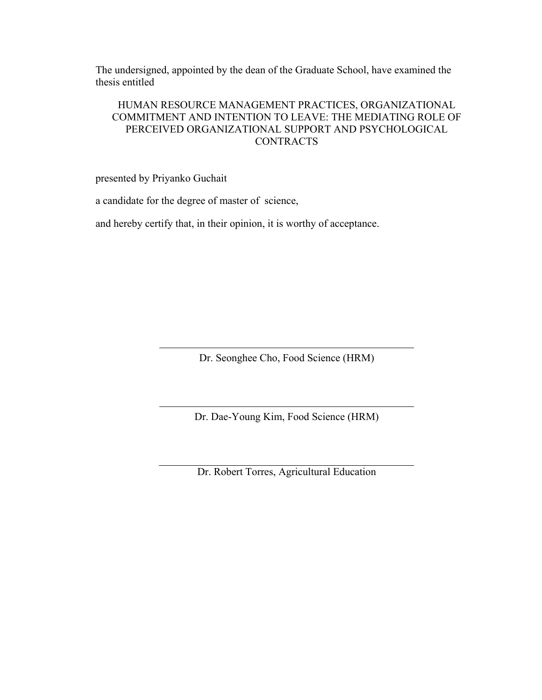The undersigned, appointed by the dean of the Graduate School, have examined the thesis entitled

## HUMAN RESOURCE MANAGEMENT PRACTICES, ORGANIZATIONAL COMMITMENT AND INTENTION TO LEAVE: THE MEDIATING ROLE OF PERCEIVED ORGANIZATIONAL SUPPORT AND PSYCHOLOGICAL **CONTRACTS**

presented by Priyanko Guchait

a candidate for the degree of master of science,

and hereby certify that, in their opinion, it is worthy of acceptance.

Dr. Seonghee Cho, Food Science (HRM)

Dr. Dae-Young Kim, Food Science (HRM)

Dr. Robert Torres, Agricultural Education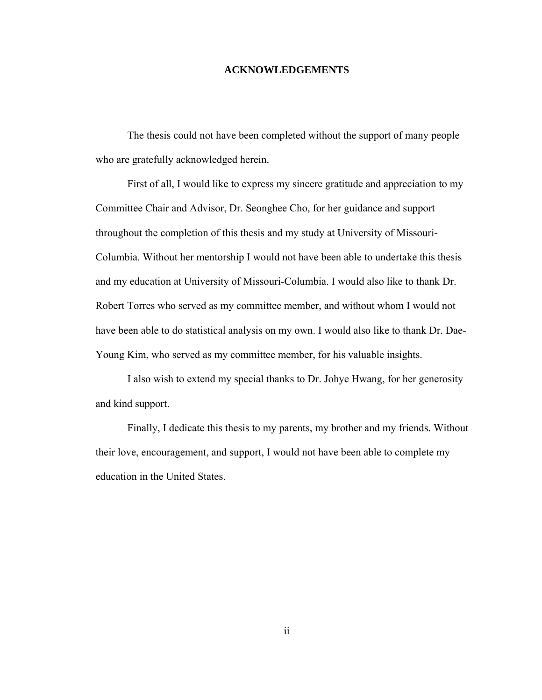#### **ACKNOWLEDGEMENTS**

<span id="page-2-0"></span>The thesis could not have been completed without the support of many people who are gratefully acknowledged herein.

First of all, I would like to express my sincere gratitude and appreciation to my Committee Chair and Advisor, Dr. Seonghee Cho, for her guidance and support throughout the completion of this thesis and my study at University of Missouri-Columbia. Without her mentorship I would not have been able to undertake this thesis and my education at University of Missouri-Columbia. I would also like to thank Dr. Robert Torres who served as my committee member, and without whom I would not have been able to do statistical analysis on my own. I would also like to thank Dr. Dae-Young Kim, who served as my committee member, for his valuable insights.

I also wish to extend my special thanks to Dr. Johye Hwang, for her generosity and kind support.

Finally, I dedicate this thesis to my parents, my brother and my friends. Without their love, encouragement, and support, I would not have been able to complete my education in the United States.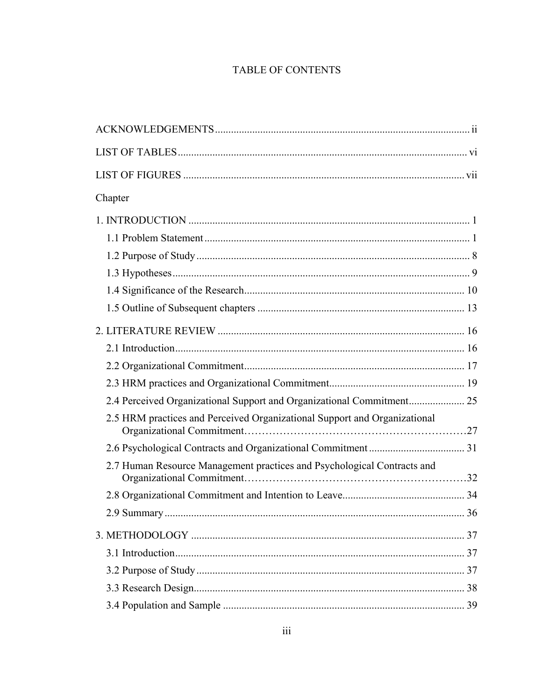# TABLE OF CONTENTS

| Chapter                                                                   |  |
|---------------------------------------------------------------------------|--|
|                                                                           |  |
|                                                                           |  |
|                                                                           |  |
|                                                                           |  |
|                                                                           |  |
|                                                                           |  |
|                                                                           |  |
|                                                                           |  |
|                                                                           |  |
|                                                                           |  |
| 2.4 Perceived Organizational Support and Organizational Commitment 25     |  |
| 2.5 HRM practices and Perceived Organizational Support and Organizational |  |
|                                                                           |  |
| 2.7 Human Resource Management practices and Psychological Contracts and   |  |
|                                                                           |  |
|                                                                           |  |
|                                                                           |  |
|                                                                           |  |
|                                                                           |  |
|                                                                           |  |
|                                                                           |  |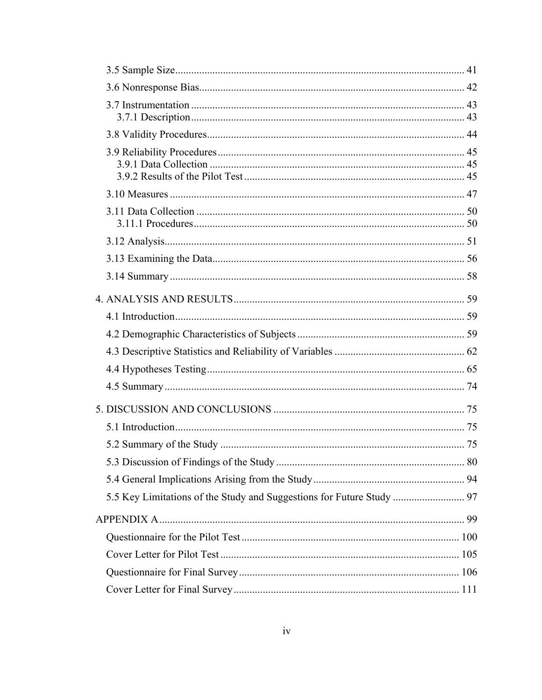| 5.5 Key Limitations of the Study and Suggestions for Future Study  97 |  |
|-----------------------------------------------------------------------|--|
|                                                                       |  |
|                                                                       |  |
|                                                                       |  |
|                                                                       |  |
|                                                                       |  |
|                                                                       |  |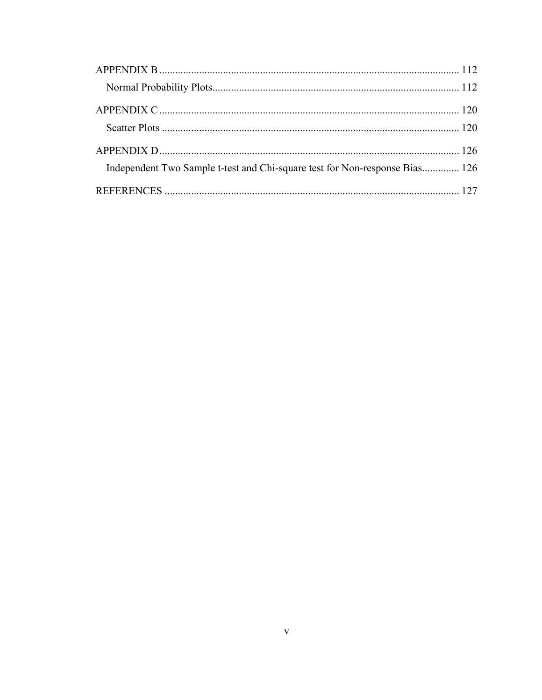| Independent Two Sample t-test and Chi-square test for Non-response Bias 126 |  |
|-----------------------------------------------------------------------------|--|
|                                                                             |  |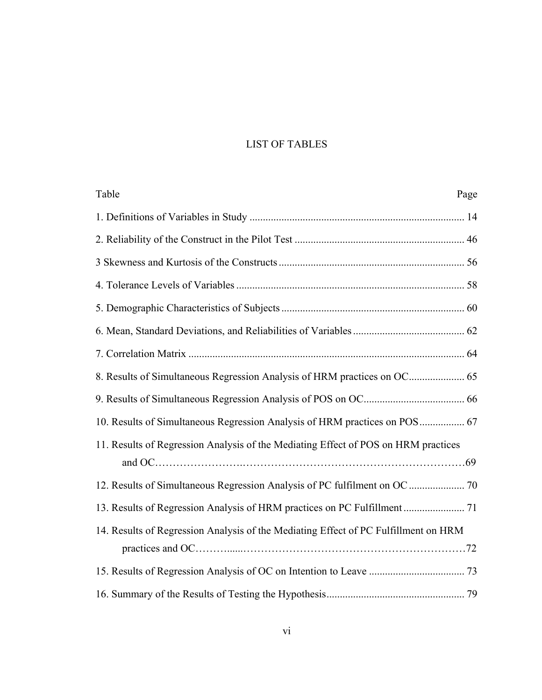# LIST OF TABLES

<span id="page-6-0"></span>

| Table                                                                               | Page |
|-------------------------------------------------------------------------------------|------|
|                                                                                     |      |
|                                                                                     |      |
|                                                                                     |      |
|                                                                                     |      |
|                                                                                     |      |
|                                                                                     |      |
|                                                                                     |      |
|                                                                                     |      |
|                                                                                     |      |
| 10. Results of Simultaneous Regression Analysis of HRM practices on POS  67         |      |
| 11. Results of Regression Analysis of the Mediating Effect of POS on HRM practices  |      |
|                                                                                     |      |
|                                                                                     |      |
| 13. Results of Regression Analysis of HRM practices on PC Fulfillment  71           |      |
| 14. Results of Regression Analysis of the Mediating Effect of PC Fulfillment on HRM |      |
|                                                                                     |      |
|                                                                                     |      |
|                                                                                     |      |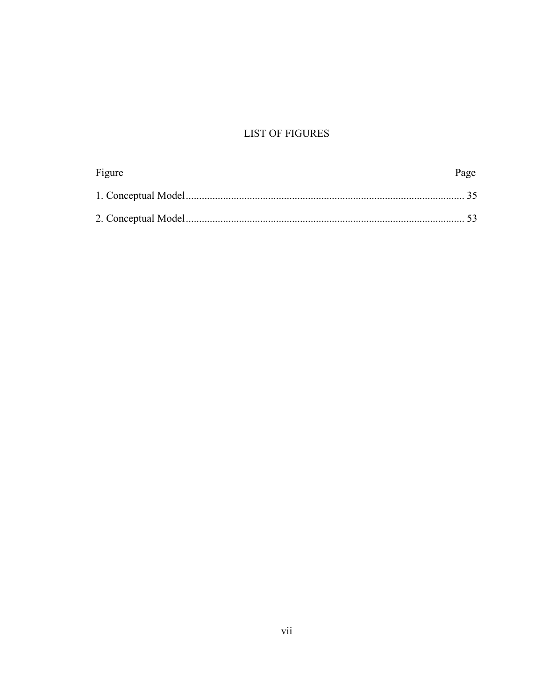# **LIST OF FIGURES**

<span id="page-7-0"></span>

| Figure | Page |
|--------|------|
|        |      |
|        |      |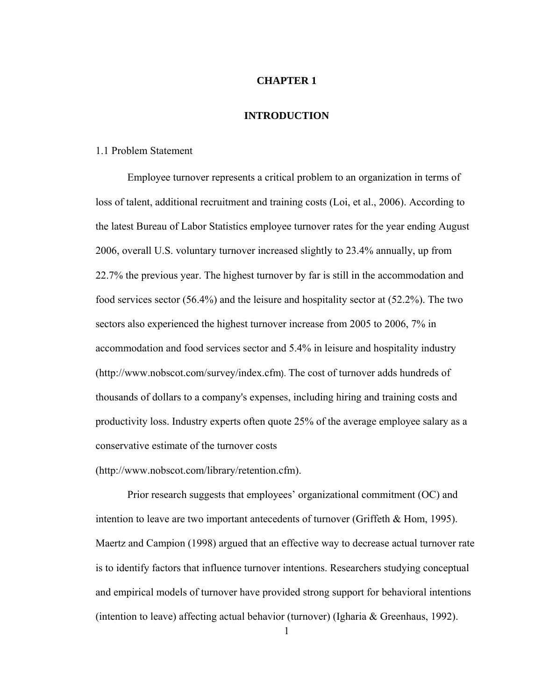#### **CHAPTER 1**

### **INTRODUCTION**

#### <span id="page-8-0"></span>1.1 Problem Statement

Employee turnover represents a critical problem to an organization in terms of loss of talent, additional recruitment and training costs (Loi, et al., 2006). According to the latest Bureau of Labor Statistics employee turnover rates for the year ending August 2006, overall U.S. voluntary turnover increased slightly to 23.4% annually, up from 22.7% the previous year. The highest turnover by far is still in the accommodation and food services sector (56.4%) and the leisure and hospitality sector at (52.2%). The two sectors also experienced the highest turnover increase from 2005 to 2006, 7% in accommodation and food services sector and 5.4% in leisure and hospitality industry (http://www.nobscot.com/survey/index.cfm). The cost of turnover adds hundreds of thousands of dollars to a company's expenses, including hiring and training costs and productivity loss. Industry experts often quote 25% of the average employee salary as a conservative estimate of the turnover costs

(http://www.nobscot.com/library/retention.cfm).

Prior research suggests that employees' organizational commitment (OC) and intention to leave are two important antecedents of turnover (Griffeth & Hom, 1995). Maertz and Campion (1998) argued that an effective way to decrease actual turnover rate is to identify factors that influence turnover intentions. Researchers studying conceptual and empirical models of turnover have provided strong support for behavioral intentions (intention to leave) affecting actual behavior (turnover) (Igharia & Greenhaus, 1992).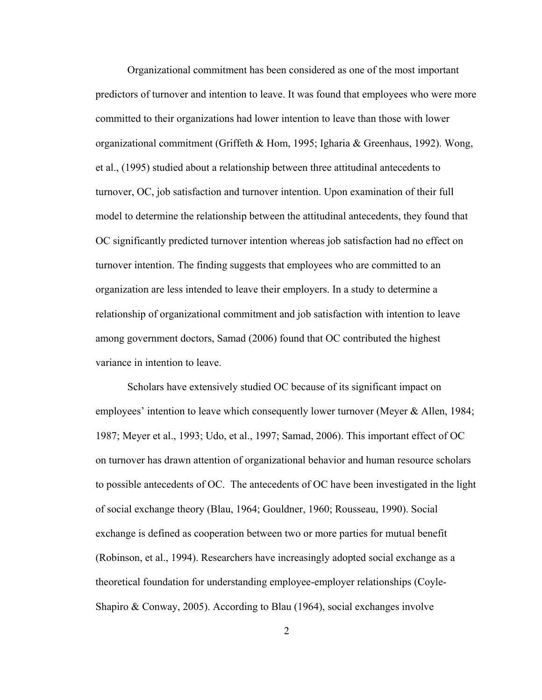Organizational commitment has been considered as one of the most important predictors of turnover and intention to leave. It was found that employees who were more committed to their organizations had lower intention to leave than those with lower organizational commitment (Griffeth & Hom, 1995; Igharia & Greenhaus, 1992). Wong, et al., (1995) studied about a relationship between three attitudinal antecedents to turnover, OC, job satisfaction and turnover intention. Upon examination of their full model to determine the relationship between the attitudinal antecedents, they found that OC significantly predicted turnover intention whereas job satisfaction had no effect on turnover intention. The finding suggests that employees who are committed to an organization are less intended to leave their employers. In a study to determine a relationship of organizational commitment and job satisfaction with intention to leave among government doctors, Samad (2006) found that OC contributed the highest variance in intention to leave.

Scholars have extensively studied OC because of its significant impact on employees' intention to leave which consequently lower turnover (Meyer & Allen, 1984; 1987; Meyer et al., 1993; Udo, et al., 1997; Samad, 2006). This important effect of OC on turnover has drawn attention of organizational behavior and human resource scholars to possible antecedents of OC. The antecedents of OC have been investigated in the light of social exchange theory (Blau, 1964; Gouldner, 1960; Rousseau, 1990). Social exchange is defined as cooperation between two or more parties for mutual benefit (Robinson, et al., 1994). Researchers have increasingly adopted social exchange as a theoretical foundation for understanding employee-employer relationships (Coyle-Shapiro & Conway, 2005). According to Blau (1964), social exchanges involve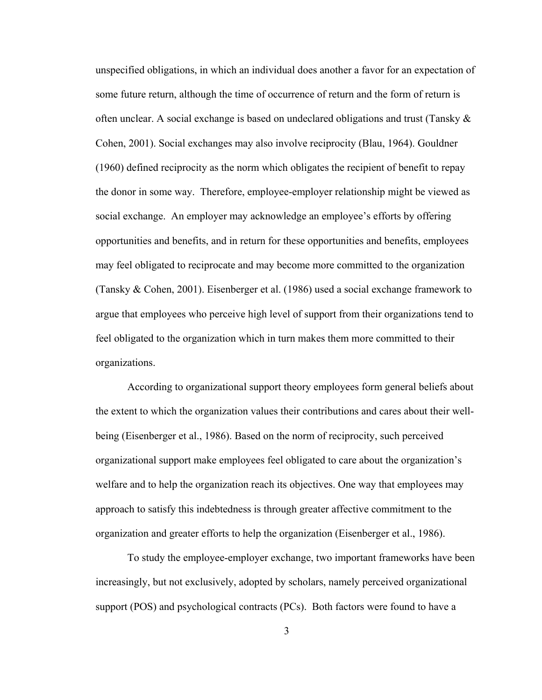unspecified obligations, in which an individual does another a favor for an expectation of some future return, although the time of occurrence of return and the form of return is often unclear. A social exchange is based on undeclared obligations and trust (Tansky & Cohen, 2001). Social exchanges may also involve reciprocity (Blau, 1964). Gouldner (1960) defined reciprocity as the norm which obligates the recipient of benefit to repay the donor in some way. Therefore, employee-employer relationship might be viewed as social exchange. An employer may acknowledge an employee's efforts by offering opportunities and benefits, and in return for these opportunities and benefits, employees may feel obligated to reciprocate and may become more committed to the organization (Tansky & Cohen, 2001). Eisenberger et al. (1986) used a social exchange framework to argue that employees who perceive high level of support from their organizations tend to feel obligated to the organization which in turn makes them more committed to their organizations.

According to organizational support theory employees form general beliefs about the extent to which the organization values their contributions and cares about their wellbeing (Eisenberger et al., 1986). Based on the norm of reciprocity, such perceived organizational support make employees feel obligated to care about the organization's welfare and to help the organization reach its objectives. One way that employees may approach to satisfy this indebtedness is through greater affective commitment to the organization and greater efforts to help the organization (Eisenberger et al., 1986).

To study the employee-employer exchange, two important frameworks have been increasingly, but not exclusively, adopted by scholars, namely perceived organizational support (POS) and psychological contracts (PCs). Both factors were found to have a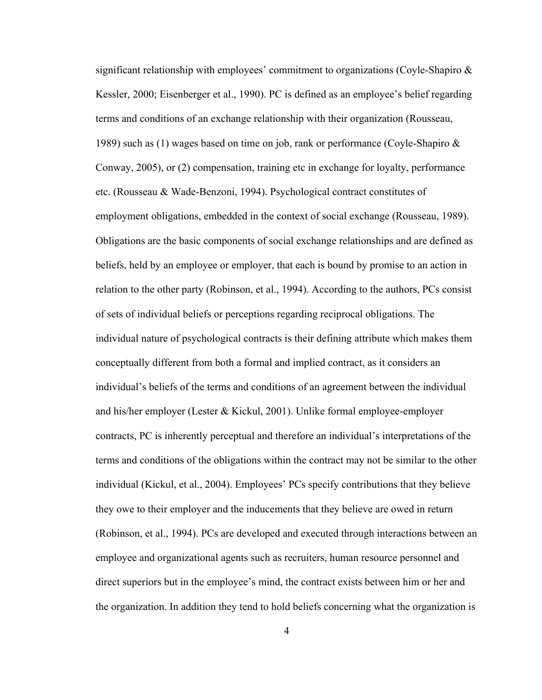significant relationship with employees' commitment to organizations (Coyle-Shapiro & Kessler, 2000; Eisenberger et al., 1990). PC is defined as an employee's belief regarding terms and conditions of an exchange relationship with their organization (Rousseau, 1989) such as (1) wages based on time on job, rank or performance (Coyle-Shapiro & Conway, 2005), or (2) compensation, training etc in exchange for loyalty, performance etc. (Rousseau & Wade-Benzoni, 1994). Psychological contract constitutes of employment obligations, embedded in the context of social exchange (Rousseau, 1989). Obligations are the basic components of social exchange relationships and are defined as beliefs, held by an employee or employer, that each is bound by promise to an action in relation to the other party (Robinson, et al., 1994). According to the authors, PCs consist of sets of individual beliefs or perceptions regarding reciprocal obligations. The individual nature of psychological contracts is their defining attribute which makes them conceptually different from both a formal and implied contract, as it considers an individual's beliefs of the terms and conditions of an agreement between the individual and his/her employer (Lester & Kickul, 2001). Unlike formal employee-employer contracts, PC is inherently perceptual and therefore an individual's interpretations of the terms and conditions of the obligations within the contract may not be similar to the other individual (Kickul, et al., 2004). Employees' PCs specify contributions that they believe they owe to their employer and the inducements that they believe are owed in return (Robinson, et al., 1994). PCs are developed and executed through interactions between an employee and organizational agents such as recruiters, human resource personnel and direct superiors but in the employee's mind, the contract exists between him or her and the organization. In addition they tend to hold beliefs concerning what the organization is

4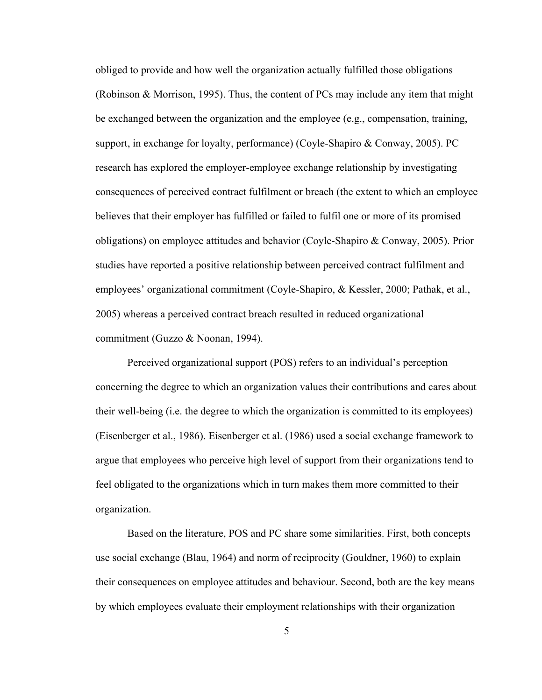obliged to provide and how well the organization actually fulfilled those obligations (Robinson & Morrison, 1995). Thus, the content of PCs may include any item that might be exchanged between the organization and the employee (e.g., compensation, training, support, in exchange for loyalty, performance) (Coyle-Shapiro & Conway, 2005). PC research has explored the employer-employee exchange relationship by investigating consequences of perceived contract fulfilment or breach (the extent to which an employee believes that their employer has fulfilled or failed to fulfil one or more of its promised obligations) on employee attitudes and behavior (Coyle-Shapiro & Conway, 2005). Prior studies have reported a positive relationship between perceived contract fulfilment and employees' organizational commitment (Coyle-Shapiro, & Kessler, 2000; Pathak, et al., 2005) whereas a perceived contract breach resulted in reduced organizational commitment (Guzzo & Noonan, 1994).

Perceived organizational support (POS) refers to an individual's perception concerning the degree to which an organization values their contributions and cares about their well-being (i.e. the degree to which the organization is committed to its employees) (Eisenberger et al., 1986). Eisenberger et al. (1986) used a social exchange framework to argue that employees who perceive high level of support from their organizations tend to feel obligated to the organizations which in turn makes them more committed to their organization.

Based on the literature, POS and PC share some similarities. First, both concepts use social exchange (Blau, 1964) and norm of reciprocity (Gouldner, 1960) to explain their consequences on employee attitudes and behaviour. Second, both are the key means by which employees evaluate their employment relationships with their organization

5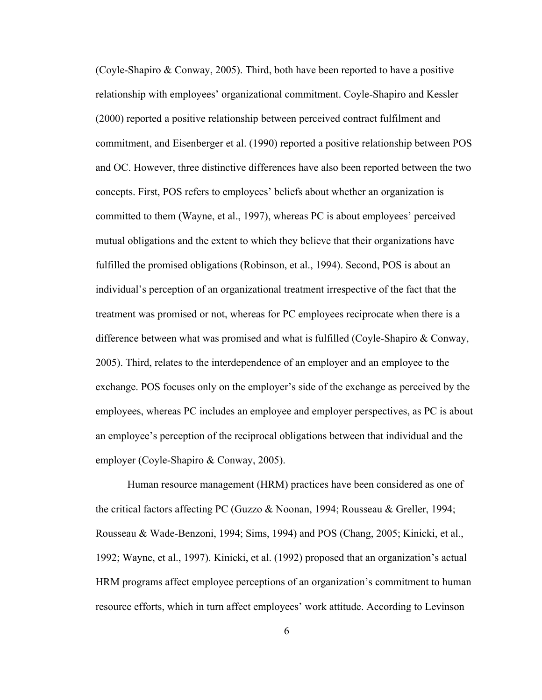(Coyle-Shapiro & Conway, 2005). Third, both have been reported to have a positive relationship with employees' organizational commitment. Coyle-Shapiro and Kessler (2000) reported a positive relationship between perceived contract fulfilment and commitment, and Eisenberger et al. (1990) reported a positive relationship between POS and OC. However, three distinctive differences have also been reported between the two concepts. First, POS refers to employees' beliefs about whether an organization is committed to them (Wayne, et al., 1997), whereas PC is about employees' perceived mutual obligations and the extent to which they believe that their organizations have fulfilled the promised obligations (Robinson, et al., 1994). Second, POS is about an individual's perception of an organizational treatment irrespective of the fact that the treatment was promised or not, whereas for PC employees reciprocate when there is a difference between what was promised and what is fulfilled (Coyle-Shapiro & Conway, 2005). Third, relates to the interdependence of an employer and an employee to the exchange. POS focuses only on the employer's side of the exchange as perceived by the employees, whereas PC includes an employee and employer perspectives, as PC is about an employee's perception of the reciprocal obligations between that individual and the employer (Coyle-Shapiro & Conway, 2005).

Human resource management (HRM) practices have been considered as one of the critical factors affecting PC (Guzzo & Noonan, 1994; Rousseau & Greller, 1994; Rousseau & Wade-Benzoni, 1994; Sims, 1994) and POS (Chang, 2005; Kinicki, et al., 1992; Wayne, et al., 1997). Kinicki, et al. (1992) proposed that an organization's actual HRM programs affect employee perceptions of an organization's commitment to human resource efforts, which in turn affect employees' work attitude. According to Levinson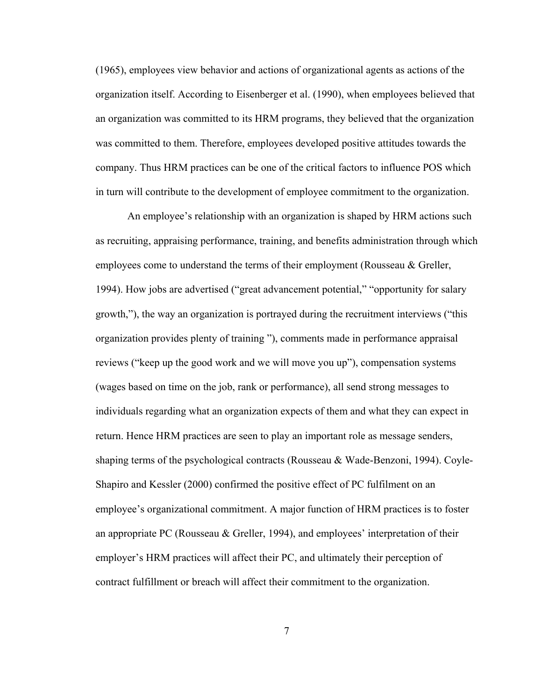(1965), employees view behavior and actions of organizational agents as actions of the organization itself. According to Eisenberger et al. (1990), when employees believed that an organization was committed to its HRM programs, they believed that the organization was committed to them. Therefore, employees developed positive attitudes towards the company. Thus HRM practices can be one of the critical factors to influence POS which in turn will contribute to the development of employee commitment to the organization.

An employee's relationship with an organization is shaped by HRM actions such as recruiting, appraising performance, training, and benefits administration through which employees come to understand the terms of their employment (Rousseau & Greller, 1994). How jobs are advertised ("great advancement potential," "opportunity for salary growth,"), the way an organization is portrayed during the recruitment interviews ("this organization provides plenty of training "), comments made in performance appraisal reviews ("keep up the good work and we will move you up"), compensation systems (wages based on time on the job, rank or performance), all send strong messages to individuals regarding what an organization expects of them and what they can expect in return. Hence HRM practices are seen to play an important role as message senders, shaping terms of the psychological contracts (Rousseau & Wade-Benzoni, 1994). Coyle-Shapiro and Kessler (2000) confirmed the positive effect of PC fulfilment on an employee's organizational commitment. A major function of HRM practices is to foster an appropriate PC (Rousseau & Greller, 1994), and employees' interpretation of their employer's HRM practices will affect their PC, and ultimately their perception of contract fulfillment or breach will affect their commitment to the organization.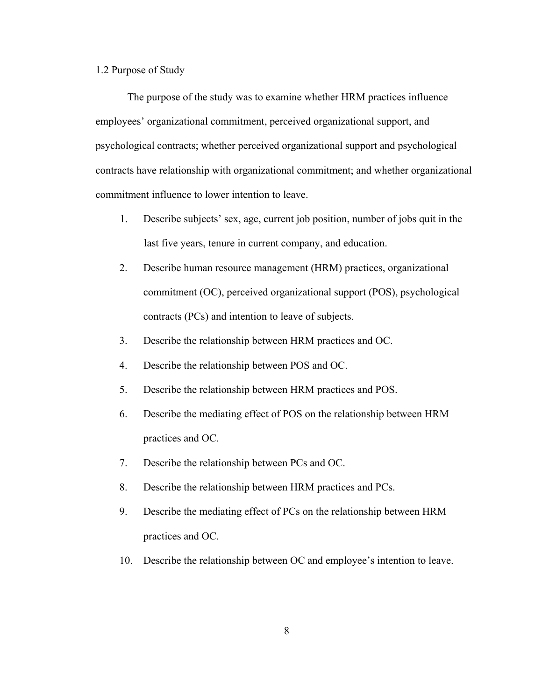#### <span id="page-15-0"></span>1.2 Purpose of Study

The purpose of the study was to examine whether HRM practices influence employees' organizational commitment, perceived organizational support, and psychological contracts; whether perceived organizational support and psychological contracts have relationship with organizational commitment; and whether organizational commitment influence to lower intention to leave.

- 1. Describe subjects' sex, age, current job position, number of jobs quit in the last five years, tenure in current company, and education.
- 2. Describe human resource management (HRM) practices, organizational commitment (OC), perceived organizational support (POS), psychological contracts (PCs) and intention to leave of subjects.
- 3. Describe the relationship between HRM practices and OC.
- 4. Describe the relationship between POS and OC.
- 5. Describe the relationship between HRM practices and POS.
- 6. Describe the mediating effect of POS on the relationship between HRM practices and OC.
- 7. Describe the relationship between PCs and OC.
- 8. Describe the relationship between HRM practices and PCs.
- 9. Describe the mediating effect of PCs on the relationship between HRM practices and OC.
- 10. Describe the relationship between OC and employee's intention to leave.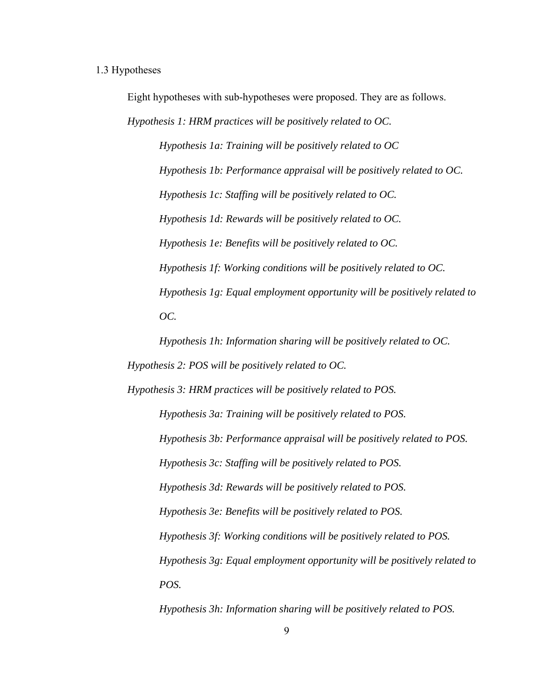### <span id="page-16-0"></span>1.3 Hypotheses

Eight hypotheses with sub-hypotheses were proposed. They are as follows.

*Hypothesis 1: HRM practices will be positively related to OC. Hypothesis 1a: Training will be positively related to OC Hypothesis 1b: Performance appraisal will be positively related to OC. Hypothesis 1c: Staffing will be positively related to OC. Hypothesis 1d: Rewards will be positively related to OC. Hypothesis 1e: Benefits will be positively related to OC. Hypothesis 1f: Working conditions will be positively related to OC. Hypothesis 1g: Equal employment opportunity will be positively related to OC.* 

*Hypothesis 1h: Information sharing will be positively related to OC. Hypothesis 2: POS will be positively related to OC.* 

 *Hypothesis 3: HRM practices will be positively related to POS.* 

*Hypothesis 3a: Training will be positively related to POS. Hypothesis 3b: Performance appraisal will be positively related to POS. Hypothesis 3c: Staffing will be positively related to POS. Hypothesis 3d: Rewards will be positively related to POS. Hypothesis 3e: Benefits will be positively related to POS. Hypothesis 3f: Working conditions will be positively related to POS. Hypothesis 3g: Equal employment opportunity will be positively related to POS.* 

*Hypothesis 3h: Information sharing will be positively related to POS.*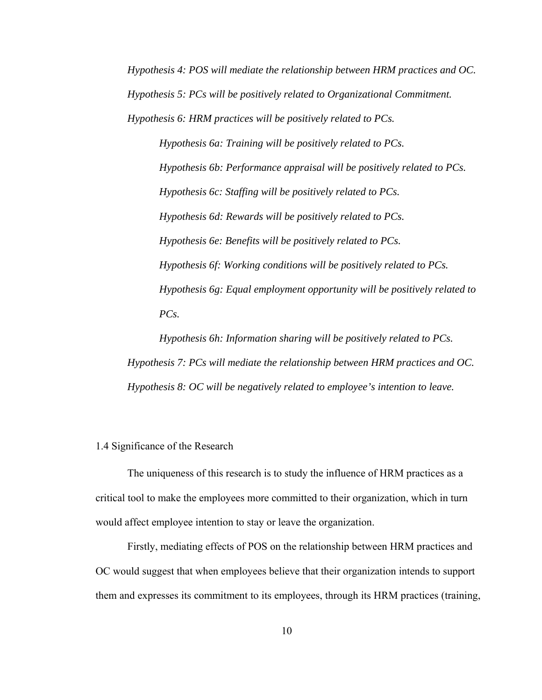<span id="page-17-0"></span>*Hypothesis 4: POS will mediate the relationship between HRM practices and OC. Hypothesis 5: PCs will be positively related to Organizational Commitment. Hypothesis 6: HRM practices will be positively related to PCs. Hypothesis 6a: Training will be positively related to PCs. Hypothesis 6b: Performance appraisal will be positively related to PCs. Hypothesis 6c: Staffing will be positively related to PCs. Hypothesis 6d: Rewards will be positively related to PCs. Hypothesis 6e: Benefits will be positively related to PCs. Hypothesis 6f: Working conditions will be positively related to PCs.* 

*Hypothesis 6g: Equal employment opportunity will be positively related to PCs.* 

*Hypothesis 6h: Information sharing will be positively related to PCs. Hypothesis 7: PCs will mediate the relationship between HRM practices and OC. Hypothesis 8: OC will be negatively related to employee's intention to leave.* 

### 1.4 Significance of the Research

The uniqueness of this research is to study the influence of HRM practices as a critical tool to make the employees more committed to their organization, which in turn would affect employee intention to stay or leave the organization.

Firstly, mediating effects of POS on the relationship between HRM practices and OC would suggest that when employees believe that their organization intends to support them and expresses its commitment to its employees, through its HRM practices (training,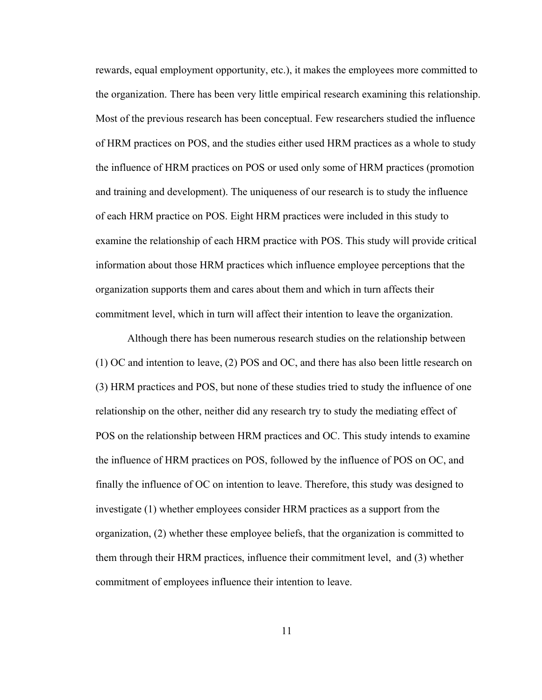rewards, equal employment opportunity, etc.), it makes the employees more committed to the organization. There has been very little empirical research examining this relationship. Most of the previous research has been conceptual. Few researchers studied the influence of HRM practices on POS, and the studies either used HRM practices as a whole to study the influence of HRM practices on POS or used only some of HRM practices (promotion and training and development). The uniqueness of our research is to study the influence of each HRM practice on POS. Eight HRM practices were included in this study to examine the relationship of each HRM practice with POS. This study will provide critical information about those HRM practices which influence employee perceptions that the organization supports them and cares about them and which in turn affects their commitment level, which in turn will affect their intention to leave the organization.

Although there has been numerous research studies on the relationship between (1) OC and intention to leave, (2) POS and OC, and there has also been little research on (3) HRM practices and POS, but none of these studies tried to study the influence of one relationship on the other, neither did any research try to study the mediating effect of POS on the relationship between HRM practices and OC. This study intends to examine the influence of HRM practices on POS, followed by the influence of POS on OC, and finally the influence of OC on intention to leave. Therefore, this study was designed to investigate (1) whether employees consider HRM practices as a support from the organization, (2) whether these employee beliefs, that the organization is committed to them through their HRM practices, influence their commitment level, and (3) whether commitment of employees influence their intention to leave.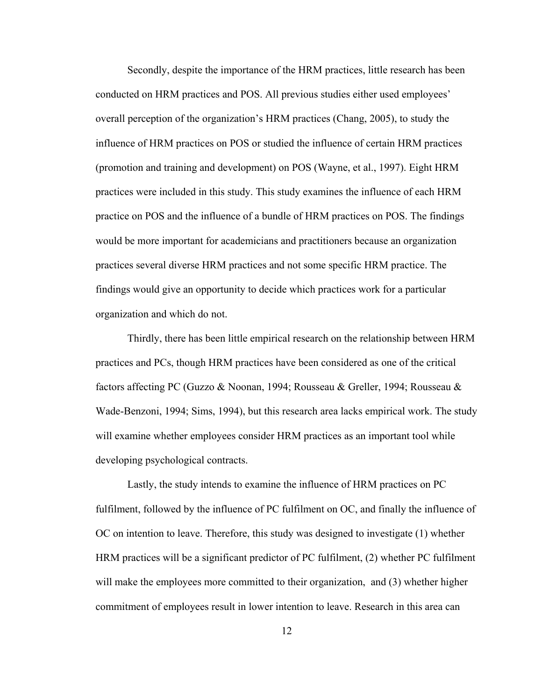Secondly, despite the importance of the HRM practices, little research has been conducted on HRM practices and POS. All previous studies either used employees' overall perception of the organization's HRM practices (Chang, 2005), to study the influence of HRM practices on POS or studied the influence of certain HRM practices (promotion and training and development) on POS (Wayne, et al., 1997). Eight HRM practices were included in this study. This study examines the influence of each HRM practice on POS and the influence of a bundle of HRM practices on POS. The findings would be more important for academicians and practitioners because an organization practices several diverse HRM practices and not some specific HRM practice. The findings would give an opportunity to decide which practices work for a particular organization and which do not.

Thirdly, there has been little empirical research on the relationship between HRM practices and PCs, though HRM practices have been considered as one of the critical factors affecting PC (Guzzo & Noonan, 1994; Rousseau & Greller, 1994; Rousseau & Wade-Benzoni, 1994; Sims, 1994), but this research area lacks empirical work. The study will examine whether employees consider HRM practices as an important tool while developing psychological contracts.

Lastly, the study intends to examine the influence of HRM practices on PC fulfilment, followed by the influence of PC fulfilment on OC, and finally the influence of OC on intention to leave. Therefore, this study was designed to investigate (1) whether HRM practices will be a significant predictor of PC fulfilment, (2) whether PC fulfilment will make the employees more committed to their organization, and (3) whether higher commitment of employees result in lower intention to leave. Research in this area can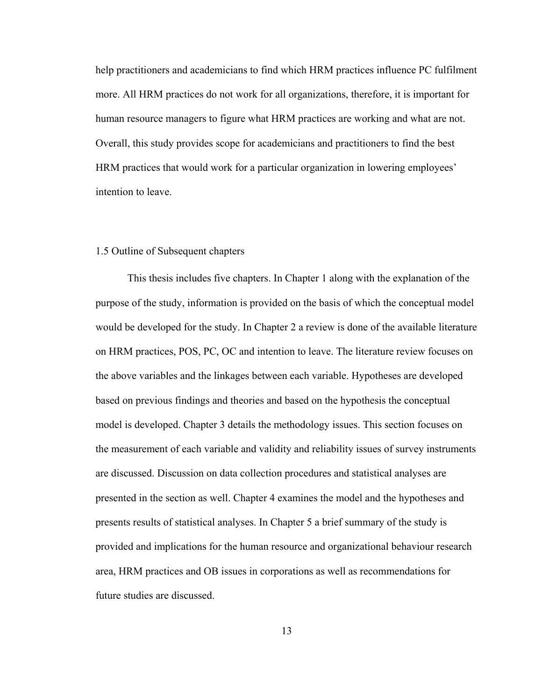<span id="page-20-0"></span>help practitioners and academicians to find which HRM practices influence PC fulfilment more. All HRM practices do not work for all organizations, therefore, it is important for human resource managers to figure what HRM practices are working and what are not. Overall, this study provides scope for academicians and practitioners to find the best HRM practices that would work for a particular organization in lowering employees' intention to leave.

#### 1.5 Outline of Subsequent chapters

This thesis includes five chapters. In Chapter 1 along with the explanation of the purpose of the study, information is provided on the basis of which the conceptual model would be developed for the study. In Chapter 2 a review is done of the available literature on HRM practices, POS, PC, OC and intention to leave. The literature review focuses on the above variables and the linkages between each variable. Hypotheses are developed based on previous findings and theories and based on the hypothesis the conceptual model is developed. Chapter 3 details the methodology issues. This section focuses on the measurement of each variable and validity and reliability issues of survey instruments are discussed. Discussion on data collection procedures and statistical analyses are presented in the section as well. Chapter 4 examines the model and the hypotheses and presents results of statistical analyses. In Chapter 5 a brief summary of the study is provided and implications for the human resource and organizational behaviour research area, HRM practices and OB issues in corporations as well as recommendations for future studies are discussed.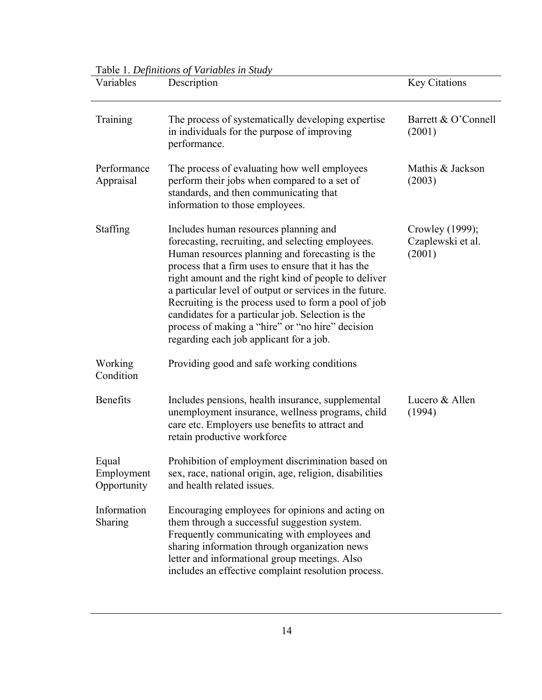| Variables                          | acre 1. Definitions of variables in Sim<br>Description                                                                                                                                                                                                                                                                                                                                                                                                                                                                             | <b>Key Citations</b>                           |
|------------------------------------|------------------------------------------------------------------------------------------------------------------------------------------------------------------------------------------------------------------------------------------------------------------------------------------------------------------------------------------------------------------------------------------------------------------------------------------------------------------------------------------------------------------------------------|------------------------------------------------|
| Training                           | The process of systematically developing expertise<br>in individuals for the purpose of improving<br>performance.                                                                                                                                                                                                                                                                                                                                                                                                                  | Barrett & O'Connell<br>(2001)                  |
| Performance<br>Appraisal           | The process of evaluating how well employees<br>perform their jobs when compared to a set of<br>standards, and then communicating that<br>information to those employees.                                                                                                                                                                                                                                                                                                                                                          | Mathis & Jackson<br>(2003)                     |
| Staffing                           | Includes human resources planning and<br>forecasting, recruiting, and selecting employees.<br>Human resources planning and forecasting is the<br>process that a firm uses to ensure that it has the<br>right amount and the right kind of people to deliver<br>a particular level of output or services in the future.<br>Recruiting is the process used to form a pool of job<br>candidates for a particular job. Selection is the<br>process of making a "hire" or "no hire" decision<br>regarding each job applicant for a job. | Crowley (1999);<br>Czaplewski et al.<br>(2001) |
| Working<br>Condition               | Providing good and safe working conditions                                                                                                                                                                                                                                                                                                                                                                                                                                                                                         |                                                |
| <b>Benefits</b>                    | Includes pensions, health insurance, supplemental<br>unemployment insurance, wellness programs, child<br>care etc. Employers use benefits to attract and<br>retain productive workforce                                                                                                                                                                                                                                                                                                                                            | Lucero & Allen<br>(1994)                       |
| Equal<br>Employment<br>Opportunity | Prohibition of employment discrimination based on<br>sex, race, national origin, age, religion, disabilities<br>and health related issues.                                                                                                                                                                                                                                                                                                                                                                                         |                                                |
| Information<br>Sharing             | Encouraging employees for opinions and acting on<br>them through a successful suggestion system.<br>Frequently communicating with employees and<br>sharing information through organization news<br>letter and informational group meetings. Also<br>includes an effective complaint resolution process.                                                                                                                                                                                                                           |                                                |

Table 1. *Definitions of Variables in Study*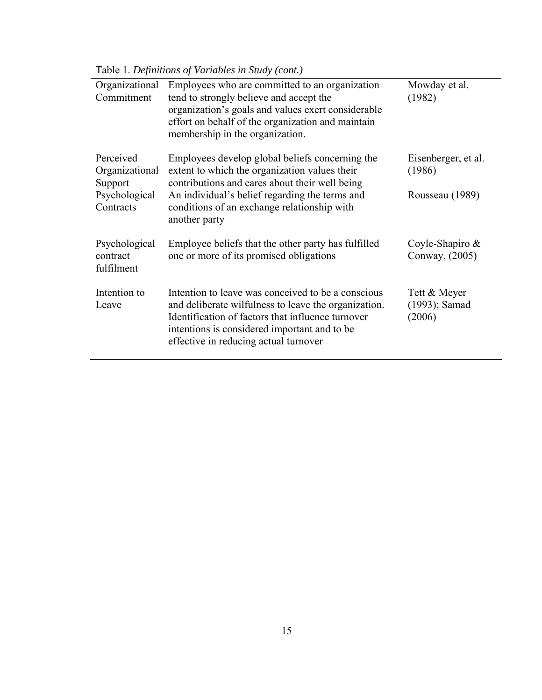Table 1. *Definitions of Variables in Study (cont.)*

| Organizational<br>Commitment                                         | Employees who are committed to an organization<br>tend to strongly believe and accept the<br>organization's goals and values exert considerable<br>effort on behalf of the organization and maintain<br>membership in the organization.                              | Mowday et al.<br>(1982)                          |
|----------------------------------------------------------------------|----------------------------------------------------------------------------------------------------------------------------------------------------------------------------------------------------------------------------------------------------------------------|--------------------------------------------------|
| Perceived<br>Organizational<br>Support<br>Psychological<br>Contracts | Employees develop global beliefs concerning the<br>extent to which the organization values their<br>contributions and cares about their well being<br>An individual's belief regarding the terms and<br>conditions of an exchange relationship with<br>another party | Eisenberger, et al.<br>(1986)<br>Rousseau (1989) |
| Psychological<br>contract<br>fulfilment                              | Employee beliefs that the other party has fulfilled<br>one or more of its promised obligations                                                                                                                                                                       | Coyle-Shapiro $&$<br>Conway, (2005)              |
| Intention to<br>Leave                                                | Intention to leave was conceived to be a conscious<br>and deliberate wilfulness to leave the organization.<br>Identification of factors that influence turnover<br>intentions is considered important and to be<br>effective in reducing actual turnover             | Tett & Meyer<br>(1993); Samad<br>(2006)          |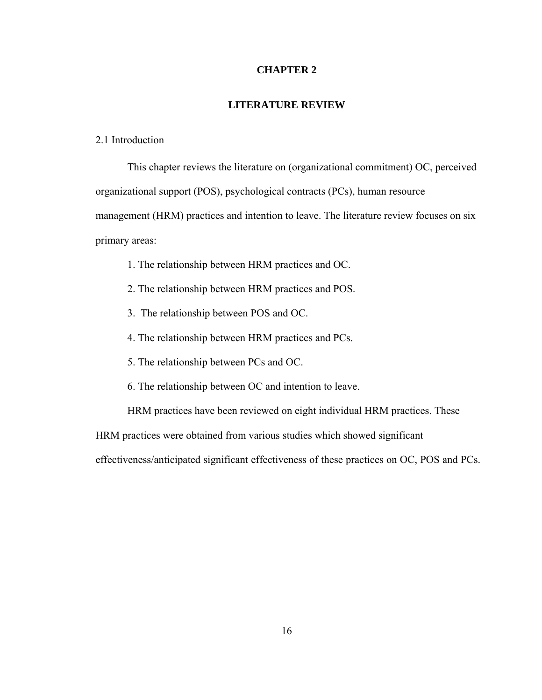#### **CHAPTER 2**

#### **LITERATURE REVIEW**

### <span id="page-23-0"></span>2.1 Introduction

This chapter reviews the literature on (organizational commitment) OC, perceived organizational support (POS), psychological contracts (PCs), human resource management (HRM) practices and intention to leave. The literature review focuses on six primary areas:

- 1. The relationship between HRM practices and OC.
- 2. The relationship between HRM practices and POS.
- 3. The relationship between POS and OC.
- 4. The relationship between HRM practices and PCs.
- 5. The relationship between PCs and OC.
- 6. The relationship between OC and intention to leave.

HRM practices have been reviewed on eight individual HRM practices. These

HRM practices were obtained from various studies which showed significant

effectiveness/anticipated significant effectiveness of these practices on OC, POS and PCs.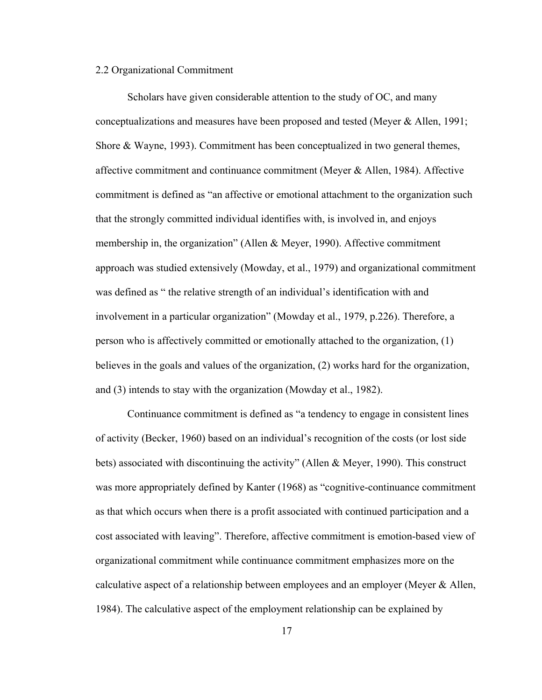#### <span id="page-24-0"></span>2.2 Organizational Commitment

Scholars have given considerable attention to the study of OC, and many conceptualizations and measures have been proposed and tested (Meyer & Allen, 1991; Shore & Wayne, 1993). Commitment has been conceptualized in two general themes, affective commitment and continuance commitment (Meyer & Allen, 1984). Affective commitment is defined as "an affective or emotional attachment to the organization such that the strongly committed individual identifies with, is involved in, and enjoys membership in, the organization" (Allen & Meyer, 1990). Affective commitment approach was studied extensively (Mowday, et al., 1979) and organizational commitment was defined as " the relative strength of an individual's identification with and involvement in a particular organization" (Mowday et al., 1979, p.226). Therefore, a person who is affectively committed or emotionally attached to the organization, (1) believes in the goals and values of the organization, (2) works hard for the organization, and (3) intends to stay with the organization (Mowday et al., 1982).

Continuance commitment is defined as "a tendency to engage in consistent lines of activity (Becker, 1960) based on an individual's recognition of the costs (or lost side bets) associated with discontinuing the activity" (Allen & Meyer, 1990). This construct was more appropriately defined by Kanter (1968) as "cognitive-continuance commitment as that which occurs when there is a profit associated with continued participation and a cost associated with leaving". Therefore, affective commitment is emotion-based view of organizational commitment while continuance commitment emphasizes more on the calculative aspect of a relationship between employees and an employer (Meyer & Allen, 1984). The calculative aspect of the employment relationship can be explained by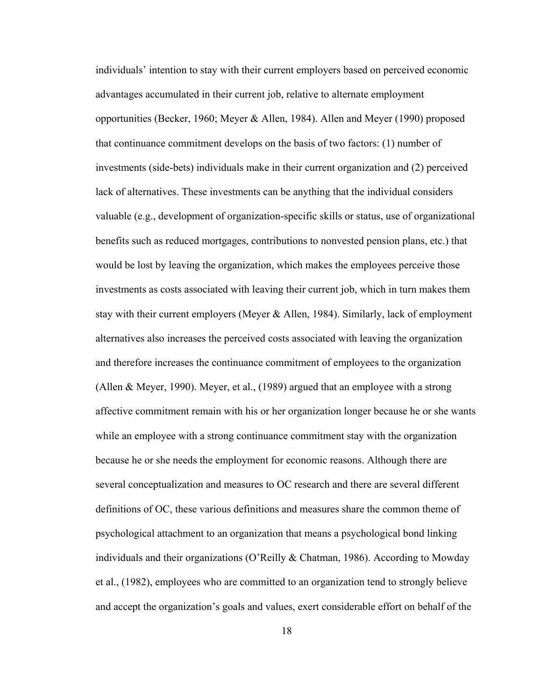individuals' intention to stay with their current employers based on perceived economic advantages accumulated in their current job, relative to alternate employment opportunities (Becker, 1960; Meyer & Allen, 1984). Allen and Meyer (1990) proposed that continuance commitment develops on the basis of two factors: (1) number of investments (side-bets) individuals make in their current organization and (2) perceived lack of alternatives. These investments can be anything that the individual considers valuable (e.g., development of organization-specific skills or status, use of organizational benefits such as reduced mortgages, contributions to nonvested pension plans, etc.) that would be lost by leaving the organization, which makes the employees perceive those investments as costs associated with leaving their current job, which in turn makes them stay with their current employers (Meyer & Allen, 1984). Similarly, lack of employment alternatives also increases the perceived costs associated with leaving the organization and therefore increases the continuance commitment of employees to the organization (Allen & Meyer, 1990). Meyer, et al., (1989) argued that an employee with a strong affective commitment remain with his or her organization longer because he or she wants while an employee with a strong continuance commitment stay with the organization because he or she needs the employment for economic reasons. Although there are several conceptualization and measures to OC research and there are several different definitions of OC, these various definitions and measures share the common theme of psychological attachment to an organization that means a psychological bond linking individuals and their organizations (O'Reilly & Chatman, 1986). According to Mowday et al., (1982), employees who are committed to an organization tend to strongly believe and accept the organization's goals and values, exert considerable effort on behalf of the

18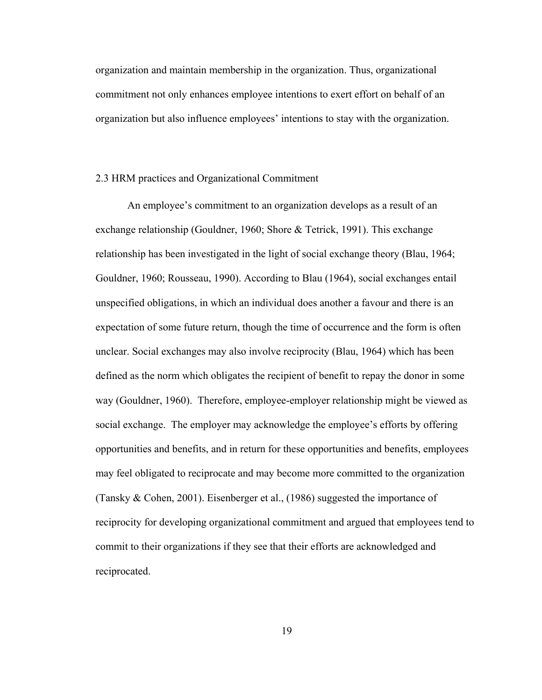<span id="page-26-0"></span>organization and maintain membership in the organization. Thus, organizational commitment not only enhances employee intentions to exert effort on behalf of an organization but also influence employees' intentions to stay with the organization.

#### 2.3 HRM practices and Organizational Commitment

An employee's commitment to an organization develops as a result of an exchange relationship (Gouldner, 1960; Shore & Tetrick, 1991). This exchange relationship has been investigated in the light of social exchange theory (Blau, 1964; Gouldner, 1960; Rousseau, 1990). According to Blau (1964), social exchanges entail unspecified obligations, in which an individual does another a favour and there is an expectation of some future return, though the time of occurrence and the form is often unclear. Social exchanges may also involve reciprocity (Blau, 1964) which has been defined as the norm which obligates the recipient of benefit to repay the donor in some way (Gouldner, 1960). Therefore, employee-employer relationship might be viewed as social exchange. The employer may acknowledge the employee's efforts by offering opportunities and benefits, and in return for these opportunities and benefits, employees may feel obligated to reciprocate and may become more committed to the organization (Tansky & Cohen, 2001). Eisenberger et al., (1986) suggested the importance of reciprocity for developing organizational commitment and argued that employees tend to commit to their organizations if they see that their efforts are acknowledged and reciprocated.

19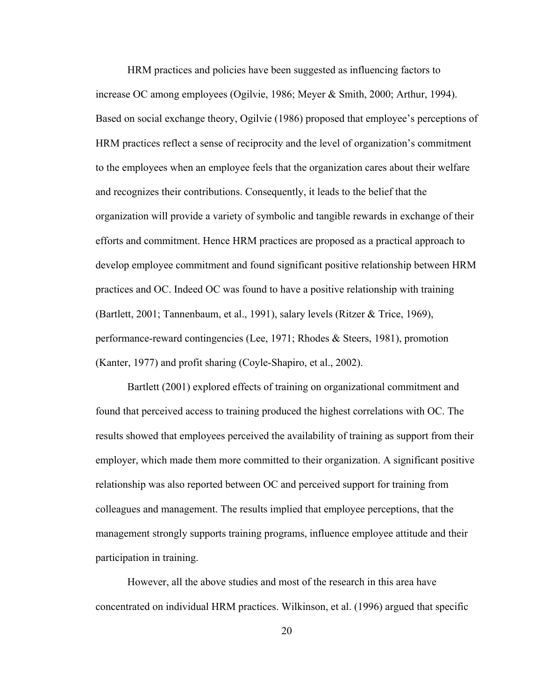HRM practices and policies have been suggested as influencing factors to increase OC among employees (Ogilvie, 1986; Meyer & Smith, 2000; Arthur, 1994). Based on social exchange theory, Ogilvie (1986) proposed that employee's perceptions of HRM practices reflect a sense of reciprocity and the level of organization's commitment to the employees when an employee feels that the organization cares about their welfare and recognizes their contributions. Consequently, it leads to the belief that the organization will provide a variety of symbolic and tangible rewards in exchange of their efforts and commitment. Hence HRM practices are proposed as a practical approach to develop employee commitment and found significant positive relationship between HRM practices and OC. Indeed OC was found to have a positive relationship with training (Bartlett, 2001; Tannenbaum, et al., 1991), salary levels (Ritzer & Trice, 1969), performance-reward contingencies (Lee, 1971; Rhodes & Steers, 1981), promotion (Kanter, 1977) and profit sharing (Coyle-Shapiro, et al., 2002).

Bartlett (2001) explored effects of training on organizational commitment and found that perceived access to training produced the highest correlations with OC. The results showed that employees perceived the availability of training as support from their employer, which made them more committed to their organization. A significant positive relationship was also reported between OC and perceived support for training from colleagues and management. The results implied that employee perceptions, that the management strongly supports training programs, influence employee attitude and their participation in training.

However, all the above studies and most of the research in this area have concentrated on individual HRM practices. Wilkinson, et al. (1996) argued that specific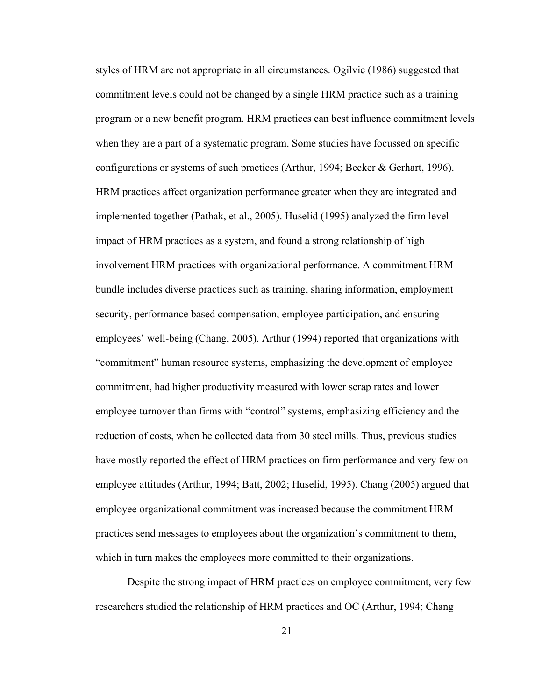styles of HRM are not appropriate in all circumstances. Ogilvie (1986) suggested that commitment levels could not be changed by a single HRM practice such as a training program or a new benefit program. HRM practices can best influence commitment levels when they are a part of a systematic program. Some studies have focussed on specific configurations or systems of such practices (Arthur, 1994; Becker & Gerhart, 1996). HRM practices affect organization performance greater when they are integrated and implemented together (Pathak, et al., 2005). Huselid (1995) analyzed the firm level impact of HRM practices as a system, and found a strong relationship of high involvement HRM practices with organizational performance. A commitment HRM bundle includes diverse practices such as training, sharing information, employment security, performance based compensation, employee participation, and ensuring employees' well-being (Chang, 2005). Arthur (1994) reported that organizations with "commitment" human resource systems, emphasizing the development of employee commitment, had higher productivity measured with lower scrap rates and lower employee turnover than firms with "control" systems, emphasizing efficiency and the reduction of costs, when he collected data from 30 steel mills. Thus, previous studies have mostly reported the effect of HRM practices on firm performance and very few on employee attitudes (Arthur, 1994; Batt, 2002; Huselid, 1995). Chang (2005) argued that employee organizational commitment was increased because the commitment HRM practices send messages to employees about the organization's commitment to them, which in turn makes the employees more committed to their organizations.

Despite the strong impact of HRM practices on employee commitment, very few researchers studied the relationship of HRM practices and OC (Arthur, 1994; Chang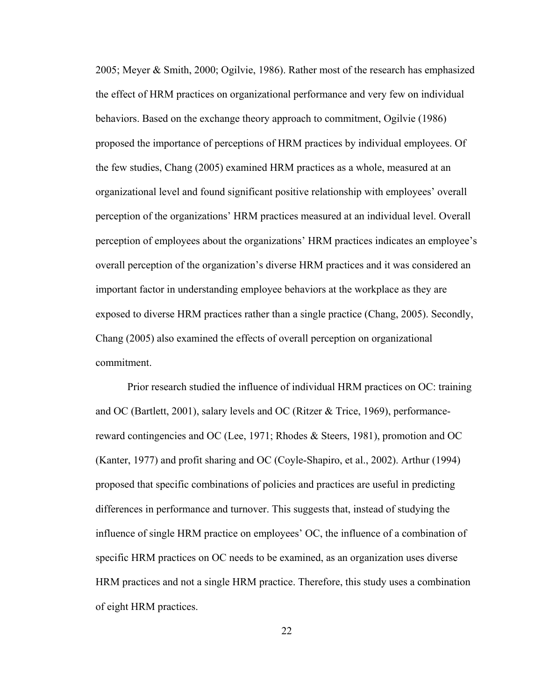2005; Meyer & Smith, 2000; Ogilvie, 1986). Rather most of the research has emphasized the effect of HRM practices on organizational performance and very few on individual behaviors. Based on the exchange theory approach to commitment, Ogilvie (1986) proposed the importance of perceptions of HRM practices by individual employees. Of the few studies, Chang (2005) examined HRM practices as a whole, measured at an organizational level and found significant positive relationship with employees' overall perception of the organizations' HRM practices measured at an individual level. Overall perception of employees about the organizations' HRM practices indicates an employee's overall perception of the organization's diverse HRM practices and it was considered an important factor in understanding employee behaviors at the workplace as they are exposed to diverse HRM practices rather than a single practice (Chang, 2005). Secondly, Chang (2005) also examined the effects of overall perception on organizational commitment.

Prior research studied the influence of individual HRM practices on OC: training and OC (Bartlett, 2001), salary levels and OC (Ritzer & Trice, 1969), performancereward contingencies and OC (Lee, 1971; Rhodes & Steers, 1981), promotion and OC (Kanter, 1977) and profit sharing and OC (Coyle-Shapiro, et al., 2002). Arthur (1994) proposed that specific combinations of policies and practices are useful in predicting differences in performance and turnover. This suggests that, instead of studying the influence of single HRM practice on employees' OC, the influence of a combination of specific HRM practices on OC needs to be examined, as an organization uses diverse HRM practices and not a single HRM practice. Therefore, this study uses a combination of eight HRM practices.

22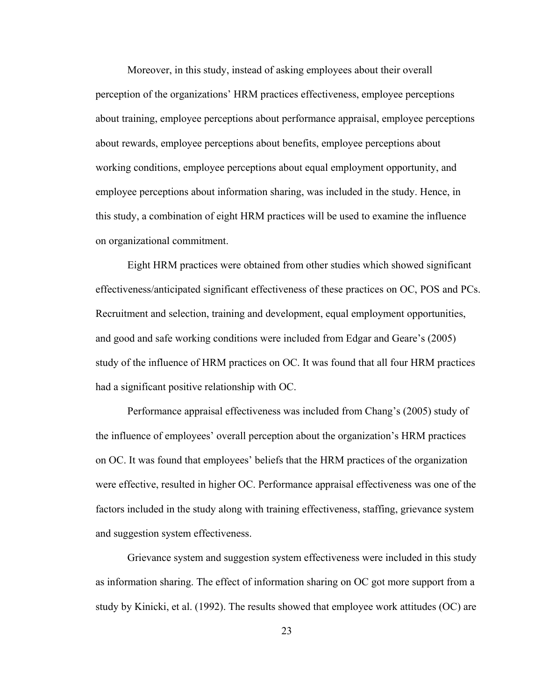Moreover, in this study, instead of asking employees about their overall perception of the organizations' HRM practices effectiveness, employee perceptions about training, employee perceptions about performance appraisal, employee perceptions about rewards, employee perceptions about benefits, employee perceptions about working conditions, employee perceptions about equal employment opportunity, and employee perceptions about information sharing, was included in the study. Hence, in this study, a combination of eight HRM practices will be used to examine the influence on organizational commitment.

Eight HRM practices were obtained from other studies which showed significant effectiveness/anticipated significant effectiveness of these practices on OC, POS and PCs. Recruitment and selection, training and development, equal employment opportunities, and good and safe working conditions were included from Edgar and Geare's (2005) study of the influence of HRM practices on OC. It was found that all four HRM practices had a significant positive relationship with OC.

Performance appraisal effectiveness was included from Chang's (2005) study of the influence of employees' overall perception about the organization's HRM practices on OC. It was found that employees' beliefs that the HRM practices of the organization were effective, resulted in higher OC. Performance appraisal effectiveness was one of the factors included in the study along with training effectiveness, staffing, grievance system and suggestion system effectiveness.

Grievance system and suggestion system effectiveness were included in this study as information sharing. The effect of information sharing on OC got more support from a study by Kinicki, et al. (1992). The results showed that employee work attitudes (OC) are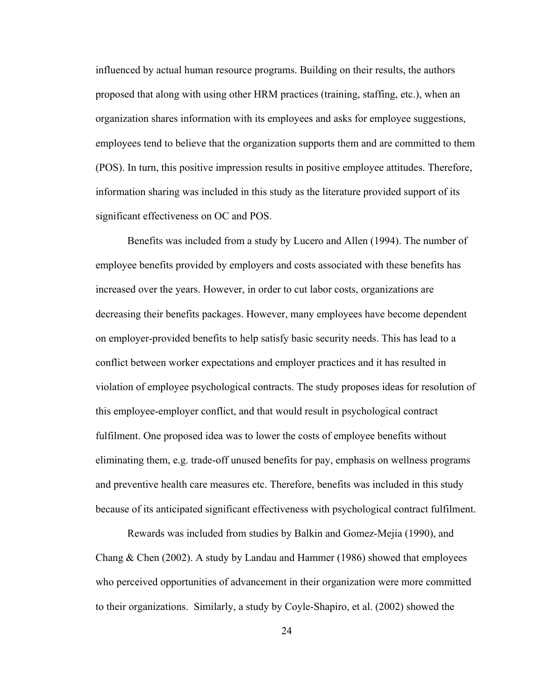influenced by actual human resource programs. Building on their results, the authors proposed that along with using other HRM practices (training, staffing, etc.), when an organization shares information with its employees and asks for employee suggestions, employees tend to believe that the organization supports them and are committed to them (POS). In turn, this positive impression results in positive employee attitudes. Therefore, information sharing was included in this study as the literature provided support of its significant effectiveness on OC and POS.

Benefits was included from a study by Lucero and Allen (1994). The number of employee benefits provided by employers and costs associated with these benefits has increased over the years. However, in order to cut labor costs, organizations are decreasing their benefits packages. However, many employees have become dependent on employer-provided benefits to help satisfy basic security needs. This has lead to a conflict between worker expectations and employer practices and it has resulted in violation of employee psychological contracts. The study proposes ideas for resolution of this employee-employer conflict, and that would result in psychological contract fulfilment. One proposed idea was to lower the costs of employee benefits without eliminating them, e.g. trade-off unused benefits for pay, emphasis on wellness programs and preventive health care measures etc. Therefore, benefits was included in this study because of its anticipated significant effectiveness with psychological contract fulfilment.

Rewards was included from studies by Balkin and Gomez-Mejia (1990), and Chang & Chen (2002). A study by Landau and Hammer (1986) showed that employees who perceived opportunities of advancement in their organization were more committed to their organizations. Similarly, a study by Coyle-Shapiro, et al. (2002) showed the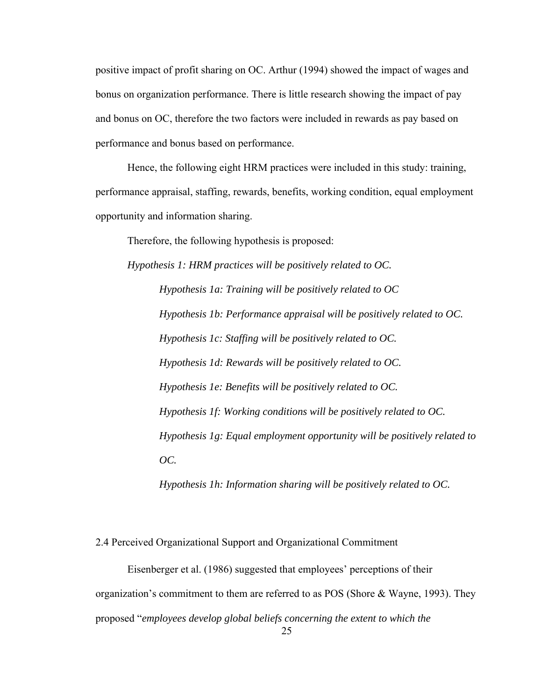<span id="page-32-0"></span>positive impact of profit sharing on OC. Arthur (1994) showed the impact of wages and bonus on organization performance. There is little research showing the impact of pay and bonus on OC, therefore the two factors were included in rewards as pay based on performance and bonus based on performance.

Hence, the following eight HRM practices were included in this study: training, performance appraisal, staffing, rewards, benefits, working condition, equal employment opportunity and information sharing.

Therefore, the following hypothesis is proposed:

*Hypothesis 1: HRM practices will be positively related to OC. Hypothesis 1a: Training will be positively related to OC Hypothesis 1b: Performance appraisal will be positively related to OC. Hypothesis 1c: Staffing will be positively related to OC. Hypothesis 1d: Rewards will be positively related to OC. Hypothesis 1e: Benefits will be positively related to OC. Hypothesis 1f: Working conditions will be positively related to OC. Hypothesis 1g: Equal employment opportunity will be positively related to OC.* 

*Hypothesis 1h: Information sharing will be positively related to OC.* 

### 2.4 Perceived Organizational Support and Organizational Commitment

Eisenberger et al. (1986) suggested that employees' perceptions of their organization's commitment to them are referred to as POS (Shore & Wayne, 1993). They proposed "*employees develop global beliefs concerning the extent to which the*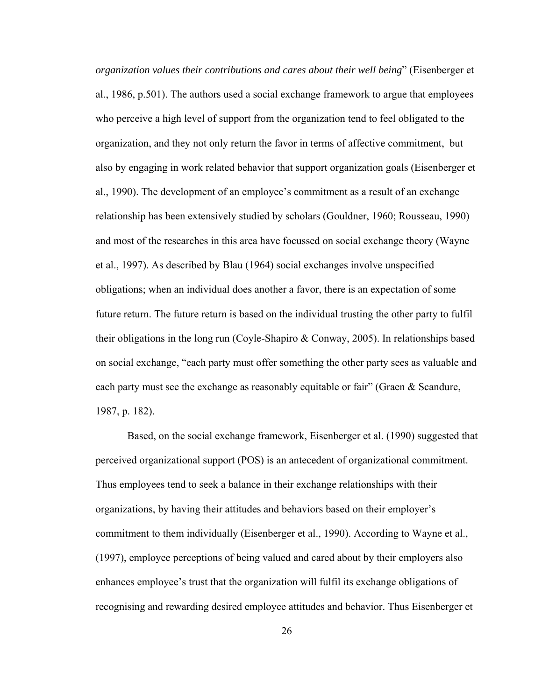*organization values their contributions and cares about their well being*" (Eisenberger et al., 1986, p.501). The authors used a social exchange framework to argue that employees who perceive a high level of support from the organization tend to feel obligated to the organization, and they not only return the favor in terms of affective commitment, but also by engaging in work related behavior that support organization goals (Eisenberger et al., 1990). The development of an employee's commitment as a result of an exchange relationship has been extensively studied by scholars (Gouldner, 1960; Rousseau, 1990) and most of the researches in this area have focussed on social exchange theory (Wayne et al., 1997). As described by Blau (1964) social exchanges involve unspecified obligations; when an individual does another a favor, there is an expectation of some future return. The future return is based on the individual trusting the other party to fulfil their obligations in the long run (Coyle-Shapiro & Conway, 2005). In relationships based on social exchange, "each party must offer something the other party sees as valuable and each party must see the exchange as reasonably equitable or fair" (Graen & Scandure, 1987, p. 182).

Based, on the social exchange framework, Eisenberger et al. (1990) suggested that perceived organizational support (POS) is an antecedent of organizational commitment. Thus employees tend to seek a balance in their exchange relationships with their organizations, by having their attitudes and behaviors based on their employer's commitment to them individually (Eisenberger et al., 1990). According to Wayne et al., (1997), employee perceptions of being valued and cared about by their employers also enhances employee's trust that the organization will fulfil its exchange obligations of recognising and rewarding desired employee attitudes and behavior. Thus Eisenberger et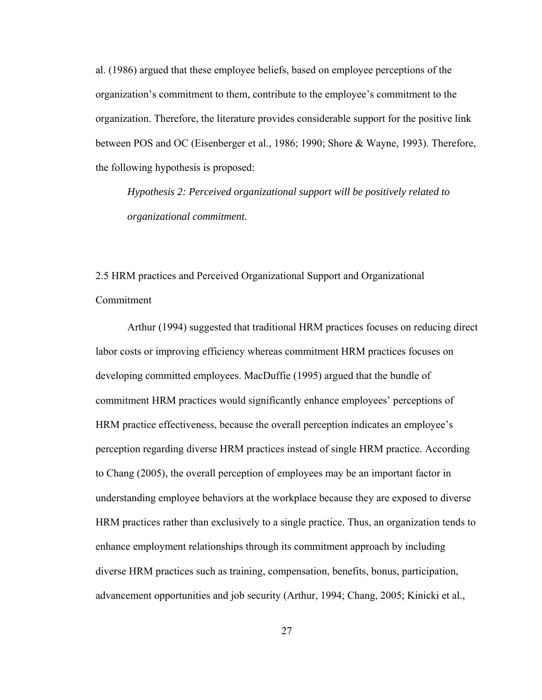<span id="page-34-0"></span>al. (1986) argued that these employee beliefs, based on employee perceptions of the organization's commitment to them, contribute to the employee's commitment to the organization. Therefore, the literature provides considerable support for the positive link between POS and OC (Eisenberger et al., 1986; 1990; Shore & Wayne, 1993). Therefore, the following hypothesis is proposed:

 *Hypothesis 2: Perceived organizational support will be positively related to organizational commitment.* 

2.5 HRM practices and Perceived Organizational Support and Organizational Commitment

Arthur (1994) suggested that traditional HRM practices focuses on reducing direct labor costs or improving efficiency whereas commitment HRM practices focuses on developing committed employees. MacDuffie (1995) argued that the bundle of commitment HRM practices would significantly enhance employees' perceptions of HRM practice effectiveness, because the overall perception indicates an employee's perception regarding diverse HRM practices instead of single HRM practice. According to Chang (2005), the overall perception of employees may be an important factor in understanding employee behaviors at the workplace because they are exposed to diverse HRM practices rather than exclusively to a single practice. Thus, an organization tends to enhance employment relationships through its commitment approach by including diverse HRM practices such as training, compensation, benefits, bonus, participation, advancement opportunities and job security (Arthur, 1994; Chang, 2005; Kinicki et al.,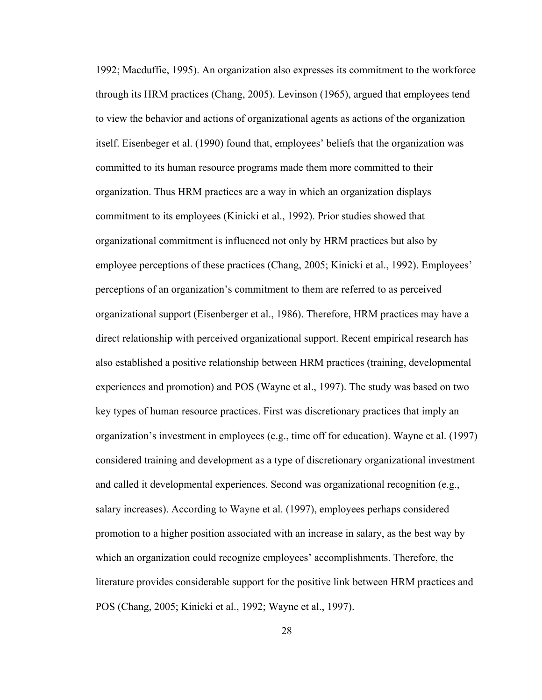1992; Macduffie, 1995). An organization also expresses its commitment to the workforce through its HRM practices (Chang, 2005). Levinson (1965), argued that employees tend to view the behavior and actions of organizational agents as actions of the organization itself. Eisenbeger et al. (1990) found that, employees' beliefs that the organization was committed to its human resource programs made them more committed to their organization. Thus HRM practices are a way in which an organization displays commitment to its employees (Kinicki et al., 1992). Prior studies showed that organizational commitment is influenced not only by HRM practices but also by employee perceptions of these practices (Chang, 2005; Kinicki et al., 1992). Employees' perceptions of an organization's commitment to them are referred to as perceived organizational support (Eisenberger et al., 1986). Therefore, HRM practices may have a direct relationship with perceived organizational support. Recent empirical research has also established a positive relationship between HRM practices (training, developmental experiences and promotion) and POS (Wayne et al., 1997). The study was based on two key types of human resource practices. First was discretionary practices that imply an organization's investment in employees (e.g., time off for education). Wayne et al. (1997) considered training and development as a type of discretionary organizational investment and called it developmental experiences. Second was organizational recognition (e.g., salary increases). According to Wayne et al. (1997), employees perhaps considered promotion to a higher position associated with an increase in salary, as the best way by which an organization could recognize employees' accomplishments. Therefore, the literature provides considerable support for the positive link between HRM practices and POS (Chang, 2005; Kinicki et al., 1992; Wayne et al., 1997).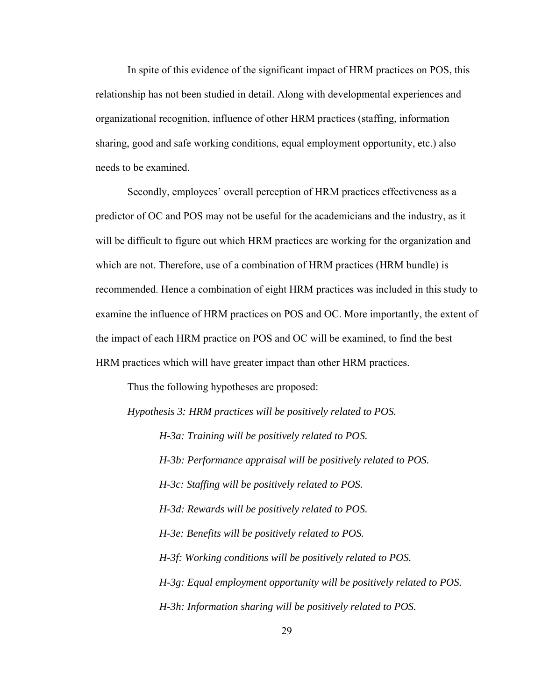In spite of this evidence of the significant impact of HRM practices on POS, this relationship has not been studied in detail. Along with developmental experiences and organizational recognition, influence of other HRM practices (staffing, information sharing, good and safe working conditions, equal employment opportunity, etc.) also needs to be examined.

Secondly, employees' overall perception of HRM practices effectiveness as a predictor of OC and POS may not be useful for the academicians and the industry, as it will be difficult to figure out which HRM practices are working for the organization and which are not. Therefore, use of a combination of HRM practices (HRM bundle) is recommended. Hence a combination of eight HRM practices was included in this study to examine the influence of HRM practices on POS and OC. More importantly, the extent of the impact of each HRM practice on POS and OC will be examined, to find the best HRM practices which will have greater impact than other HRM practices.

Thus the following hypotheses are proposed:

 *Hypothesis 3: HRM practices will be positively related to POS. H-3a: Training will be positively related to POS. H-3b: Performance appraisal will be positively related to POS. H-3c: Staffing will be positively related to POS. H-3d: Rewards will be positively related to POS. H-3e: Benefits will be positively related to POS. H-3f: Working conditions will be positively related to POS. H-3g: Equal employment opportunity will be positively related to POS. H-3h: Information sharing will be positively related to POS.*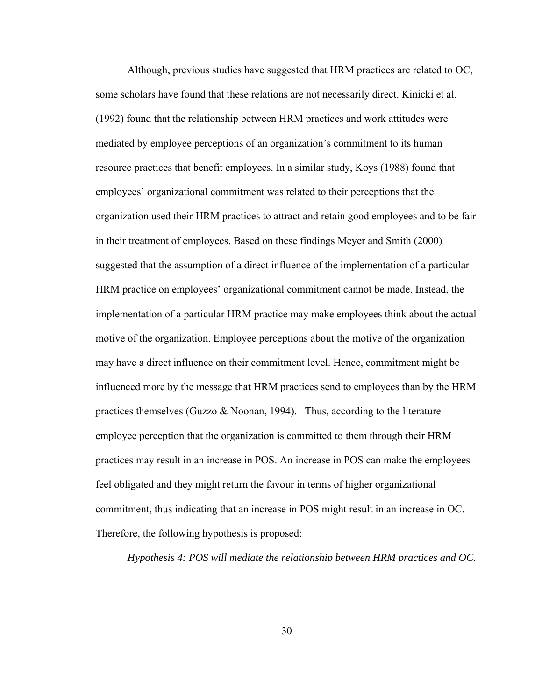Although, previous studies have suggested that HRM practices are related to OC, some scholars have found that these relations are not necessarily direct. Kinicki et al. (1992) found that the relationship between HRM practices and work attitudes were mediated by employee perceptions of an organization's commitment to its human resource practices that benefit employees. In a similar study, Koys (1988) found that employees' organizational commitment was related to their perceptions that the organization used their HRM practices to attract and retain good employees and to be fair in their treatment of employees. Based on these findings Meyer and Smith (2000) suggested that the assumption of a direct influence of the implementation of a particular HRM practice on employees' organizational commitment cannot be made. Instead, the implementation of a particular HRM practice may make employees think about the actual motive of the organization. Employee perceptions about the motive of the organization may have a direct influence on their commitment level. Hence, commitment might be influenced more by the message that HRM practices send to employees than by the HRM practices themselves (Guzzo  $&$  Noonan, 1994). Thus, according to the literature employee perception that the organization is committed to them through their HRM practices may result in an increase in POS. An increase in POS can make the employees feel obligated and they might return the favour in terms of higher organizational commitment, thus indicating that an increase in POS might result in an increase in OC. Therefore, the following hypothesis is proposed:

*Hypothesis 4: POS will mediate the relationship between HRM practices and OC.*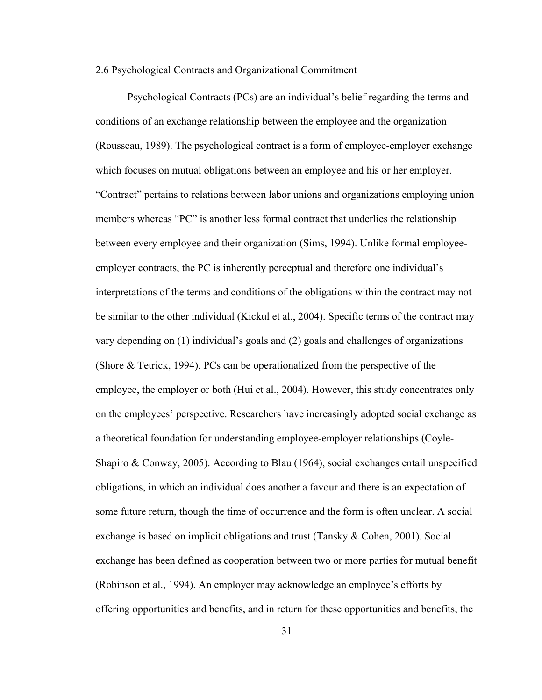# 2.6 Psychological Contracts and Organizational Commitment

Psychological Contracts (PCs) are an individual's belief regarding the terms and conditions of an exchange relationship between the employee and the organization (Rousseau, 1989). The psychological contract is a form of employee-employer exchange which focuses on mutual obligations between an employee and his or her employer. "Contract" pertains to relations between labor unions and organizations employing union members whereas "PC" is another less formal contract that underlies the relationship between every employee and their organization (Sims, 1994). Unlike formal employeeemployer contracts, the PC is inherently perceptual and therefore one individual's interpretations of the terms and conditions of the obligations within the contract may not be similar to the other individual (Kickul et al., 2004). Specific terms of the contract may vary depending on (1) individual's goals and (2) goals and challenges of organizations (Shore & Tetrick, 1994). PCs can be operationalized from the perspective of the employee, the employer or both (Hui et al., 2004). However, this study concentrates only on the employees' perspective. Researchers have increasingly adopted social exchange as a theoretical foundation for understanding employee-employer relationships (Coyle-Shapiro & Conway, 2005). According to Blau (1964), social exchanges entail unspecified obligations, in which an individual does another a favour and there is an expectation of some future return, though the time of occurrence and the form is often unclear. A social exchange is based on implicit obligations and trust (Tansky & Cohen, 2001). Social exchange has been defined as cooperation between two or more parties for mutual benefit (Robinson et al., 1994). An employer may acknowledge an employee's efforts by offering opportunities and benefits, and in return for these opportunities and benefits, the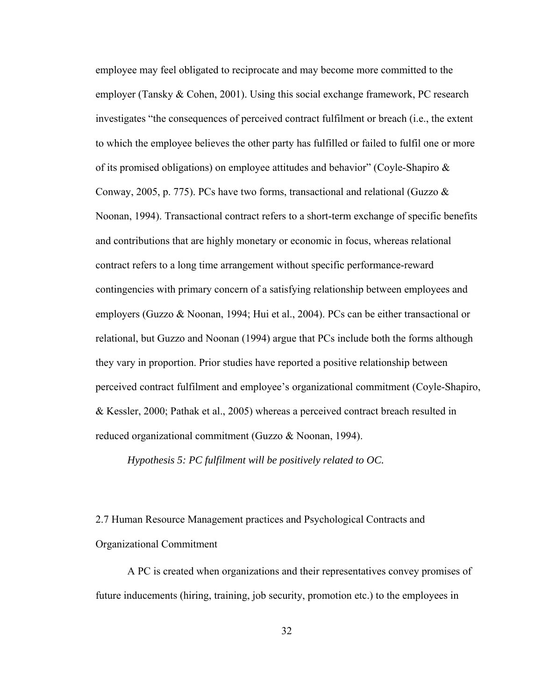employee may feel obligated to reciprocate and may become more committed to the employer (Tansky & Cohen, 2001). Using this social exchange framework, PC research investigates "the consequences of perceived contract fulfilment or breach (i.e., the extent to which the employee believes the other party has fulfilled or failed to fulfil one or more of its promised obligations) on employee attitudes and behavior" (Coyle-Shapiro  $\&$ Conway, 2005, p. 775). PCs have two forms, transactional and relational (Guzzo  $\&$ Noonan, 1994). Transactional contract refers to a short-term exchange of specific benefits and contributions that are highly monetary or economic in focus, whereas relational contract refers to a long time arrangement without specific performance-reward contingencies with primary concern of a satisfying relationship between employees and employers (Guzzo & Noonan, 1994; Hui et al., 2004). PCs can be either transactional or relational, but Guzzo and Noonan (1994) argue that PCs include both the forms although they vary in proportion. Prior studies have reported a positive relationship between perceived contract fulfilment and employee's organizational commitment (Coyle-Shapiro, & Kessler, 2000; Pathak et al., 2005) whereas a perceived contract breach resulted in reduced organizational commitment (Guzzo & Noonan, 1994).

*Hypothesis 5: PC fulfilment will be positively related to OC.*

2.7 Human Resource Management practices and Psychological Contracts and Organizational Commitment

A PC is created when organizations and their representatives convey promises of future inducements (hiring, training, job security, promotion etc.) to the employees in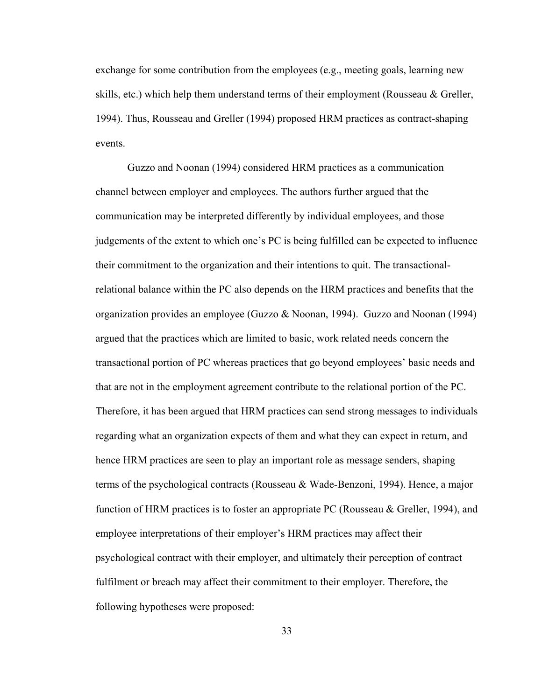exchange for some contribution from the employees (e.g., meeting goals, learning new skills, etc.) which help them understand terms of their employment (Rousseau  $\&$  Greller, 1994). Thus, Rousseau and Greller (1994) proposed HRM practices as contract-shaping events.

Guzzo and Noonan (1994) considered HRM practices as a communication channel between employer and employees. The authors further argued that the communication may be interpreted differently by individual employees, and those judgements of the extent to which one's PC is being fulfilled can be expected to influence their commitment to the organization and their intentions to quit. The transactionalrelational balance within the PC also depends on the HRM practices and benefits that the organization provides an employee (Guzzo  $\&$  Noonan, 1994). Guzzo and Noonan (1994) argued that the practices which are limited to basic, work related needs concern the transactional portion of PC whereas practices that go beyond employees' basic needs and that are not in the employment agreement contribute to the relational portion of the PC. Therefore, it has been argued that HRM practices can send strong messages to individuals regarding what an organization expects of them and what they can expect in return, and hence HRM practices are seen to play an important role as message senders, shaping terms of the psychological contracts (Rousseau & Wade-Benzoni, 1994). Hence, a major function of HRM practices is to foster an appropriate PC (Rousseau & Greller, 1994), and employee interpretations of their employer's HRM practices may affect their psychological contract with their employer, and ultimately their perception of contract fulfilment or breach may affect their commitment to their employer. Therefore, the following hypotheses were proposed:

33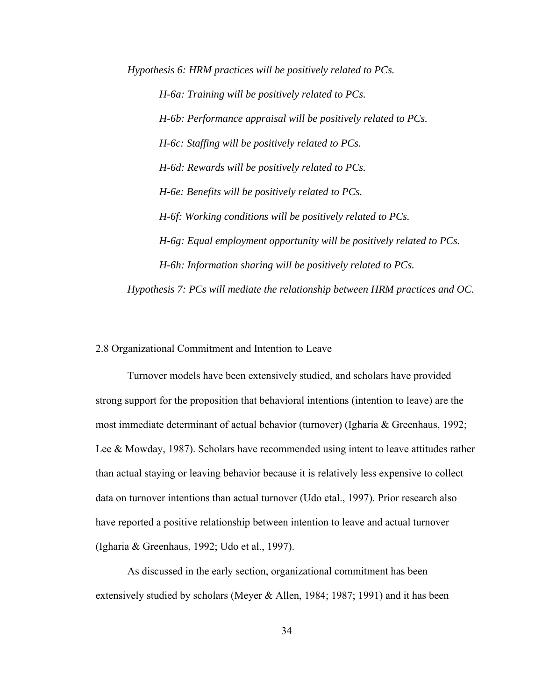*Hypothesis 6: HRM practices will be positively related to PCs. H-6a: Training will be positively related to PCs. H-6b: Performance appraisal will be positively related to PCs. H-6c: Staffing will be positively related to PCs. H-6d: Rewards will be positively related to PCs. H-6e: Benefits will be positively related to PCs. H-6f: Working conditions will be positively related to PCs. H-6g: Equal employment opportunity will be positively related to PCs. H-6h: Information sharing will be positively related to PCs. Hypothesis 7: PCs will mediate the relationship between HRM practices and OC.* 

2.8 Organizational Commitment and Intention to Leave

Turnover models have been extensively studied, and scholars have provided strong support for the proposition that behavioral intentions (intention to leave) are the most immediate determinant of actual behavior (turnover) (Igharia & Greenhaus, 1992; Lee & Mowday, 1987). Scholars have recommended using intent to leave attitudes rather than actual staying or leaving behavior because it is relatively less expensive to collect data on turnover intentions than actual turnover (Udo etal., 1997). Prior research also have reported a positive relationship between intention to leave and actual turnover (Igharia & Greenhaus, 1992; Udo et al., 1997).

As discussed in the early section, organizational commitment has been extensively studied by scholars (Meyer & Allen, 1984; 1987; 1991) and it has been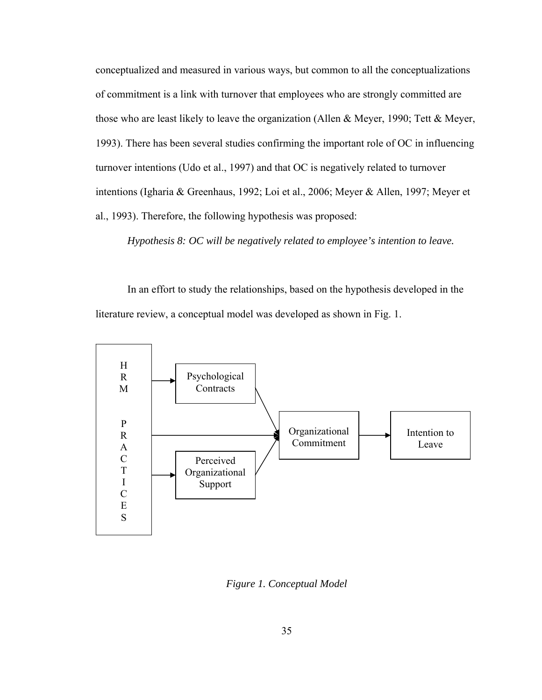conceptualized and measured in various ways, but common to all the conceptualizations of commitment is a link with turnover that employees who are strongly committed are those who are least likely to leave the organization (Allen & Meyer, 1990; Tett & Meyer, 1993). There has been several studies confirming the important role of OC in influencing turnover intentions (Udo et al., 1997) and that OC is negatively related to turnover intentions (Igharia & Greenhaus, 1992; Loi et al., 2006; Meyer & Allen, 1997; Meyer et al., 1993). Therefore, the following hypothesis was proposed:

 *Hypothesis 8: OC will be negatively related to employee's intention to leave.* 

In an effort to study the relationships, based on the hypothesis developed in the literature review, a conceptual model was developed as shown in Fig. 1.



*Figure 1. Conceptual Model*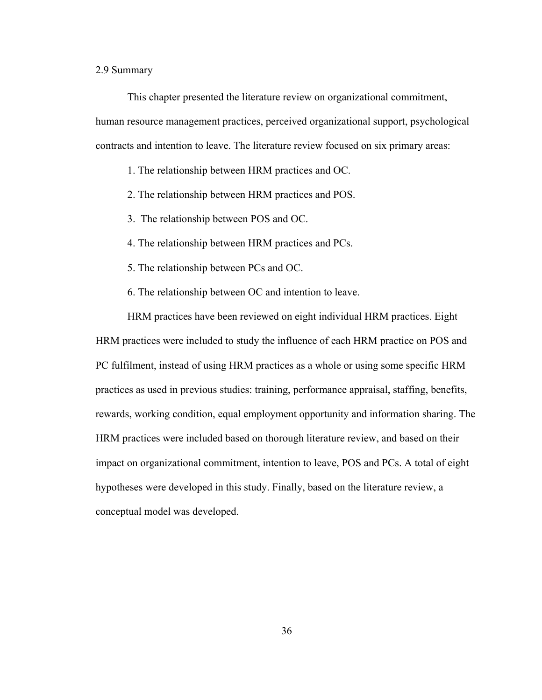2.9 Summary

This chapter presented the literature review on organizational commitment, human resource management practices, perceived organizational support, psychological contracts and intention to leave. The literature review focused on six primary areas:

1. The relationship between HRM practices and OC.

- 2. The relationship between HRM practices and POS.
- 3. The relationship between POS and OC.
- 4. The relationship between HRM practices and PCs.
- 5. The relationship between PCs and OC.

6. The relationship between OC and intention to leave.

HRM practices have been reviewed on eight individual HRM practices. Eight HRM practices were included to study the influence of each HRM practice on POS and PC fulfilment, instead of using HRM practices as a whole or using some specific HRM practices as used in previous studies: training, performance appraisal, staffing, benefits, rewards, working condition, equal employment opportunity and information sharing. The HRM practices were included based on thorough literature review, and based on their impact on organizational commitment, intention to leave, POS and PCs. A total of eight hypotheses were developed in this study. Finally, based on the literature review, a conceptual model was developed.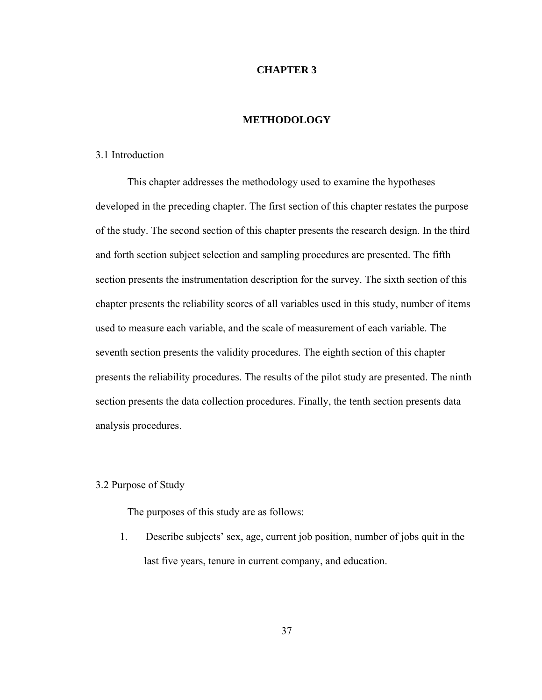# **CHAPTER 3**

## **METHODOLOGY**

# 3.1 Introduction

This chapter addresses the methodology used to examine the hypotheses developed in the preceding chapter. The first section of this chapter restates the purpose of the study. The second section of this chapter presents the research design. In the third and forth section subject selection and sampling procedures are presented. The fifth section presents the instrumentation description for the survey. The sixth section of this chapter presents the reliability scores of all variables used in this study, number of items used to measure each variable, and the scale of measurement of each variable. The seventh section presents the validity procedures. The eighth section of this chapter presents the reliability procedures. The results of the pilot study are presented. The ninth section presents the data collection procedures. Finally, the tenth section presents data analysis procedures.

# 3.2 Purpose of Study

The purposes of this study are as follows:

1. Describe subjects' sex, age, current job position, number of jobs quit in the last five years, tenure in current company, and education.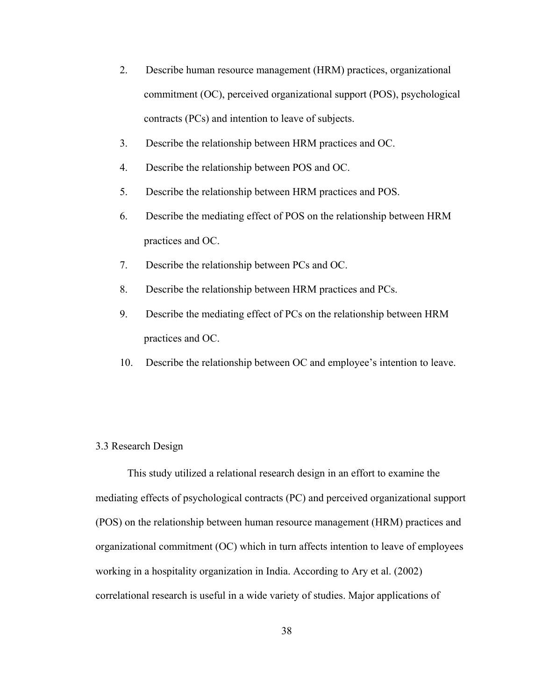- 2. Describe human resource management (HRM) practices, organizational commitment (OC), perceived organizational support (POS), psychological contracts (PCs) and intention to leave of subjects.
- 3. Describe the relationship between HRM practices and OC.
- 4. Describe the relationship between POS and OC.
- 5. Describe the relationship between HRM practices and POS.
- 6. Describe the mediating effect of POS on the relationship between HRM practices and OC.
- 7. Describe the relationship between PCs and OC.
- 8. Describe the relationship between HRM practices and PCs.
- 9. Describe the mediating effect of PCs on the relationship between HRM practices and OC.
- 10. Describe the relationship between OC and employee's intention to leave.

# 3.3 Research Design

This study utilized a relational research design in an effort to examine the mediating effects of psychological contracts (PC) and perceived organizational support (POS) on the relationship between human resource management (HRM) practices and organizational commitment (OC) which in turn affects intention to leave of employees working in a hospitality organization in India. According to Ary et al. (2002) correlational research is useful in a wide variety of studies. Major applications of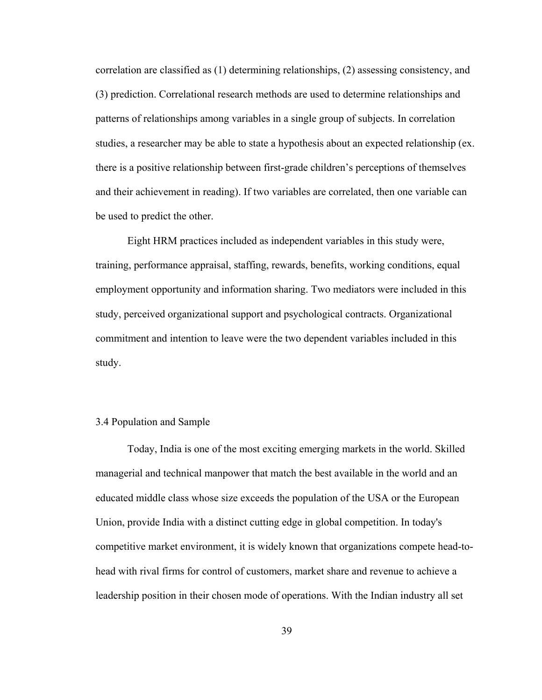correlation are classified as (1) determining relationships, (2) assessing consistency, and (3) prediction. Correlational research methods are used to determine relationships and patterns of relationships among variables in a single group of subjects. In correlation studies, a researcher may be able to state a hypothesis about an expected relationship (ex. there is a positive relationship between first-grade children's perceptions of themselves and their achievement in reading). If two variables are correlated, then one variable can be used to predict the other.

Eight HRM practices included as independent variables in this study were, training, performance appraisal, staffing, rewards, benefits, working conditions, equal employment opportunity and information sharing. Two mediators were included in this study, perceived organizational support and psychological contracts. Organizational commitment and intention to leave were the two dependent variables included in this study.

# 3.4 Population and Sample

Today, India is one of the most exciting emerging markets in the world. Skilled managerial and technical manpower that match the best available in the world and an educated middle class whose size exceeds the population of the USA or the European Union, provide India with a distinct cutting edge in global competition. In today's competitive market environment, it is widely known that organizations compete head-tohead with rival firms for control of customers, market share and revenue to achieve a leadership position in their chosen mode of operations. With the Indian industry all set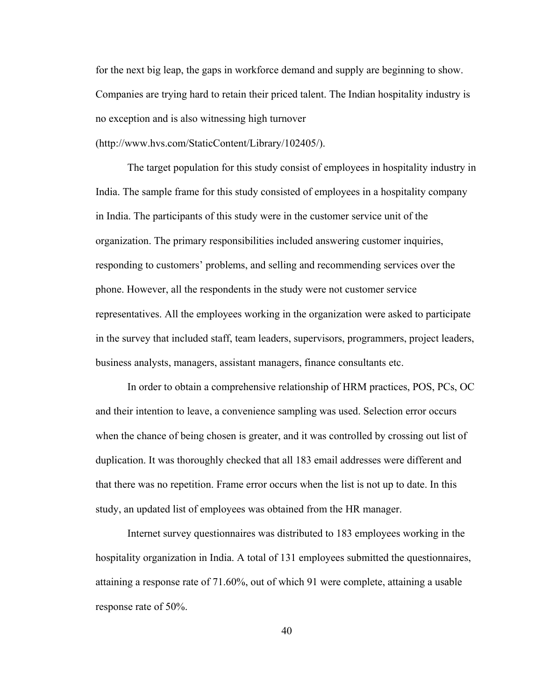for the next big leap, the gaps in workforce demand and supply are beginning to show. Companies are trying hard to retain their priced talent. The Indian hospitality industry is no exception and is also witnessing high turnover (http://www.hvs.com/StaticContent/Library/102405/).

The target population for this study consist of employees in hospitality industry in India. The sample frame for this study consisted of employees in a hospitality company in India. The participants of this study were in the customer service unit of the organization. The primary responsibilities included answering customer inquiries, responding to customers' problems, and selling and recommending services over the phone. However, all the respondents in the study were not customer service representatives. All the employees working in the organization were asked to participate

in the survey that included staff, team leaders, supervisors, programmers, project leaders, business analysts, managers, assistant managers, finance consultants etc.

In order to obtain a comprehensive relationship of HRM practices, POS, PCs, OC and their intention to leave, a convenience sampling was used. Selection error occurs when the chance of being chosen is greater, and it was controlled by crossing out list of duplication. It was thoroughly checked that all 183 email addresses were different and that there was no repetition. Frame error occurs when the list is not up to date. In this study, an updated list of employees was obtained from the HR manager.

Internet survey questionnaires was distributed to 183 employees working in the hospitality organization in India. A total of 131 employees submitted the questionnaires, attaining a response rate of 71.60%, out of which 91 were complete, attaining a usable response rate of 50%.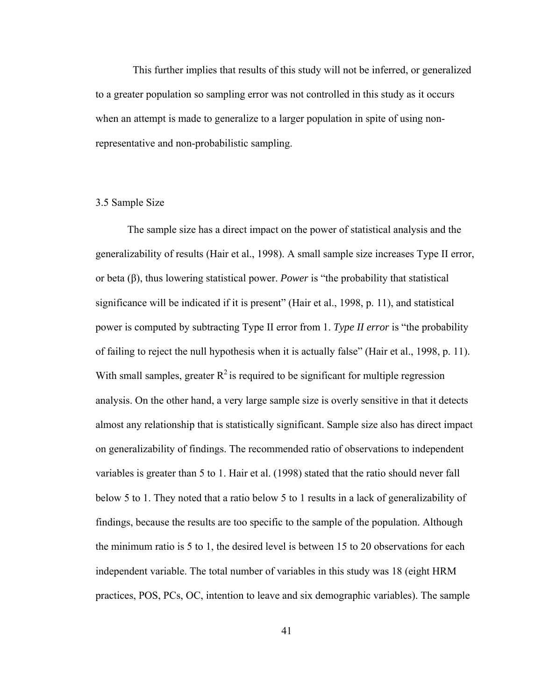This further implies that results of this study will not be inferred, or generalized to a greater population so sampling error was not controlled in this study as it occurs when an attempt is made to generalize to a larger population in spite of using nonrepresentative and non-probabilistic sampling.

#### 3.5 Sample Size

The sample size has a direct impact on the power of statistical analysis and the generalizability of results (Hair et al., 1998). A small sample size increases Type II error, or beta (β), thus lowering statistical power. *Power* is "the probability that statistical significance will be indicated if it is present" (Hair et al., 1998, p. 11), and statistical power is computed by subtracting Type II error from 1. *Type II error* is "the probability of failing to reject the null hypothesis when it is actually false" (Hair et al., 1998, p. 11). With small samples, greater  $R^2$  is required to be significant for multiple regression analysis. On the other hand, a very large sample size is overly sensitive in that it detects almost any relationship that is statistically significant. Sample size also has direct impact on generalizability of findings. The recommended ratio of observations to independent variables is greater than 5 to 1. Hair et al. (1998) stated that the ratio should never fall below 5 to 1. They noted that a ratio below 5 to 1 results in a lack of generalizability of findings, because the results are too specific to the sample of the population. Although the minimum ratio is 5 to 1, the desired level is between 15 to 20 observations for each independent variable. The total number of variables in this study was 18 (eight HRM practices, POS, PCs, OC, intention to leave and six demographic variables). The sample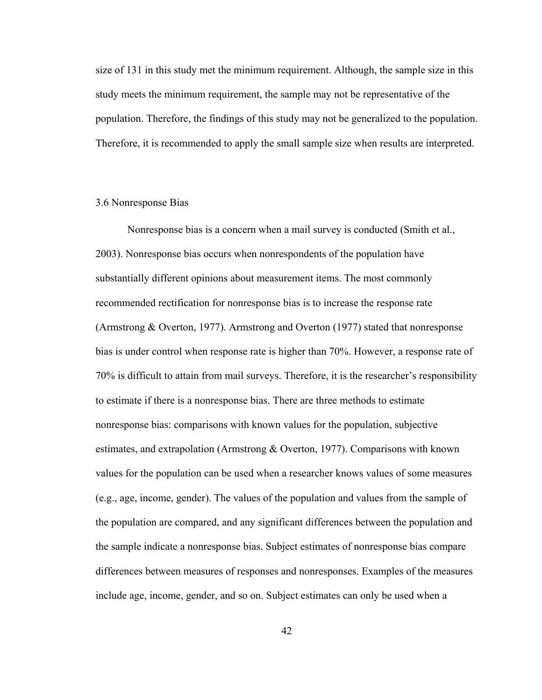size of 131 in this study met the minimum requirement. Although, the sample size in this study meets the minimum requirement, the sample may not be representative of the population. Therefore, the findings of this study may not be generalized to the population. Therefore, it is recommended to apply the small sample size when results are interpreted.

#### 3.6 Nonresponse Bias

Nonresponse bias is a concern when a mail survey is conducted (Smith et al., 2003). Nonresponse bias occurs when nonrespondents of the population have substantially different opinions about measurement items. The most commonly recommended rectification for nonresponse bias is to increase the response rate (Armstrong & Overton, 1977). Armstrong and Overton (1977) stated that nonresponse bias is under control when response rate is higher than 70%. However, a response rate of 70% is difficult to attain from mail surveys. Therefore, it is the researcher's responsibility to estimate if there is a nonresponse bias. There are three methods to estimate nonresponse bias: comparisons with known values for the population, subjective estimates, and extrapolation (Armstrong & Overton, 1977). Comparisons with known values for the population can be used when a researcher knows values of some measures (e.g., age, income, gender). The values of the population and values from the sample of the population are compared, and any significant differences between the population and the sample indicate a nonresponse bias. Subject estimates of nonresponse bias compare differences between measures of responses and nonresponses. Examples of the measures include age, income, gender, and so on. Subject estimates can only be used when a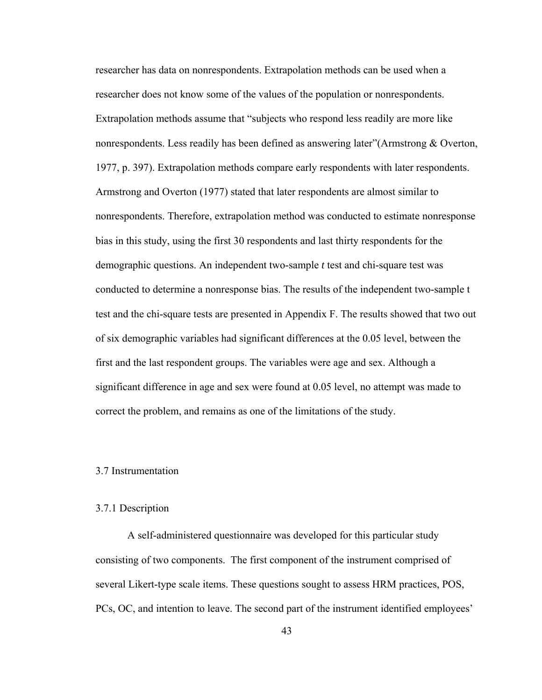researcher has data on nonrespondents. Extrapolation methods can be used when a researcher does not know some of the values of the population or nonrespondents. Extrapolation methods assume that "subjects who respond less readily are more like nonrespondents. Less readily has been defined as answering later" (Armstrong & Overton, 1977, p. 397). Extrapolation methods compare early respondents with later respondents. Armstrong and Overton (1977) stated that later respondents are almost similar to nonrespondents. Therefore, extrapolation method was conducted to estimate nonresponse bias in this study, using the first 30 respondents and last thirty respondents for the demographic questions. An independent two-sample *t* test and chi-square test was conducted to determine a nonresponse bias. The results of the independent two-sample t test and the chi-square tests are presented in Appendix F. The results showed that two out of six demographic variables had significant differences at the 0.05 level, between the first and the last respondent groups. The variables were age and sex. Although a significant difference in age and sex were found at 0.05 level, no attempt was made to correct the problem, and remains as one of the limitations of the study.

# 3.7 Instrumentation

#### 3.7.1 Description

A self-administered questionnaire was developed for this particular study consisting of two components. The first component of the instrument comprised of several Likert-type scale items. These questions sought to assess HRM practices, POS, PCs, OC, and intention to leave. The second part of the instrument identified employees'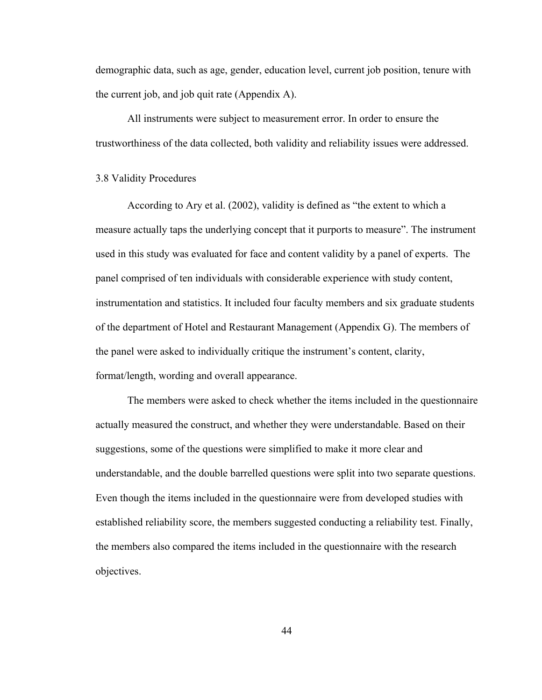demographic data, such as age, gender, education level, current job position, tenure with the current job, and job quit rate (Appendix A).

All instruments were subject to measurement error. In order to ensure the trustworthiness of the data collected, both validity and reliability issues were addressed.

## 3.8 Validity Procedures

According to Ary et al. (2002), validity is defined as "the extent to which a measure actually taps the underlying concept that it purports to measure". The instrument used in this study was evaluated for face and content validity by a panel of experts. The panel comprised of ten individuals with considerable experience with study content, instrumentation and statistics. It included four faculty members and six graduate students of the department of Hotel and Restaurant Management (Appendix G). The members of the panel were asked to individually critique the instrument's content, clarity, format/length, wording and overall appearance.

The members were asked to check whether the items included in the questionnaire actually measured the construct, and whether they were understandable. Based on their suggestions, some of the questions were simplified to make it more clear and understandable, and the double barrelled questions were split into two separate questions. Even though the items included in the questionnaire were from developed studies with established reliability score, the members suggested conducting a reliability test. Finally, the members also compared the items included in the questionnaire with the research objectives.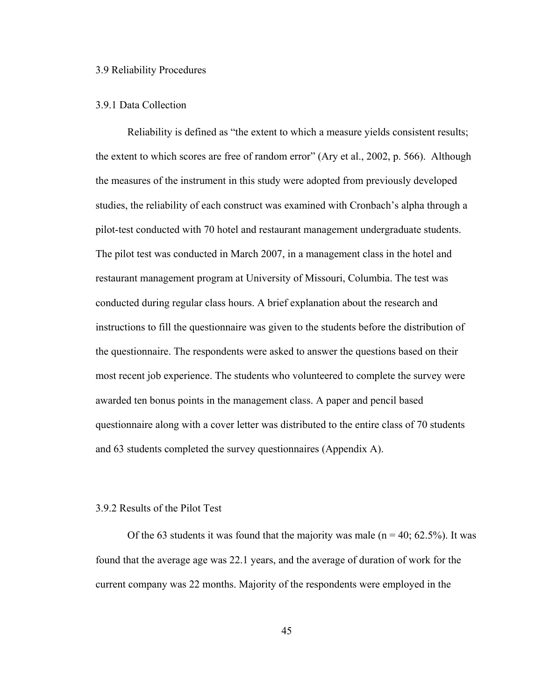# 3.9 Reliability Procedures

### 3.9.1 Data Collection

Reliability is defined as "the extent to which a measure yields consistent results; the extent to which scores are free of random error" (Ary et al., 2002, p. 566). Although the measures of the instrument in this study were adopted from previously developed studies, the reliability of each construct was examined with Cronbach's alpha through a pilot-test conducted with 70 hotel and restaurant management undergraduate students. The pilot test was conducted in March 2007, in a management class in the hotel and restaurant management program at University of Missouri, Columbia. The test was conducted during regular class hours. A brief explanation about the research and instructions to fill the questionnaire was given to the students before the distribution of the questionnaire. The respondents were asked to answer the questions based on their most recent job experience. The students who volunteered to complete the survey were awarded ten bonus points in the management class. A paper and pencil based questionnaire along with a cover letter was distributed to the entire class of 70 students and 63 students completed the survey questionnaires (Appendix A).

# 3.9.2 Results of the Pilot Test

Of the 63 students it was found that the majority was male ( $n = 40$ ; 62.5%). It was found that the average age was 22.1 years, and the average of duration of work for the current company was 22 months. Majority of the respondents were employed in the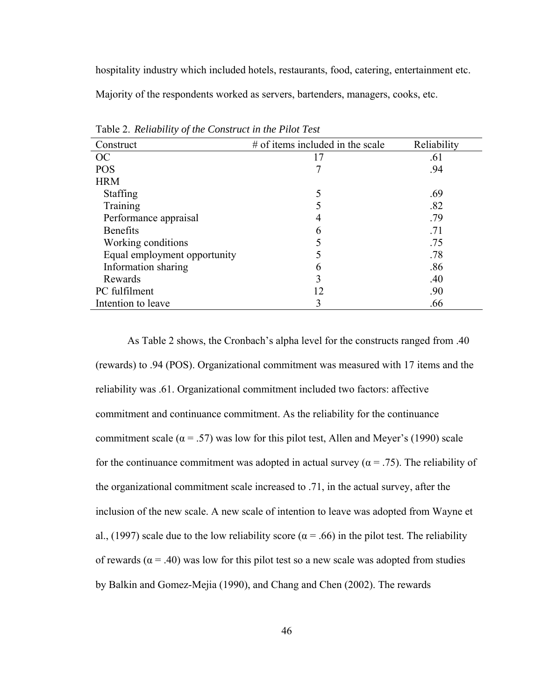hospitality industry which included hotels, restaurants, food, catering, entertainment etc.

Majority of the respondents worked as servers, bartenders, managers, cooks, etc.

| Construct                    | $#$ of items included in the scale | Reliability |
|------------------------------|------------------------------------|-------------|
| OC                           | 17                                 | .61         |
| <b>POS</b>                   |                                    | .94         |
| <b>HRM</b>                   |                                    |             |
| <b>Staffing</b>              |                                    | .69         |
| Training                     |                                    | .82         |
| Performance appraisal        |                                    | .79         |
| <b>Benefits</b>              | O                                  | .71         |
| Working conditions           |                                    | .75         |
| Equal employment opportunity |                                    | .78         |
| Information sharing          | 6                                  | .86         |
| Rewards                      |                                    | .40         |
| PC fulfilment                | 12                                 | .90         |
| Intention to leave           | 3                                  | .66         |

Table 2. *Reliability of the Construct in the Pilot Test* 

As Table 2 shows, the Cronbach's alpha level for the constructs ranged from .40 (rewards) to .94 (POS). Organizational commitment was measured with 17 items and the reliability was .61. Organizational commitment included two factors: affective commitment and continuance commitment. As the reliability for the continuance commitment scale ( $\alpha$  = .57) was low for this pilot test, Allen and Meyer's (1990) scale for the continuance commitment was adopted in actual survey ( $\alpha$  = .75). The reliability of the organizational commitment scale increased to .71, in the actual survey, after the inclusion of the new scale. A new scale of intention to leave was adopted from Wayne et al., (1997) scale due to the low reliability score ( $\alpha$  = .66) in the pilot test. The reliability of rewards ( $\alpha$  = .40) was low for this pilot test so a new scale was adopted from studies by Balkin and Gomez-Mejia (1990), and Chang and Chen (2002). The rewards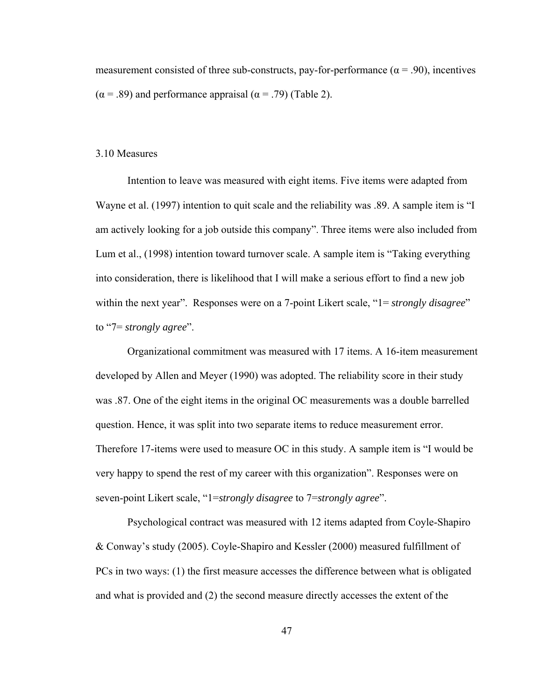measurement consisted of three sub-constructs, pay-for-performance ( $\alpha$  = .90), incentives  $(\alpha = .89)$  and performance appraisal  $(\alpha = .79)$  (Table 2).

## 3.10 Measures

Intention to leave was measured with eight items. Five items were adapted from Wayne et al. (1997) intention to quit scale and the reliability was .89. A sample item is "I am actively looking for a job outside this company". Three items were also included from Lum et al., (1998) intention toward turnover scale. A sample item is "Taking everything into consideration, there is likelihood that I will make a serious effort to find a new job within the next year". Responses were on a 7-point Likert scale, "1= *strongly disagree*" to "7= *strongly agree*".

Organizational commitment was measured with 17 items. A 16-item measurement developed by Allen and Meyer (1990) was adopted. The reliability score in their study was .87. One of the eight items in the original OC measurements was a double barrelled question. Hence, it was split into two separate items to reduce measurement error. Therefore 17-items were used to measure OC in this study. A sample item is "I would be very happy to spend the rest of my career with this organization". Responses were on seven-point Likert scale, "1=*strongly disagree* to 7=*strongly agree*".

Psychological contract was measured with 12 items adapted from Coyle-Shapiro & Conway's study (2005). Coyle-Shapiro and Kessler (2000) measured fulfillment of PCs in two ways: (1) the first measure accesses the difference between what is obligated and what is provided and (2) the second measure directly accesses the extent of the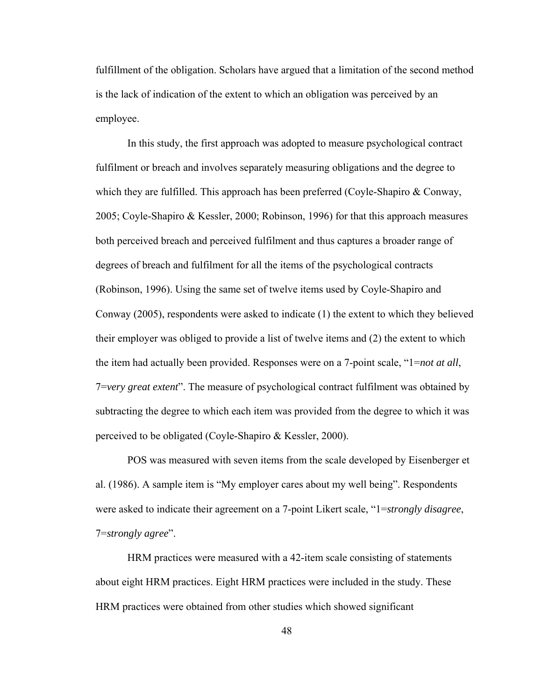fulfillment of the obligation. Scholars have argued that a limitation of the second method is the lack of indication of the extent to which an obligation was perceived by an employee.

In this study, the first approach was adopted to measure psychological contract fulfilment or breach and involves separately measuring obligations and the degree to which they are fulfilled. This approach has been preferred (Coyle-Shapiro & Conway, 2005; Coyle-Shapiro & Kessler, 2000; Robinson, 1996) for that this approach measures both perceived breach and perceived fulfilment and thus captures a broader range of degrees of breach and fulfilment for all the items of the psychological contracts (Robinson, 1996). Using the same set of twelve items used by Coyle-Shapiro and Conway (2005), respondents were asked to indicate (1) the extent to which they believed their employer was obliged to provide a list of twelve items and (2) the extent to which the item had actually been provided. Responses were on a 7-point scale, "1=*not at all*, 7=*very great extent*". The measure of psychological contract fulfilment was obtained by subtracting the degree to which each item was provided from the degree to which it was perceived to be obligated (Coyle-Shapiro & Kessler, 2000).

POS was measured with seven items from the scale developed by Eisenberger et al. (1986). A sample item is "My employer cares about my well being". Respondents were asked to indicate their agreement on a 7-point Likert scale, "1=*strongly disagree*, 7=*strongly agree*".

HRM practices were measured with a 42-item scale consisting of statements about eight HRM practices. Eight HRM practices were included in the study. These HRM practices were obtained from other studies which showed significant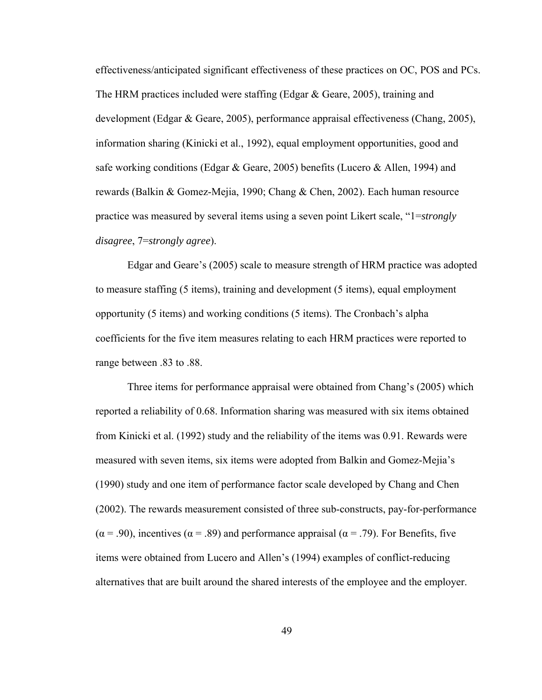effectiveness/anticipated significant effectiveness of these practices on OC, POS and PCs. The HRM practices included were staffing (Edgar & Geare, 2005), training and development (Edgar & Geare, 2005), performance appraisal effectiveness (Chang, 2005), information sharing (Kinicki et al., 1992), equal employment opportunities, good and safe working conditions (Edgar & Geare, 2005) benefits (Lucero & Allen, 1994) and rewards (Balkin & Gomez-Mejia, 1990; Chang & Chen, 2002). Each human resource practice was measured by several items using a seven point Likert scale, "1=*strongly disagree*, 7=*strongly agree*).

Edgar and Geare's (2005) scale to measure strength of HRM practice was adopted to measure staffing (5 items), training and development (5 items), equal employment opportunity (5 items) and working conditions (5 items). The Cronbach's alpha coefficients for the five item measures relating to each HRM practices were reported to range between .83 to .88.

Three items for performance appraisal were obtained from Chang's (2005) which reported a reliability of 0.68. Information sharing was measured with six items obtained from Kinicki et al. (1992) study and the reliability of the items was 0.91. Rewards were measured with seven items, six items were adopted from Balkin and Gomez-Mejia's (1990) study and one item of performance factor scale developed by Chang and Chen (2002). The rewards measurement consisted of three sub-constructs, pay-for-performance  $(\alpha = .90)$ , incentives  $(\alpha = .89)$  and performance appraisal  $(\alpha = .79)$ . For Benefits, five items were obtained from Lucero and Allen's (1994) examples of conflict-reducing alternatives that are built around the shared interests of the employee and the employer.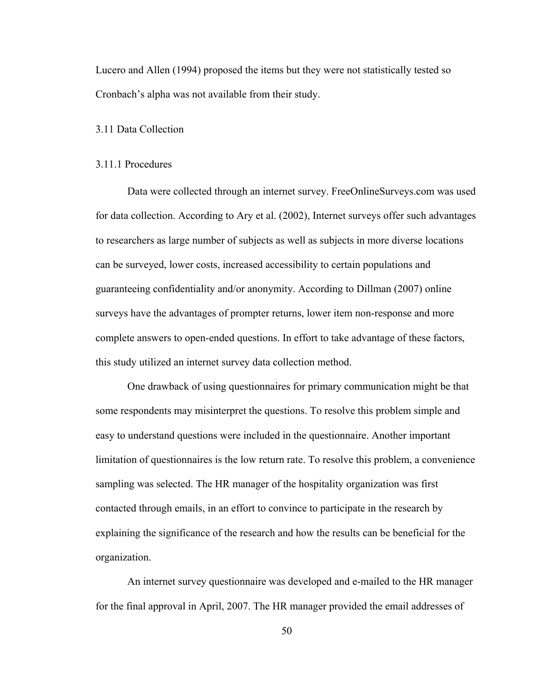Lucero and Allen (1994) proposed the items but they were not statistically tested so Cronbach's alpha was not available from their study.

3.11 Data Collection

# 3.11.1 Procedures

Data were collected through an internet survey. FreeOnlineSurveys.com was used for data collection. According to Ary et al. (2002), Internet surveys offer such advantages to researchers as large number of subjects as well as subjects in more diverse locations can be surveyed, lower costs, increased accessibility to certain populations and guaranteeing confidentiality and/or anonymity. According to Dillman (2007) online surveys have the advantages of prompter returns, lower item non-response and more complete answers to open-ended questions. In effort to take advantage of these factors, this study utilized an internet survey data collection method.

One drawback of using questionnaires for primary communication might be that some respondents may misinterpret the questions. To resolve this problem simple and easy to understand questions were included in the questionnaire. Another important limitation of questionnaires is the low return rate. To resolve this problem, a convenience sampling was selected. The HR manager of the hospitality organization was first contacted through emails, in an effort to convince to participate in the research by explaining the significance of the research and how the results can be beneficial for the organization.

An internet survey questionnaire was developed and e-mailed to the HR manager for the final approval in April, 2007. The HR manager provided the email addresses of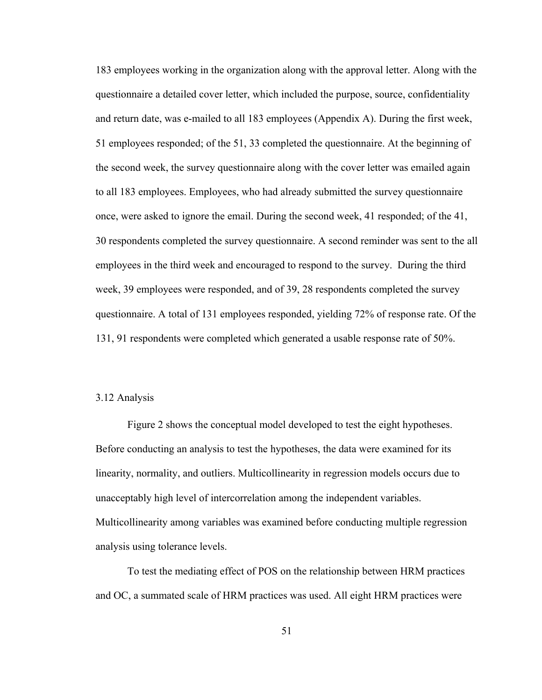183 employees working in the organization along with the approval letter. Along with the questionnaire a detailed cover letter, which included the purpose, source, confidentiality and return date, was e-mailed to all 183 employees (Appendix A). During the first week, 51 employees responded; of the 51, 33 completed the questionnaire. At the beginning of the second week, the survey questionnaire along with the cover letter was emailed again to all 183 employees. Employees, who had already submitted the survey questionnaire once, were asked to ignore the email. During the second week, 41 responded; of the 41, 30 respondents completed the survey questionnaire. A second reminder was sent to the all employees in the third week and encouraged to respond to the survey. During the third week, 39 employees were responded, and of 39, 28 respondents completed the survey questionnaire. A total of 131 employees responded, yielding 72% of response rate. Of the 131, 91 respondents were completed which generated a usable response rate of 50%.

## 3.12 Analysis

Figure 2 shows the conceptual model developed to test the eight hypotheses. Before conducting an analysis to test the hypotheses, the data were examined for its linearity, normality, and outliers. Multicollinearity in regression models occurs due to unacceptably high level of intercorrelation among the independent variables. Multicollinearity among variables was examined before conducting multiple regression analysis using tolerance levels.

To test the mediating effect of POS on the relationship between HRM practices and OC, a summated scale of HRM practices was used. All eight HRM practices were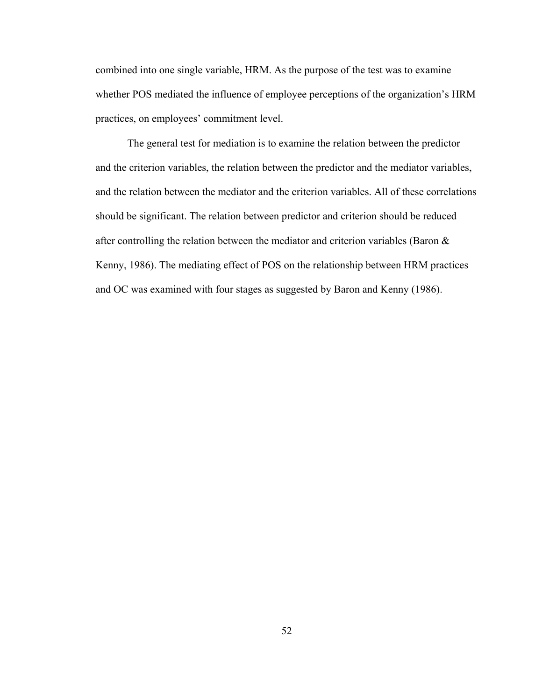combined into one single variable, HRM. As the purpose of the test was to examine whether POS mediated the influence of employee perceptions of the organization's HRM practices, on employees' commitment level.

The general test for mediation is to examine the relation between the predictor and the criterion variables, the relation between the predictor and the mediator variables, and the relation between the mediator and the criterion variables. All of these correlations should be significant. The relation between predictor and criterion should be reduced after controlling the relation between the mediator and criterion variables (Baron & Kenny, 1986). The mediating effect of POS on the relationship between HRM practices and OC was examined with four stages as suggested by Baron and Kenny (1986).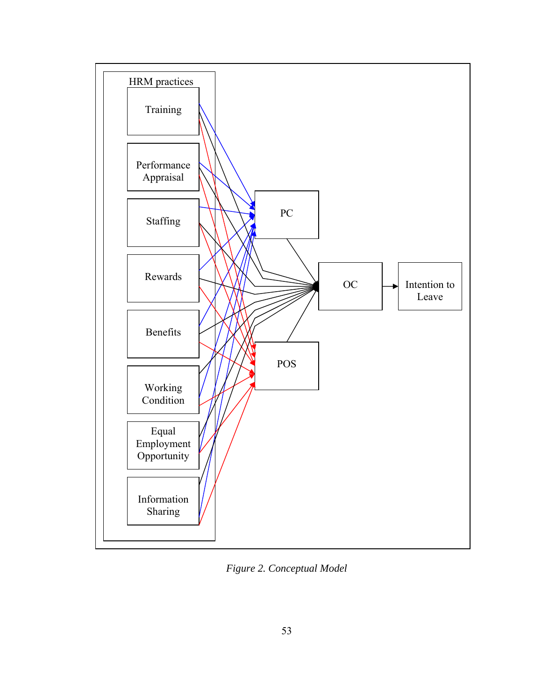

*Figure 2. Conceptual Model*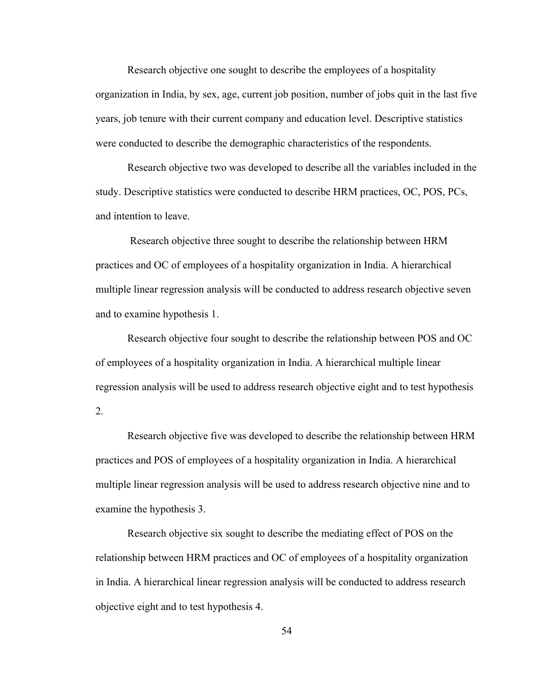Research objective one sought to describe the employees of a hospitality organization in India, by sex, age, current job position, number of jobs quit in the last five years, job tenure with their current company and education level. Descriptive statistics were conducted to describe the demographic characteristics of the respondents.

Research objective two was developed to describe all the variables included in the study. Descriptive statistics were conducted to describe HRM practices, OC, POS, PCs, and intention to leave.

 Research objective three sought to describe the relationship between HRM practices and OC of employees of a hospitality organization in India. A hierarchical multiple linear regression analysis will be conducted to address research objective seven and to examine hypothesis 1.

Research objective four sought to describe the relationship between POS and OC of employees of a hospitality organization in India. A hierarchical multiple linear regression analysis will be used to address research objective eight and to test hypothesis 2.

Research objective five was developed to describe the relationship between HRM practices and POS of employees of a hospitality organization in India. A hierarchical multiple linear regression analysis will be used to address research objective nine and to examine the hypothesis 3.

Research objective six sought to describe the mediating effect of POS on the relationship between HRM practices and OC of employees of a hospitality organization in India. A hierarchical linear regression analysis will be conducted to address research objective eight and to test hypothesis 4.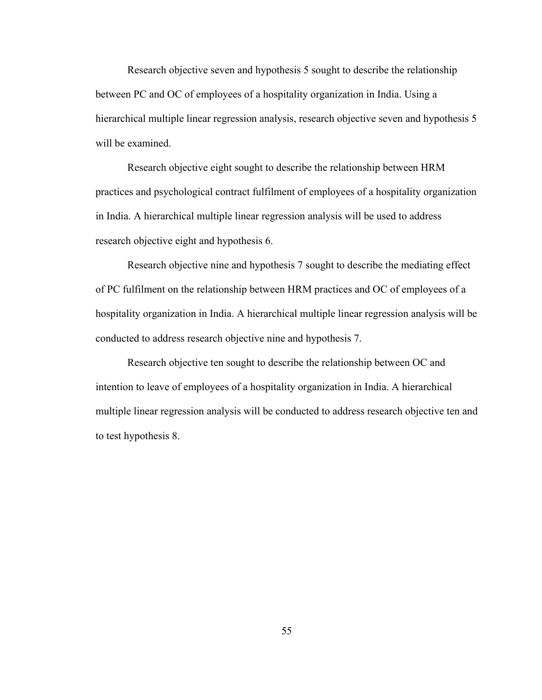Research objective seven and hypothesis 5 sought to describe the relationship between PC and OC of employees of a hospitality organization in India. Using a hierarchical multiple linear regression analysis, research objective seven and hypothesis 5 will be examined.

Research objective eight sought to describe the relationship between HRM practices and psychological contract fulfilment of employees of a hospitality organization in India. A hierarchical multiple linear regression analysis will be used to address research objective eight and hypothesis 6.

Research objective nine and hypothesis 7 sought to describe the mediating effect of PC fulfilment on the relationship between HRM practices and OC of employees of a hospitality organization in India. A hierarchical multiple linear regression analysis will be conducted to address research objective nine and hypothesis 7.

Research objective ten sought to describe the relationship between OC and intention to leave of employees of a hospitality organization in India. A hierarchical multiple linear regression analysis will be conducted to address research objective ten and to test hypothesis 8.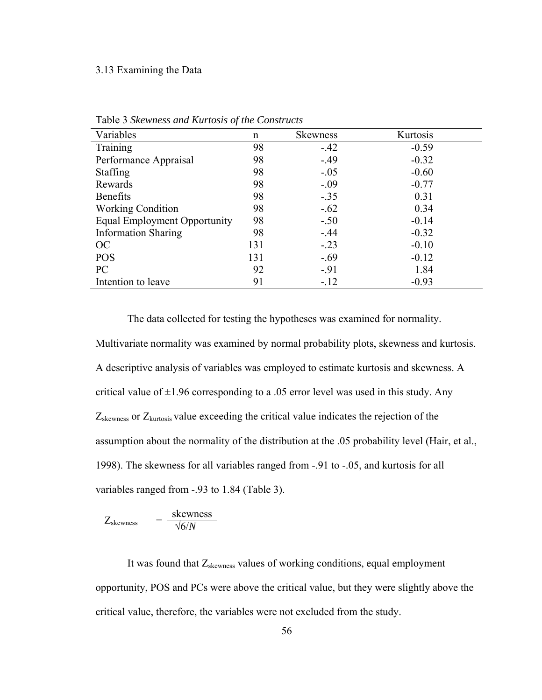## 3.13 Examining the Data

| Variables                           | n   | Skewness | Kurtosis |
|-------------------------------------|-----|----------|----------|
| Training                            | 98  | $-.42$   | $-0.59$  |
| Performance Appraisal               | 98  | $-0.49$  | $-0.32$  |
| <b>Staffing</b>                     | 98  | $-.05$   | $-0.60$  |
| Rewards                             | 98  | $-.09$   | $-0.77$  |
| <b>Benefits</b>                     | 98  | $-.35$   | 0.31     |
| <b>Working Condition</b>            | 98  | $-.62$   | 0.34     |
| <b>Equal Employment Opportunity</b> | 98  | $-.50$   | $-0.14$  |
| <b>Information Sharing</b>          | 98  | $-44$    | $-0.32$  |
| OC                                  | 131 | $-.23$   | $-0.10$  |
| <b>POS</b>                          | 131 | $-.69$   | $-0.12$  |
| PC                                  | 92  | $-91$    | 1.84     |
| Intention to leave                  | 91  | $-12$    | $-0.93$  |

Table 3 *Skewness and Kurtosis of the Constructs* 

The data collected for testing the hypotheses was examined for normality. Multivariate normality was examined by normal probability plots, skewness and kurtosis. A descriptive analysis of variables was employed to estimate kurtosis and skewness. A critical value of  $\pm 1.96$  corresponding to a .05 error level was used in this study. Any Zskewness or Zkurtosis value exceeding the critical value indicates the rejection of the assumption about the normality of the distribution at the .05 probability level (Hair, et al., 1998). The skewness for all variables ranged from -.91 to -.05, and kurtosis for all variables ranged from -.93 to 1.84 (Table 3).

$$
Z_{\text{skewness}} = \frac{\text{skewness}}{\sqrt{6/N}}
$$

It was found that  $Z_{\text{skewness}}$  values of working conditions, equal employment opportunity, POS and PCs were above the critical value, but they were slightly above the critical value, therefore, the variables were not excluded from the study.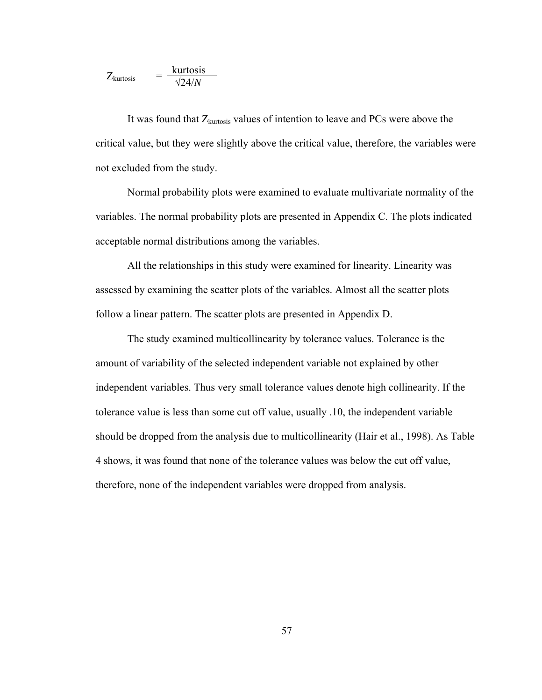$$
Z_{\text{kurtosis}} = \frac{\text{kurtosis}}{\sqrt{24/N}}
$$

It was found that  $Z_{kurtosis}$  values of intention to leave and PCs were above the critical value, but they were slightly above the critical value, therefore, the variables were not excluded from the study.

Normal probability plots were examined to evaluate multivariate normality of the variables. The normal probability plots are presented in Appendix C. The plots indicated acceptable normal distributions among the variables.

All the relationships in this study were examined for linearity. Linearity was assessed by examining the scatter plots of the variables. Almost all the scatter plots follow a linear pattern. The scatter plots are presented in Appendix D.

The study examined multicollinearity by tolerance values. Tolerance is the amount of variability of the selected independent variable not explained by other independent variables. Thus very small tolerance values denote high collinearity. If the tolerance value is less than some cut off value, usually .10, the independent variable should be dropped from the analysis due to multicollinearity (Hair et al., 1998). As Table 4 shows, it was found that none of the tolerance values was below the cut off value, therefore, none of the independent variables were dropped from analysis.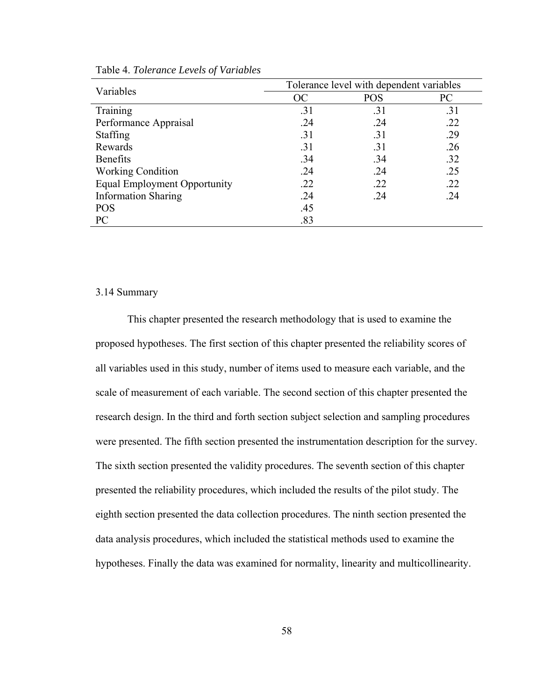| Variables                           | Tolerance level with dependent variables |            |     |  |  |  |  |
|-------------------------------------|------------------------------------------|------------|-----|--|--|--|--|
|                                     | OC                                       | <b>POS</b> | PC  |  |  |  |  |
| Training                            | .31                                      | .31        | .31 |  |  |  |  |
| Performance Appraisal               | .24                                      | .24        | .22 |  |  |  |  |
| <b>Staffing</b>                     | .31                                      | .31        | .29 |  |  |  |  |
| Rewards                             | .31                                      | .31        | .26 |  |  |  |  |
| <b>Benefits</b>                     | .34                                      | .34        | .32 |  |  |  |  |
| <b>Working Condition</b>            | .24                                      | .24        | .25 |  |  |  |  |
| <b>Equal Employment Opportunity</b> | .22                                      | .22        | .22 |  |  |  |  |
| <b>Information Sharing</b>          | .24                                      | .24        | .24 |  |  |  |  |
| <b>POS</b>                          | .45                                      |            |     |  |  |  |  |
| PC                                  | .83                                      |            |     |  |  |  |  |

Table 4. *Tolerance Levels of Variables*

# 3.14 Summary

This chapter presented the research methodology that is used to examine the proposed hypotheses. The first section of this chapter presented the reliability scores of all variables used in this study, number of items used to measure each variable, and the scale of measurement of each variable. The second section of this chapter presented the research design. In the third and forth section subject selection and sampling procedures were presented. The fifth section presented the instrumentation description for the survey. The sixth section presented the validity procedures. The seventh section of this chapter presented the reliability procedures, which included the results of the pilot study. The eighth section presented the data collection procedures. The ninth section presented the data analysis procedures, which included the statistical methods used to examine the hypotheses. Finally the data was examined for normality, linearity and multicollinearity.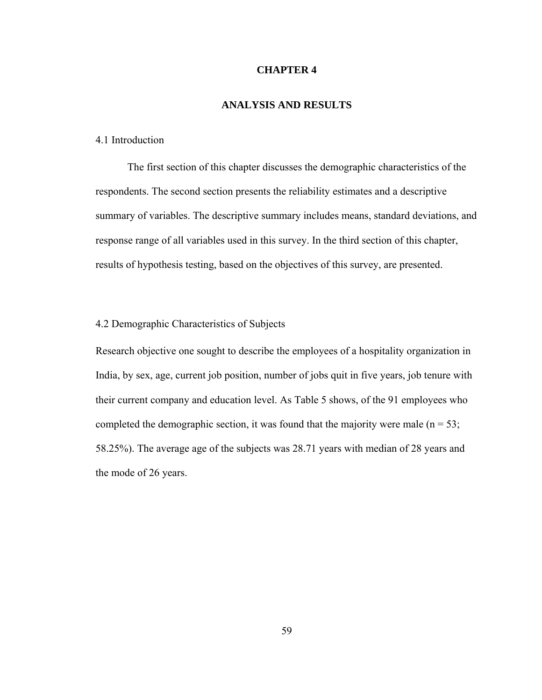## **CHAPTER 4**

### **ANALYSIS AND RESULTS**

# 4.1 Introduction

The first section of this chapter discusses the demographic characteristics of the respondents. The second section presents the reliability estimates and a descriptive summary of variables. The descriptive summary includes means, standard deviations, and response range of all variables used in this survey. In the third section of this chapter, results of hypothesis testing, based on the objectives of this survey, are presented.

# 4.2 Demographic Characteristics of Subjects

Research objective one sought to describe the employees of a hospitality organization in India, by sex, age, current job position, number of jobs quit in five years, job tenure with their current company and education level. As Table 5 shows, of the 91 employees who completed the demographic section, it was found that the majority were male ( $n = 53$ ; 58.25%). The average age of the subjects was 28.71 years with median of 28 years and the mode of 26 years.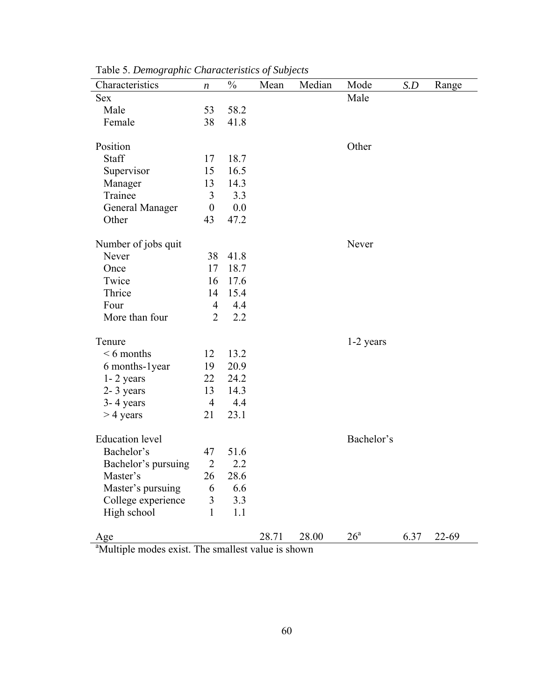| Characteristics                                                | $\boldsymbol{n}$        | $\frac{0}{0}$ | Mean  | Median | Mode            | S.D  | Range     |
|----------------------------------------------------------------|-------------------------|---------------|-------|--------|-----------------|------|-----------|
| <b>Sex</b>                                                     |                         |               |       |        | Male            |      |           |
| Male                                                           | 53                      | 58.2          |       |        |                 |      |           |
| Female                                                         | 38                      | 41.8          |       |        |                 |      |           |
| Position                                                       |                         |               |       |        | Other           |      |           |
| Staff                                                          | 17                      | 18.7          |       |        |                 |      |           |
| Supervisor                                                     | 15                      | 16.5          |       |        |                 |      |           |
| Manager                                                        | 13                      | 14.3          |       |        |                 |      |           |
| Trainee                                                        | 3                       | 3.3           |       |        |                 |      |           |
| General Manager                                                | $\boldsymbol{0}$        | 0.0           |       |        |                 |      |           |
| Other                                                          | 43                      | 47.2          |       |        |                 |      |           |
| Number of jobs quit                                            |                         |               |       |        | Never           |      |           |
| Never                                                          | 38                      | 41.8          |       |        |                 |      |           |
| Once                                                           | 17                      | 18.7          |       |        |                 |      |           |
| Twice                                                          | 16                      | 17.6          |       |        |                 |      |           |
| Thrice                                                         | 14                      | 15.4          |       |        |                 |      |           |
| Four                                                           | $\overline{4}$          | 4.4           |       |        |                 |      |           |
| More than four                                                 | $\overline{2}$          | 2.2           |       |        |                 |      |           |
| Tenure                                                         |                         |               |       |        | 1-2 years       |      |           |
| $\leq 6$ months                                                | 12                      | 13.2          |       |        |                 |      |           |
| 6 months-1year                                                 | 19                      | 20.9          |       |        |                 |      |           |
| $1 - 2$ years                                                  | 22                      | 24.2          |       |        |                 |      |           |
| $2 - 3$ years                                                  | 13                      | 14.3          |       |        |                 |      |           |
| $3 - 4$ years                                                  | $\overline{4}$          | 4.4           |       |        |                 |      |           |
| $>$ 4 years                                                    | 21                      | 23.1          |       |        |                 |      |           |
| <b>Education</b> level                                         |                         |               |       |        | Bachelor's      |      |           |
| Bachelor's                                                     | 47                      | 51.6          |       |        |                 |      |           |
| Bachelor's pursuing                                            | $\overline{2}$          | 2.2           |       |        |                 |      |           |
| Master's                                                       | 26                      | 28.6          |       |        |                 |      |           |
| Master's pursuing                                              | 6                       | 6.6           |       |        |                 |      |           |
| College experience                                             | $\overline{\mathbf{3}}$ | 3.3           |       |        |                 |      |           |
| High school                                                    | $\mathbf{1}$            | 1.1           |       |        |                 |      |           |
| Age                                                            |                         |               | 28.71 | 28.00  | 26 <sup>a</sup> | 6.37 | $22 - 69$ |
| <sup>a</sup> Multiple modes exist. The smallest value is shown |                         |               |       |        |                 |      |           |

Table 5. *Demographic Characteristics of Subjects*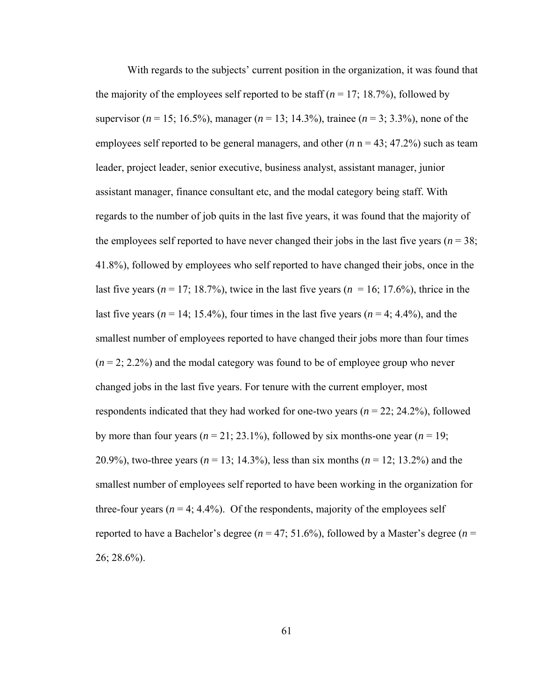With regards to the subjects' current position in the organization, it was found that the majority of the employees self reported to be staff  $(n = 17, 18.7\%)$ , followed by supervisor ( $n = 15$ ; 16.5%), manager ( $n = 13$ ; 14.3%), trainee ( $n = 3$ ; 3.3%), none of the employees self reported to be general managers, and other  $(n n = 43; 47.2%)$  such as team leader, project leader, senior executive, business analyst, assistant manager, junior assistant manager, finance consultant etc, and the modal category being staff. With regards to the number of job quits in the last five years, it was found that the majority of the employees self reported to have never changed their jobs in the last five years ( $n = 38$ ; 41.8%), followed by employees who self reported to have changed their jobs, once in the last five years ( $n = 17$ ; 18.7%), twice in the last five years ( $n = 16$ ; 17.6%), thrice in the last five years ( $n = 14$ ; 15.4%), four times in the last five years ( $n = 4$ ; 4.4%), and the smallest number of employees reported to have changed their jobs more than four times (*n* = 2; 2.2%) and the modal category was found to be of employee group who never changed jobs in the last five years. For tenure with the current employer, most respondents indicated that they had worked for one-two years (*n* = 22; 24.2%), followed by more than four years ( $n = 21$ ; 23.1%), followed by six months-one year ( $n = 19$ ; 20.9%), two-three years (*n* = 13; 14.3%), less than six months (*n* = 12; 13.2%) and the smallest number of employees self reported to have been working in the organization for three-four years  $(n = 4; 4.4\%)$ . Of the respondents, majority of the employees self reported to have a Bachelor's degree ( $n = 47$ ; 51.6%), followed by a Master's degree ( $n =$  $26$ ;  $28.6\%$ ).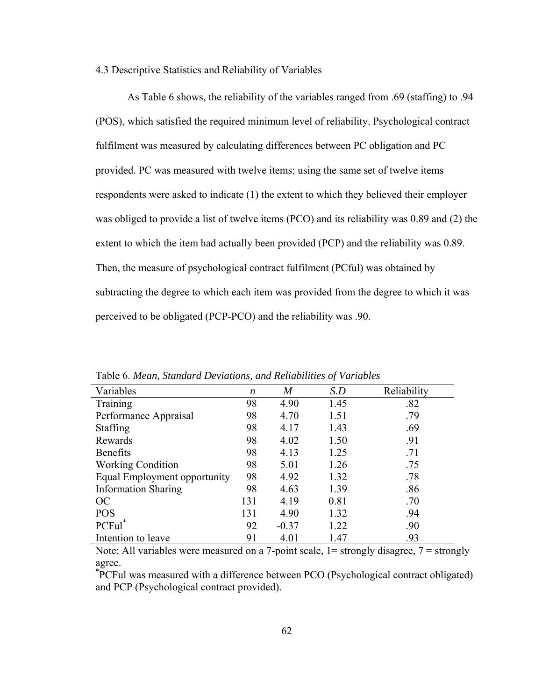# 4.3 Descriptive Statistics and Reliability of Variables

As Table 6 shows, the reliability of the variables ranged from .69 (staffing) to .94 (POS), which satisfied the required minimum level of reliability. Psychological contract fulfilment was measured by calculating differences between PC obligation and PC provided. PC was measured with twelve items; using the same set of twelve items respondents were asked to indicate (1) the extent to which they believed their employer was obliged to provide a list of twelve items (PCO) and its reliability was 0.89 and (2) the extent to which the item had actually been provided (PCP) and the reliability was 0.89. Then, the measure of psychological contract fulfilment (PCful) was obtained by subtracting the degree to which each item was provided from the degree to which it was perceived to be obligated (PCP-PCO) and the reliability was .90.

| Variables                    | $\boldsymbol{n}$ | $\boldsymbol{M}$ | S.D  | Reliability |
|------------------------------|------------------|------------------|------|-------------|
| Training                     | 98               | 4.90             | 1.45 | .82         |
| Performance Appraisal        | 98               | 4.70             | 1.51 | .79         |
| <b>Staffing</b>              | 98               | 4.17             | 1.43 | .69         |
| Rewards                      | 98               | 4.02             | 1.50 | .91         |
| <b>Benefits</b>              | 98               | 4.13             | 1.25 | .71         |
| <b>Working Condition</b>     | 98               | 5.01             | 1.26 | .75         |
| Equal Employment opportunity | 98               | 4.92             | 1.32 | .78         |
| <b>Information Sharing</b>   | 98               | 4.63             | 1.39 | .86         |
| OC                           | 131              | 4.19             | 0.81 | .70         |
| <b>POS</b>                   | 131              | 4.90             | 1.32 | .94         |
| PCFul                        | 92               | $-0.37$          | 1.22 | .90         |
| Intention to leave           | 91               | 4.01             | 1.47 | .93         |

Table 6. *Mean, Standard Deviations, and Reliabilities of Variables*

Note: All variables were measured on a 7-point scale,  $1 =$  strongly disagree,  $7 =$  strongly agree.

\* PCFul was measured with a difference between PCO (Psychological contract obligated) and PCP (Psychological contract provided).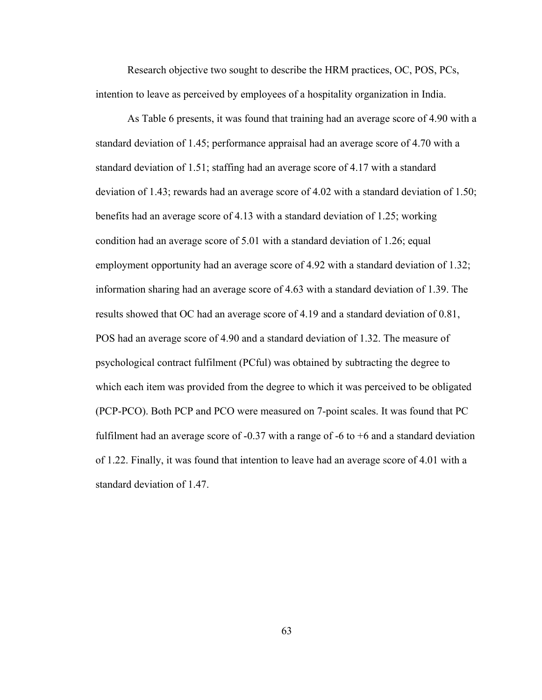Research objective two sought to describe the HRM practices, OC, POS, PCs, intention to leave as perceived by employees of a hospitality organization in India.

As Table 6 presents, it was found that training had an average score of 4.90 with a standard deviation of 1.45; performance appraisal had an average score of 4.70 with a standard deviation of 1.51; staffing had an average score of 4.17 with a standard deviation of 1.43; rewards had an average score of 4.02 with a standard deviation of 1.50; benefits had an average score of 4.13 with a standard deviation of 1.25; working condition had an average score of 5.01 with a standard deviation of 1.26; equal employment opportunity had an average score of 4.92 with a standard deviation of 1.32; information sharing had an average score of 4.63 with a standard deviation of 1.39. The results showed that OC had an average score of 4.19 and a standard deviation of 0.81, POS had an average score of 4.90 and a standard deviation of 1.32. The measure of psychological contract fulfilment (PCful) was obtained by subtracting the degree to which each item was provided from the degree to which it was perceived to be obligated (PCP-PCO). Both PCP and PCO were measured on 7-point scales. It was found that PC fulfilment had an average score of  $-0.37$  with a range of  $-6$  to  $+6$  and a standard deviation of 1.22. Finally, it was found that intention to leave had an average score of 4.01 with a standard deviation of 1.47.

63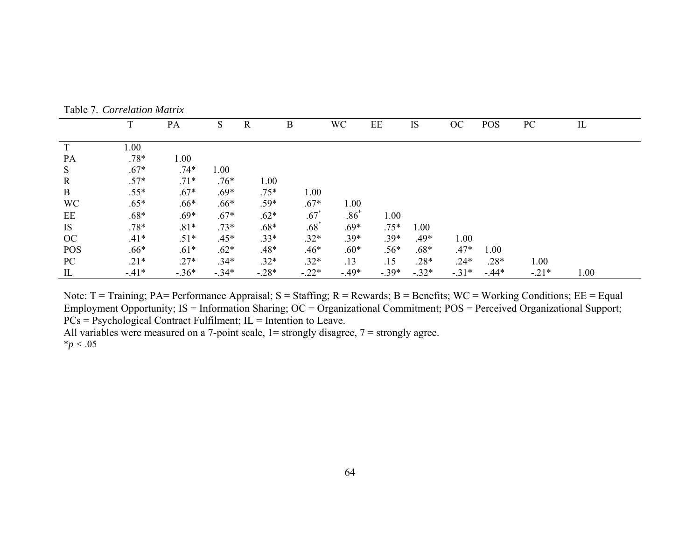|              | T      | PA      | S       | R       | B               | WC      | EE      | IS      | OC     | <b>POS</b> | PC      | IL   |  |
|--------------|--------|---------|---------|---------|-----------------|---------|---------|---------|--------|------------|---------|------|--|
|              |        |         |         |         |                 |         |         |         |        |            |         |      |  |
|              | 1.00   |         |         |         |                 |         |         |         |        |            |         |      |  |
| PA           | $.78*$ | 1.00    |         |         |                 |         |         |         |        |            |         |      |  |
| S            | $.67*$ | $.74*$  | 1.00    |         |                 |         |         |         |        |            |         |      |  |
| $\mathbf R$  | $.57*$ | $.71*$  | $.76*$  | 1.00    |                 |         |         |         |        |            |         |      |  |
| $\mathbf{B}$ | $.55*$ | $.67*$  | $.69*$  | $.75*$  | 1.00            |         |         |         |        |            |         |      |  |
| <b>WC</b>    | $.65*$ | $.66*$  | $.66*$  | $.59*$  | $.67*$          | 1.00    |         |         |        |            |         |      |  |
| EE           | $.68*$ | $.69*$  | $.67*$  | $.62*$  | .67             | $.86*$  | 1.00    |         |        |            |         |      |  |
| IS           | $.78*$ | $.81*$  | $.73*$  | $.68*$  | $.68^{\degree}$ | $.69*$  | $.75*$  | 1.00    |        |            |         |      |  |
| OC           | $.41*$ | $.51*$  | $.45*$  | $.33*$  | $.32*$          | .39*    | $.39*$  | $.49*$  | 1.00   |            |         |      |  |
| <b>POS</b>   | $.66*$ | $.61*$  | $.62*$  | $.48*$  | $.46*$          | $.60*$  | $.56*$  | $.68*$  | $.47*$ | 1.00       |         |      |  |
| PC           | $.21*$ | $.27*$  | $.34*$  | $.32*$  | $.32*$          | .13     | .15     | $.28*$  | $.24*$ | $.28*$     | 1.00    |      |  |
| IL           | $-41*$ | $-.36*$ | $-.34*$ | $-.28*$ | $-.22*$         | $-.49*$ | $-.39*$ | $-.32*$ | $-31*$ | $-44*$     | $-.21*$ | 1.00 |  |

Table 7. *Correlation Matrix* 

Note:  $T =$  Training; PA= Performance Appraisal;  $S =$  Staffing; R = Rewards; B = Benefits; WC = Working Conditions; EE = Equal Employment Opportunity; IS = Information Sharing; OC = Organizational Commitment; POS = Perceived Organizational Support;  $PCs = Psychology$  Contract Fulfilment;  $IL = Intention to Leave$ .

All variables were measured on a 7-point scale, 1= strongly disagree, 7 = strongly agree.

 $*$ *p*  $< .05$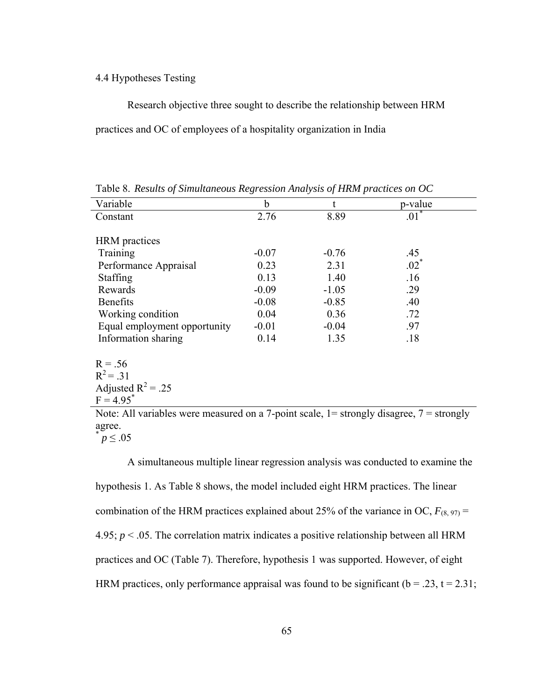# 4.4 Hypotheses Testing

Research objective three sought to describe the relationship between HRM practices and OC of employees of a hospitality organization in India

| Variable                     | b       |         | p-value            |
|------------------------------|---------|---------|--------------------|
| Constant                     | 2.76    | 8.89    | .01                |
|                              |         |         |                    |
| <b>HRM</b> practices         |         |         |                    |
| Training                     | $-0.07$ | $-0.76$ | .45                |
| Performance Appraisal        | 0.23    | 2.31    | $.02$ <sup>*</sup> |
| <b>Staffing</b>              | 0.13    | 1.40    | .16                |
| Rewards                      | $-0.09$ | $-1.05$ | .29                |
| <b>Benefits</b>              | $-0.08$ | $-0.85$ | .40                |
| Working condition            | 0.04    | 0.36    | .72                |
| Equal employment opportunity | $-0.01$ | $-0.04$ | .97                |
| Information sharing          | 0.14    | 1.35    | .18                |

Table 8. *Results of Simultaneous Regression Analysis of HRM practices on OC* 

 $R = .56$  $R^2 = 31$ Adjusted  $R^2 = .25$  $F = 4.95$ <sup>\*</sup>

Note: All variables were measured on a 7-point scale, 1= strongly disagree, 7 = strongly agree.  $p \leq .05$ 

A simultaneous multiple linear regression analysis was conducted to examine the hypothesis 1. As Table 8 shows, the model included eight HRM practices. The linear combination of the HRM practices explained about 25% of the variance in OC,  $F_{(8, 97)}$  = 4.95;  $p < 0.05$ . The correlation matrix indicates a positive relationship between all HRM practices and OC (Table 7). Therefore, hypothesis 1 was supported. However, of eight HRM practices, only performance appraisal was found to be significant ( $b = .23$ ,  $t = 2.31$ ;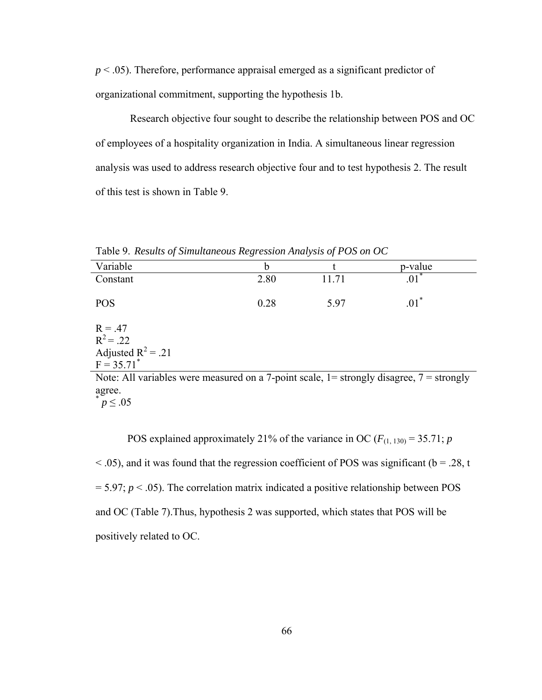*p* < .05). Therefore, performance appraisal emerged as a significant predictor of organizational commitment, supporting the hypothesis 1b.

 Research objective four sought to describe the relationship between POS and OC of employees of a hospitality organization in India. A simultaneous linear regression analysis was used to address research objective four and to test hypothesis 2. The result of this test is shown in Table 9.

Table 9. *Results of Simultaneous Regression Analysis of POS on OC* 

| Variable                                                                                    |      |       | p-value |  |
|---------------------------------------------------------------------------------------------|------|-------|---------|--|
| Constant                                                                                    | 2.80 | 11.71 |         |  |
|                                                                                             |      |       |         |  |
| <b>POS</b>                                                                                  | 0.28 | 5.97  | $.01*$  |  |
| $R = .47$                                                                                   |      |       |         |  |
| $R^2 = .22$                                                                                 |      |       |         |  |
| Adjusted $R^2$ = .21                                                                        |      |       |         |  |
| $F = 35.71$ <sup>*</sup>                                                                    |      |       |         |  |
| Note: All variables were measured on a 7-point scale $1 =$ strongly disagree $7 =$ strongly |      |       |         |  |

I variables were measured on a 7-point scale,  $l =$  strongly disagree,  $l =$  strongly agree.  $p \leq .05$ 

POS explained approximately 21% of the variance in OC ( $F_{(1, 130)} = 35.71$ ; *p* 

 $\leq$  0.05), and it was found that the regression coefficient of POS was significant ( $b = 0.28$ , t  $= 5.97$ ;  $p < .05$ ). The correlation matrix indicated a positive relationship between POS and OC (Table 7).Thus, hypothesis 2 was supported, which states that POS will be positively related to OC.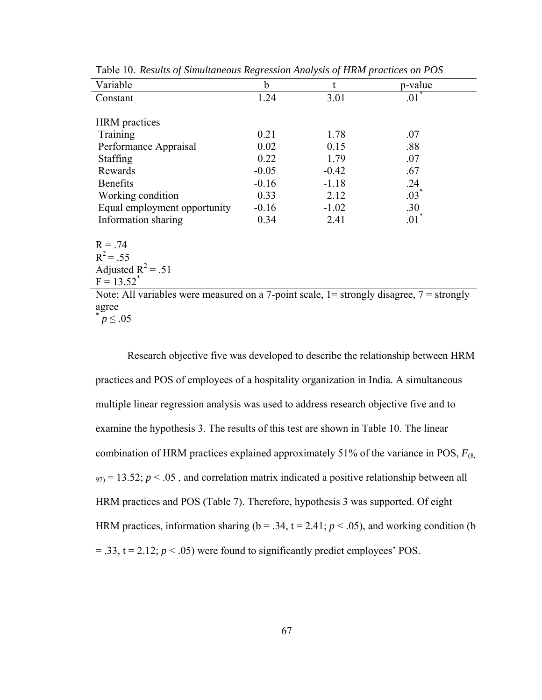| Variable                     | b       |         | p-value            |
|------------------------------|---------|---------|--------------------|
| Constant                     | 1.24    | 3.01    | .01                |
|                              |         |         |                    |
| <b>HRM</b> practices         |         |         |                    |
| Training                     | 0.21    | 1.78    | .07                |
| Performance Appraisal        | 0.02    | 0.15    | .88                |
| <b>Staffing</b>              | 0.22    | 1.79    | .07                |
| Rewards                      | $-0.05$ | $-0.42$ | .67                |
| <b>Benefits</b>              | $-0.16$ | $-1.18$ | .24                |
| Working condition            | 0.33    | 2.12    | $.03$ <sup>'</sup> |
| Equal employment opportunity | $-0.16$ | $-1.02$ | .30                |
| Information sharing          | 0.34    | 2.41    | .01                |
|                              |         |         |                    |

Table 10. *Results of Simultaneous Regression Analysis of HRM practices on POS* 

 $R = .74$  $R^2 = .55$ Adjusted  $R^2 = .51$  $F = 13.52$ <sup>\*</sup>

Note: All variables were measured on a 7-point scale, 1= strongly disagree, 7 = strongly agree  $p \leq 0.05$ 

Research objective five was developed to describe the relationship between HRM practices and POS of employees of a hospitality organization in India. A simultaneous multiple linear regression analysis was used to address research objective five and to examine the hypothesis 3. The results of this test are shown in Table 10. The linear combination of HRM practices explained approximately 51% of the variance in POS,  $F_{(8)}$  $97<sub>97</sub> = 13.52$ ;  $p < .05$ , and correlation matrix indicated a positive relationship between all HRM practices and POS (Table 7). Therefore, hypothesis 3 was supported. Of eight HRM practices, information sharing ( $b = .34$ ,  $t = 2.41$ ;  $p < .05$ ), and working condition (b  $= .33$ ,  $t = 2.12$ ;  $p < .05$ ) were found to significantly predict employees' POS.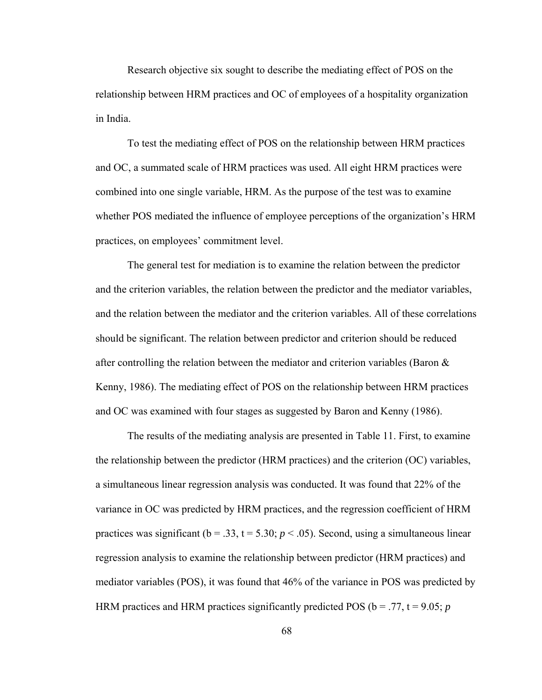Research objective six sought to describe the mediating effect of POS on the relationship between HRM practices and OC of employees of a hospitality organization in India.

To test the mediating effect of POS on the relationship between HRM practices and OC, a summated scale of HRM practices was used. All eight HRM practices were combined into one single variable, HRM. As the purpose of the test was to examine whether POS mediated the influence of employee perceptions of the organization's HRM practices, on employees' commitment level.

The general test for mediation is to examine the relation between the predictor and the criterion variables, the relation between the predictor and the mediator variables, and the relation between the mediator and the criterion variables. All of these correlations should be significant. The relation between predictor and criterion should be reduced after controlling the relation between the mediator and criterion variables (Baron & Kenny, 1986). The mediating effect of POS on the relationship between HRM practices and OC was examined with four stages as suggested by Baron and Kenny (1986).

The results of the mediating analysis are presented in Table 11. First, to examine the relationship between the predictor (HRM practices) and the criterion (OC) variables, a simultaneous linear regression analysis was conducted. It was found that 22% of the variance in OC was predicted by HRM practices, and the regression coefficient of HRM practices was significant ( $b = .33$ ,  $t = 5.30$ ;  $p < .05$ ). Second, using a simultaneous linear regression analysis to examine the relationship between predictor (HRM practices) and mediator variables (POS), it was found that 46% of the variance in POS was predicted by HRM practices and HRM practices significantly predicted POS ( $b = .77$ ,  $t = 9.05$ ; *p*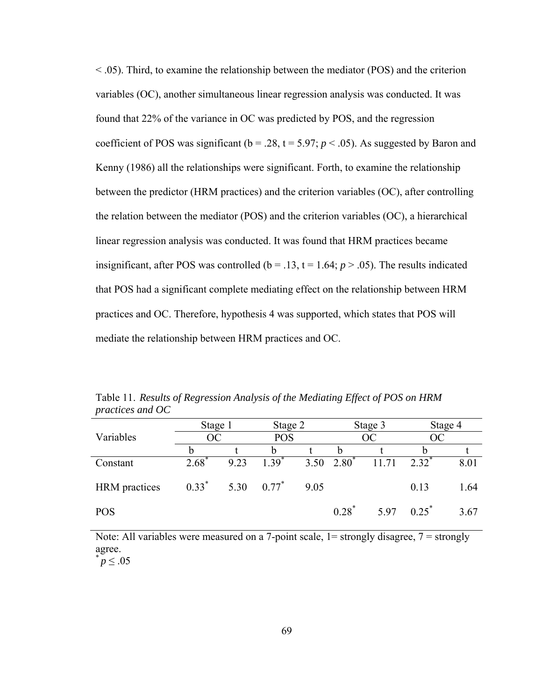< .05). Third, to examine the relationship between the mediator (POS) and the criterion variables (OC), another simultaneous linear regression analysis was conducted. It was found that 22% of the variance in OC was predicted by POS, and the regression coefficient of POS was significant ( $b = .28$ ,  $t = 5.97$ ;  $p < .05$ ). As suggested by Baron and Kenny (1986) all the relationships were significant. Forth, to examine the relationship between the predictor (HRM practices) and the criterion variables (OC), after controlling the relation between the mediator (POS) and the criterion variables (OC), a hierarchical linear regression analysis was conducted. It was found that HRM practices became insignificant, after POS was controlled ( $b = .13$ ,  $t = 1.64$ ;  $p > .05$ ). The results indicated that POS had a significant complete mediating effect on the relationship between HRM practices and OC. Therefore, hypothesis 4 was supported, which states that POS will mediate the relationship between HRM practices and OC.

|                      | Stage 1                |      | Stage 2    |      | Stage 3       |           | Stage 4             |      |
|----------------------|------------------------|------|------------|------|---------------|-----------|---------------------|------|
| Variables            | ОC                     |      | <b>POS</b> |      |               | <b>OC</b> | ОC                  |      |
|                      | n                      |      | h          |      | h             |           |                     |      |
| Constant             | $2.68*$                | 9.23 | $1.39^*$   |      | 3.50 $2.80^*$ | 11.71     | $\overline{2.32}^*$ | 8.01 |
| <b>HRM</b> practices | $0.33^*$ 5.30 $0.77^*$ |      |            | 9.05 |               |           | 0.13                | 1.64 |
| <b>POS</b>           |                        |      |            |      | $0.28^*$      |           | 5.97 $0.25^*$       | 3.67 |

Table 11. *Results of Regression Analysis of the Mediating Effect of POS on HRM practices and OC* 

Note: All variables were measured on a 7-point scale,  $1 =$  strongly disagree,  $7 =$  strongly agree.  $p^*$  *p* ≤ .05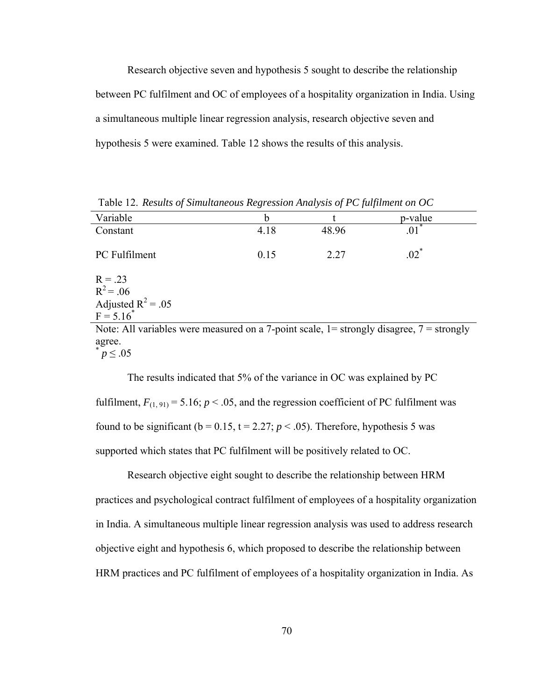Research objective seven and hypothesis 5 sought to describe the relationship between PC fulfilment and OC of employees of a hospitality organization in India. Using a simultaneous multiple linear regression analysis, research objective seven and hypothesis 5 were examined. Table 12 shows the results of this analysis.

| Variable                                                                                      | h    |       | p-value            |  |  |  |  |  |
|-----------------------------------------------------------------------------------------------|------|-------|--------------------|--|--|--|--|--|
| Constant                                                                                      | 4.18 | 48.96 | $.01$ <sup>*</sup> |  |  |  |  |  |
| PC Fulfilment                                                                                 | 0.15 | 2.27  | $.02^*$            |  |  |  |  |  |
| $R = .23$<br>$R^2 = .06$<br>Adjusted $R^2 = .05$<br>F = 5.16 <sup>*</sup>                     |      |       |                    |  |  |  |  |  |
| Note: All variables were measured on a 7-point scale, $1 =$ strongly disagree, $7 =$ strongly |      |       |                    |  |  |  |  |  |
| 0000                                                                                          |      |       |                    |  |  |  |  |  |

Table 12. *Results of Simultaneous Regression Analysis of PC fulfilment on OC* 

agree.  $p^* \ge 0.05$ 

The results indicated that 5% of the variance in OC was explained by PC fulfilment,  $F_{(1, 91)} = 5.16$ ;  $p < .05$ , and the regression coefficient of PC fulfilment was found to be significant ( $b = 0.15$ ,  $t = 2.27$ ;  $p < .05$ ). Therefore, hypothesis 5 was supported which states that PC fulfilment will be positively related to OC.

Research objective eight sought to describe the relationship between HRM practices and psychological contract fulfilment of employees of a hospitality organization in India. A simultaneous multiple linear regression analysis was used to address research objective eight and hypothesis 6, which proposed to describe the relationship between HRM practices and PC fulfilment of employees of a hospitality organization in India. As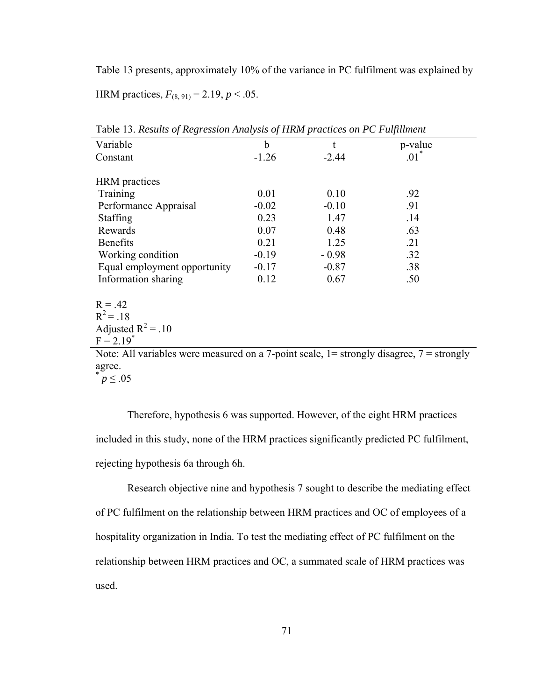Table 13 presents, approximately 10% of the variance in PC fulfilment was explained by HRM practices,  $F_{(8, 91)} = 2.19$ ,  $p < .05$ .

| Variable                                                                                    | b       |         | p-value |  |
|---------------------------------------------------------------------------------------------|---------|---------|---------|--|
| Constant                                                                                    | $-1.26$ | $-2.44$ | $.01*$  |  |
| <b>HRM</b> practices                                                                        |         |         |         |  |
|                                                                                             |         |         |         |  |
| Training                                                                                    | 0.01    | 0.10    | .92     |  |
| Performance Appraisal                                                                       | $-0.02$ | $-0.10$ | .91     |  |
| <b>Staffing</b>                                                                             | 0.23    | 1.47    | .14     |  |
| Rewards                                                                                     | 0.07    | 0.48    | .63     |  |
| <b>Benefits</b>                                                                             | 0.21    | 1.25    | .21     |  |
| Working condition                                                                           | $-0.19$ | $-0.98$ | .32     |  |
| Equal employment opportunity                                                                | $-0.17$ | $-0.87$ | .38     |  |
| Information sharing                                                                         | 0.12    | 0.67    | .50     |  |
| $R = .42$                                                                                   |         |         |         |  |
| $R^2 = .18$                                                                                 |         |         |         |  |
| Adjusted $R^2$ = .10                                                                        |         |         |         |  |
| $F = 2.19^*$                                                                                |         |         |         |  |
| Note: All variables were measured on a 7-point scale $1 =$ strongly disagree $7 =$ strongly |         |         |         |  |

Table 13. *Results of Regression Analysis of HRM practices on PC Fulfillment* 

: All variables were measured on a 7-point scale,  $I =$  strongly disagree,  $\ell$  = strongly agree.  $p \leq .05$ 

Therefore, hypothesis 6 was supported. However, of the eight HRM practices included in this study, none of the HRM practices significantly predicted PC fulfilment, rejecting hypothesis 6a through 6h.

Research objective nine and hypothesis 7 sought to describe the mediating effect of PC fulfilment on the relationship between HRM practices and OC of employees of a hospitality organization in India. To test the mediating effect of PC fulfilment on the relationship between HRM practices and OC, a summated scale of HRM practices was used.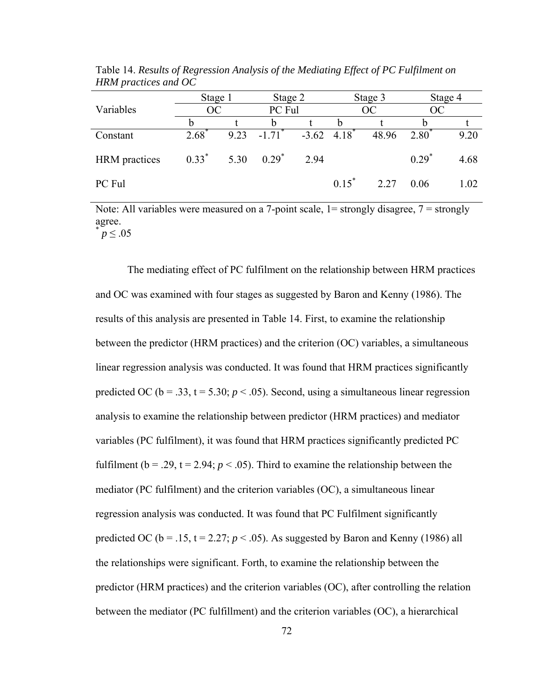|                      | Stage 1                |      | Stage 2              |                             | Stage 3   |       | Stage 4           |      |
|----------------------|------------------------|------|----------------------|-----------------------------|-----------|-------|-------------------|------|
| Variables            | <b>OC</b>              |      | PC Ful               |                             | <b>OC</b> |       | <b>OC</b>         |      |
|                      |                        |      |                      |                             |           |       |                   |      |
| Constant             | $2.68^{\degree}$       | 9.23 | $-1.71$ <sup>*</sup> | $-3.62$ $4.18$ <sup>*</sup> |           | 48.96 | 2.80 <sup>°</sup> | 9.20 |
| <b>HRM</b> practices | $0.33^*$ 5.30 $0.29^*$ |      |                      | 2.94                        |           |       | $0.29*$           | 4.68 |
| PC Ful               |                        |      |                      |                             | $0.15^*$  | 2.27  | 0.06              | 1.02 |

Table 14. *Results of Regression Analysis of the Mediating Effect of PC Fulfilment on HRM practices and OC* 

Note: All variables were measured on a 7-point scale,  $1 =$  strongly disagree,  $7 =$  strongly agree.  $p \leq .05$ 

The mediating effect of PC fulfilment on the relationship between HRM practices and OC was examined with four stages as suggested by Baron and Kenny (1986). The results of this analysis are presented in Table 14. First, to examine the relationship between the predictor (HRM practices) and the criterion (OC) variables, a simultaneous linear regression analysis was conducted. It was found that HRM practices significantly predicted OC ( $b = .33$ ,  $t = 5.30$ ;  $p < .05$ ). Second, using a simultaneous linear regression analysis to examine the relationship between predictor (HRM practices) and mediator variables (PC fulfilment), it was found that HRM practices significantly predicted PC fulfilment ( $b = 0.29$ ,  $t = 2.94$ ;  $p < 0.05$ ). Third to examine the relationship between the mediator (PC fulfilment) and the criterion variables (OC), a simultaneous linear regression analysis was conducted. It was found that PC Fulfilment significantly predicted OC ( $b = .15$ ,  $t = 2.27$ ;  $p < .05$ ). As suggested by Baron and Kenny (1986) all the relationships were significant. Forth, to examine the relationship between the predictor (HRM practices) and the criterion variables (OC), after controlling the relation between the mediator (PC fulfillment) and the criterion variables (OC), a hierarchical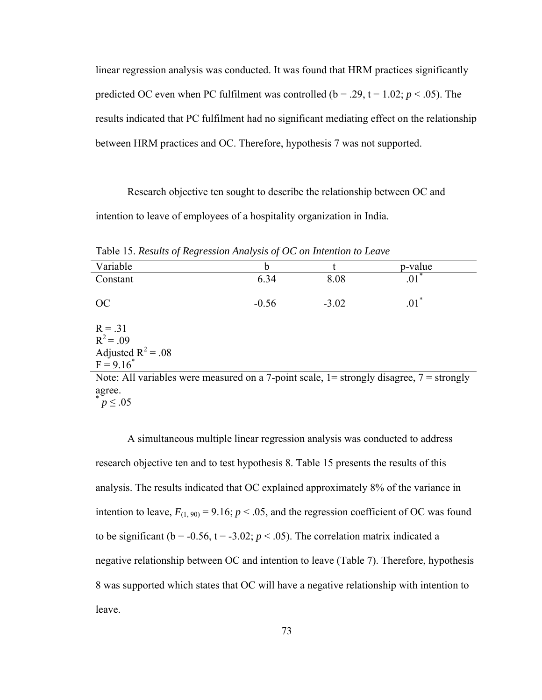linear regression analysis was conducted. It was found that HRM practices significantly predicted OC even when PC fulfilment was controlled ( $b = .29$ ,  $t = 1.02$ ;  $p < .05$ ). The results indicated that PC fulfilment had no significant mediating effect on the relationship between HRM practices and OC. Therefore, hypothesis 7 was not supported.

Research objective ten sought to describe the relationship between OC and intention to leave of employees of a hospitality organization in India.

Table 15. *Results of Regression Analysis of OC on Intention to Leave* 

| $\sim$                                                                    |         |         |                          |        |
|---------------------------------------------------------------------------|---------|---------|--------------------------|--------|
| Variable                                                                  | h       |         | p-value                  |        |
| Constant                                                                  | 6.34    | 8.08    | $.01$ <sup>*</sup>       |        |
| OC                                                                        | $-0.56$ | $-3.02$ | $.01^*$                  |        |
| $R = .31$<br>$R^2 = .09$<br>Adjusted $R^2 = .08$<br>F = 9.16 <sup>*</sup> |         |         |                          |        |
|                                                                           |         |         |                          |        |
| $\cdot$ $\cdot$ $\cdot$                                                   |         |         | $\overline{\phantom{0}}$ | $\sim$ |

Note: All variables were measured on a 7-point scale, 1 = strongly disagree, 7 = strongly agree.  $p \leq .05$ 

A simultaneous multiple linear regression analysis was conducted to address research objective ten and to test hypothesis 8. Table 15 presents the results of this analysis. The results indicated that OC explained approximately 8% of the variance in intention to leave,  $F_{(1, 90)} = 9.16$ ;  $p < .05$ , and the regression coefficient of OC was found to be significant ( $b = -0.56$ ,  $t = -3.02$ ;  $p < .05$ ). The correlation matrix indicated a negative relationship between OC and intention to leave (Table 7). Therefore, hypothesis 8 was supported which states that OC will have a negative relationship with intention to leave.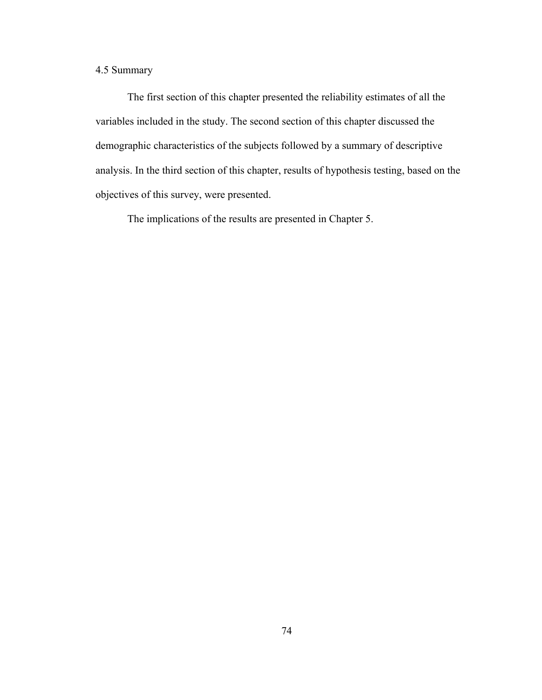# 4.5 Summary

The first section of this chapter presented the reliability estimates of all the variables included in the study. The second section of this chapter discussed the demographic characteristics of the subjects followed by a summary of descriptive analysis. In the third section of this chapter, results of hypothesis testing, based on the objectives of this survey, were presented.

The implications of the results are presented in Chapter 5.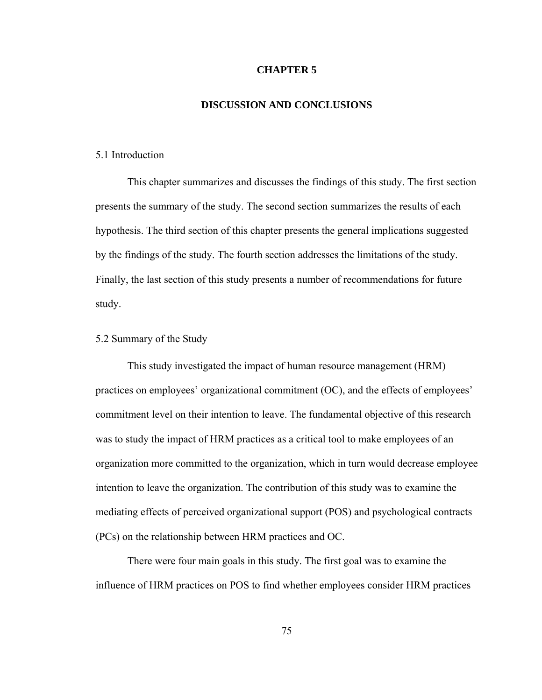## **CHAPTER 5**

## **DISCUSSION AND CONCLUSIONS**

# 5.1 Introduction

This chapter summarizes and discusses the findings of this study. The first section presents the summary of the study. The second section summarizes the results of each hypothesis. The third section of this chapter presents the general implications suggested by the findings of the study. The fourth section addresses the limitations of the study. Finally, the last section of this study presents a number of recommendations for future study.

# 5.2 Summary of the Study

This study investigated the impact of human resource management (HRM) practices on employees' organizational commitment (OC), and the effects of employees' commitment level on their intention to leave. The fundamental objective of this research was to study the impact of HRM practices as a critical tool to make employees of an organization more committed to the organization, which in turn would decrease employee intention to leave the organization. The contribution of this study was to examine the mediating effects of perceived organizational support (POS) and psychological contracts (PCs) on the relationship between HRM practices and OC.

There were four main goals in this study. The first goal was to examine the influence of HRM practices on POS to find whether employees consider HRM practices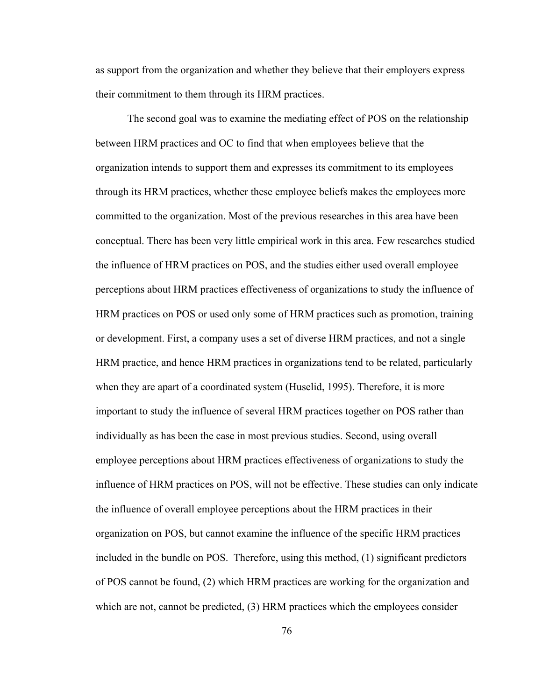as support from the organization and whether they believe that their employers express their commitment to them through its HRM practices.

The second goal was to examine the mediating effect of POS on the relationship between HRM practices and OC to find that when employees believe that the organization intends to support them and expresses its commitment to its employees through its HRM practices, whether these employee beliefs makes the employees more committed to the organization. Most of the previous researches in this area have been conceptual. There has been very little empirical work in this area. Few researches studied the influence of HRM practices on POS, and the studies either used overall employee perceptions about HRM practices effectiveness of organizations to study the influence of HRM practices on POS or used only some of HRM practices such as promotion, training or development. First, a company uses a set of diverse HRM practices, and not a single HRM practice, and hence HRM practices in organizations tend to be related, particularly when they are apart of a coordinated system (Huselid, 1995). Therefore, it is more important to study the influence of several HRM practices together on POS rather than individually as has been the case in most previous studies. Second, using overall employee perceptions about HRM practices effectiveness of organizations to study the influence of HRM practices on POS, will not be effective. These studies can only indicate the influence of overall employee perceptions about the HRM practices in their organization on POS, but cannot examine the influence of the specific HRM practices included in the bundle on POS. Therefore, using this method, (1) significant predictors of POS cannot be found, (2) which HRM practices are working for the organization and which are not, cannot be predicted, (3) HRM practices which the employees consider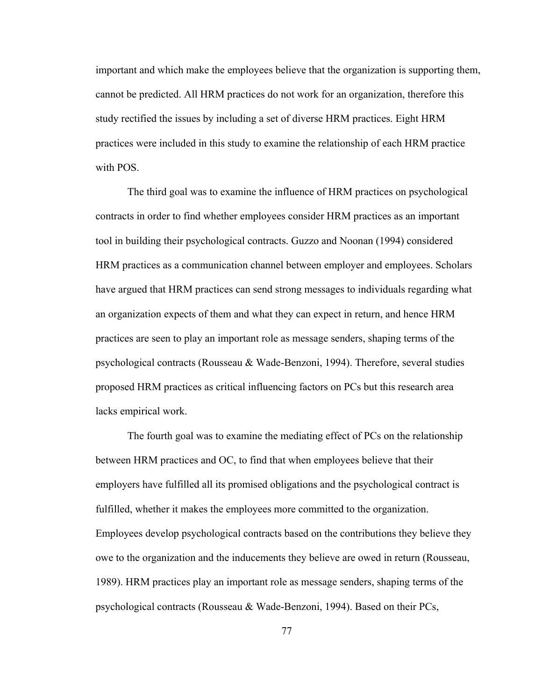important and which make the employees believe that the organization is supporting them, cannot be predicted. All HRM practices do not work for an organization, therefore this study rectified the issues by including a set of diverse HRM practices. Eight HRM practices were included in this study to examine the relationship of each HRM practice with POS.

The third goal was to examine the influence of HRM practices on psychological contracts in order to find whether employees consider HRM practices as an important tool in building their psychological contracts. Guzzo and Noonan (1994) considered HRM practices as a communication channel between employer and employees. Scholars have argued that HRM practices can send strong messages to individuals regarding what an organization expects of them and what they can expect in return, and hence HRM practices are seen to play an important role as message senders, shaping terms of the psychological contracts (Rousseau & Wade-Benzoni, 1994). Therefore, several studies proposed HRM practices as critical influencing factors on PCs but this research area lacks empirical work.

The fourth goal was to examine the mediating effect of PCs on the relationship between HRM practices and OC, to find that when employees believe that their employers have fulfilled all its promised obligations and the psychological contract is fulfilled, whether it makes the employees more committed to the organization. Employees develop psychological contracts based on the contributions they believe they owe to the organization and the inducements they believe are owed in return (Rousseau, 1989). HRM practices play an important role as message senders, shaping terms of the psychological contracts (Rousseau & Wade-Benzoni, 1994). Based on their PCs,

77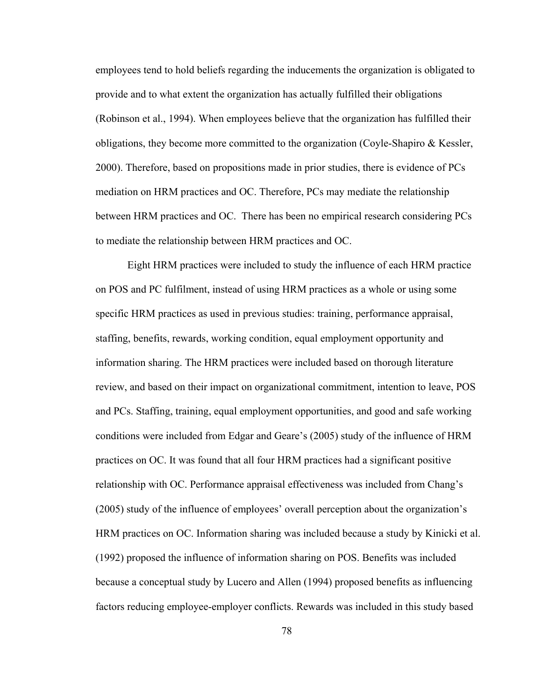employees tend to hold beliefs regarding the inducements the organization is obligated to provide and to what extent the organization has actually fulfilled their obligations (Robinson et al., 1994). When employees believe that the organization has fulfilled their obligations, they become more committed to the organization (Coyle-Shapiro & Kessler, 2000). Therefore, based on propositions made in prior studies, there is evidence of PCs mediation on HRM practices and OC. Therefore, PCs may mediate the relationship between HRM practices and OC. There has been no empirical research considering PCs to mediate the relationship between HRM practices and OC.

Eight HRM practices were included to study the influence of each HRM practice on POS and PC fulfilment, instead of using HRM practices as a whole or using some specific HRM practices as used in previous studies: training, performance appraisal, staffing, benefits, rewards, working condition, equal employment opportunity and information sharing. The HRM practices were included based on thorough literature review, and based on their impact on organizational commitment, intention to leave, POS and PCs. Staffing, training, equal employment opportunities, and good and safe working conditions were included from Edgar and Geare's (2005) study of the influence of HRM practices on OC. It was found that all four HRM practices had a significant positive relationship with OC. Performance appraisal effectiveness was included from Chang's (2005) study of the influence of employees' overall perception about the organization's HRM practices on OC. Information sharing was included because a study by Kinicki et al. (1992) proposed the influence of information sharing on POS. Benefits was included because a conceptual study by Lucero and Allen (1994) proposed benefits as influencing factors reducing employee-employer conflicts. Rewards was included in this study based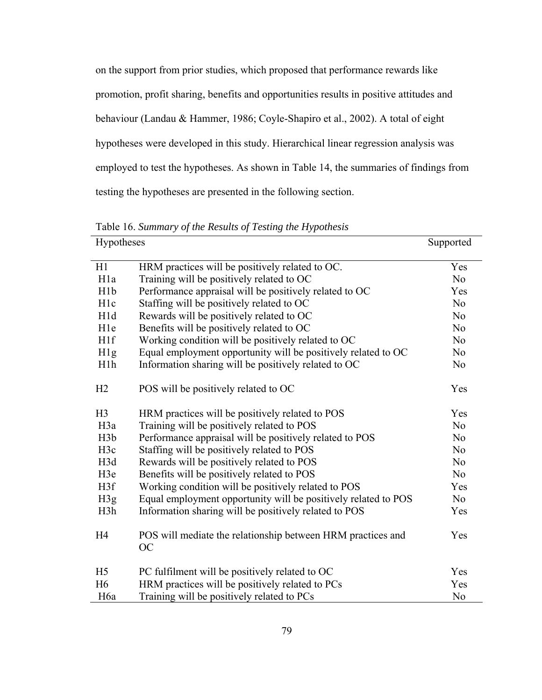on the support from prior studies, which proposed that performance rewards like promotion, profit sharing, benefits and opportunities results in positive attitudes and behaviour (Landau & Hammer, 1986; Coyle-Shapiro et al., 2002). A total of eight hypotheses were developed in this study. Hierarchical linear regression analysis was employed to test the hypotheses. As shown in Table 14, the summaries of findings from testing the hypotheses are presented in the following section.

| Hypotheses       |                                                                          | Supported      |
|------------------|--------------------------------------------------------------------------|----------------|
| H1               | HRM practices will be positively related to OC.                          | Yes            |
| H <sub>1</sub> a | Training will be positively related to OC                                | N <sub>0</sub> |
| H <sub>1</sub> b | Performance appraisal will be positively related to OC                   | Yes            |
| H <sub>1c</sub>  | Staffing will be positively related to OC                                | N <sub>o</sub> |
| H <sub>1</sub> d | Rewards will be positively related to OC                                 | N <sub>o</sub> |
| H <sub>1</sub> e | Benefits will be positively related to OC                                | N <sub>o</sub> |
| H <sub>1f</sub>  | Working condition will be positively related to OC                       | N <sub>0</sub> |
| H1g              | Equal employment opportunity will be positively related to OC            | N <sub>o</sub> |
| H1h              | Information sharing will be positively related to OC                     | N <sub>0</sub> |
| H <sub>2</sub>   | POS will be positively related to OC                                     | Yes            |
| H <sub>3</sub>   | HRM practices will be positively related to POS                          | Yes            |
| H <sub>3</sub> a | Training will be positively related to POS                               | N <sub>o</sub> |
| H <sub>3</sub> b | Performance appraisal will be positively related to POS                  | N <sub>o</sub> |
| H <sub>3c</sub>  | Staffing will be positively related to POS                               | N <sub>0</sub> |
| H <sub>3</sub> d | Rewards will be positively related to POS                                | N <sub>o</sub> |
| H <sub>3</sub> e | Benefits will be positively related to POS                               | N <sub>0</sub> |
| H3f              | Working condition will be positively related to POS                      | Yes            |
| H3g              | Equal employment opportunity will be positively related to POS           | N <sub>o</sub> |
| H3h              | Information sharing will be positively related to POS                    | Yes            |
| H <sub>4</sub>   | POS will mediate the relationship between HRM practices and<br><b>OC</b> | Yes            |
| H <sub>5</sub>   | PC fulfilment will be positively related to OC                           | Yes            |
| H <sub>6</sub>   | HRM practices will be positively related to PCs                          | Yes            |
| H <sub>6</sub> a | Training will be positively related to PCs                               | N <sub>o</sub> |

Table 16. *Summary of the Results of Testing the Hypothesis*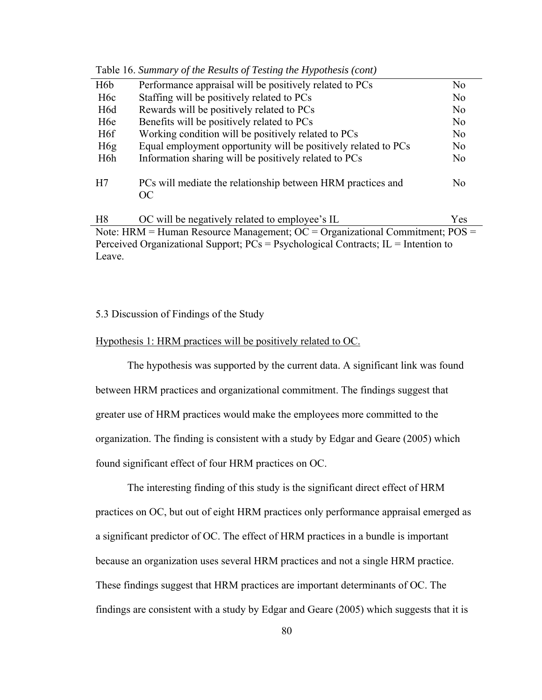| H <sub>6</sub> b | Performance appraisal will be positively related to PCs                           | N <sub>0</sub> |
|------------------|-----------------------------------------------------------------------------------|----------------|
| H <sub>6</sub> c | Staffing will be positively related to PCs                                        | N <sub>0</sub> |
| H <sub>6</sub> d | Rewards will be positively related to PCs                                         | N <sub>0</sub> |
| H <sub>6</sub> e | Benefits will be positively related to PCs                                        | No             |
| H <sub>6</sub> f | Working condition will be positively related to PCs                               | N <sub>0</sub> |
| H6g              | Equal employment opportunity will be positively related to PCs                    | No             |
| H <sub>6</sub> h | Information sharing will be positively related to PCs                             | N <sub>o</sub> |
| H7               | PCs will mediate the relationship between HRM practices and<br>OC                 | N <sub>0</sub> |
| H8               | OC will be negatively related to employee's IL                                    | Yes            |
|                  | Note: HRM = Human Resource Management; $OC = Organizational$ Commitment; $POS =$  |                |
|                  | Perceived Organizational Support; $PCs = Psychology$ Contracts; IL = Intention to |                |
| Leave.           |                                                                                   |                |

Table 16. *Summary of the Results of Testing the Hypothesis (cont)* 

#### 5.3 Discussion of Findings of the Study

# Hypothesis 1: HRM practices will be positively related to OC.

The hypothesis was supported by the current data. A significant link was found between HRM practices and organizational commitment. The findings suggest that greater use of HRM practices would make the employees more committed to the organization. The finding is consistent with a study by Edgar and Geare (2005) which found significant effect of four HRM practices on OC.

The interesting finding of this study is the significant direct effect of HRM practices on OC, but out of eight HRM practices only performance appraisal emerged as a significant predictor of OC. The effect of HRM practices in a bundle is important because an organization uses several HRM practices and not a single HRM practice. These findings suggest that HRM practices are important determinants of OC. The findings are consistent with a study by Edgar and Geare (2005) which suggests that it is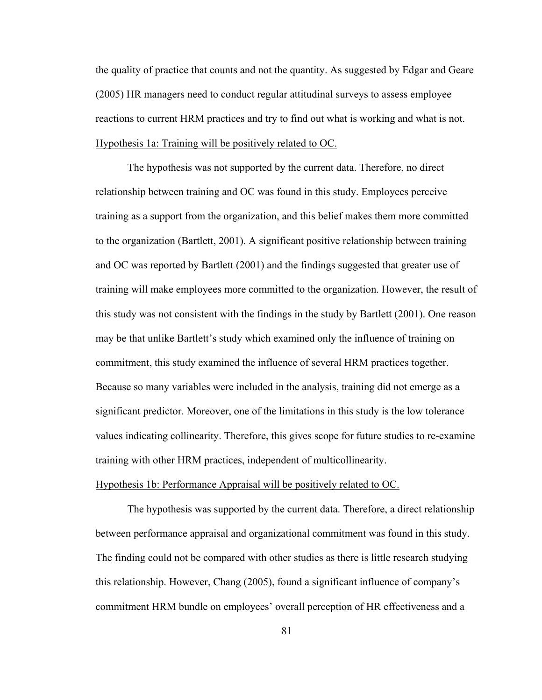the quality of practice that counts and not the quantity. As suggested by Edgar and Geare (2005) HR managers need to conduct regular attitudinal surveys to assess employee reactions to current HRM practices and try to find out what is working and what is not. Hypothesis 1a: Training will be positively related to OC.

The hypothesis was not supported by the current data. Therefore, no direct relationship between training and OC was found in this study. Employees perceive training as a support from the organization, and this belief makes them more committed to the organization (Bartlett, 2001). A significant positive relationship between training and OC was reported by Bartlett (2001) and the findings suggested that greater use of training will make employees more committed to the organization. However, the result of this study was not consistent with the findings in the study by Bartlett (2001). One reason may be that unlike Bartlett's study which examined only the influence of training on commitment, this study examined the influence of several HRM practices together. Because so many variables were included in the analysis, training did not emerge as a significant predictor. Moreover, one of the limitations in this study is the low tolerance values indicating collinearity. Therefore, this gives scope for future studies to re-examine training with other HRM practices, independent of multicollinearity.

#### Hypothesis 1b: Performance Appraisal will be positively related to OC.

The hypothesis was supported by the current data. Therefore, a direct relationship between performance appraisal and organizational commitment was found in this study. The finding could not be compared with other studies as there is little research studying this relationship. However, Chang (2005), found a significant influence of company's commitment HRM bundle on employees' overall perception of HR effectiveness and a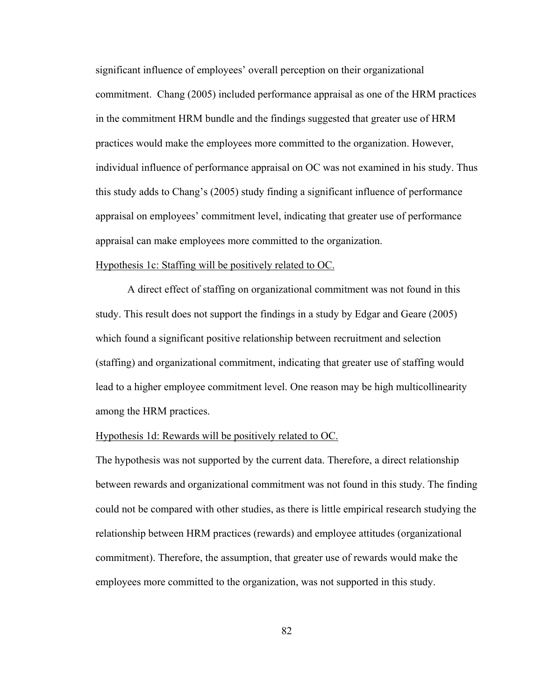significant influence of employees' overall perception on their organizational commitment. Chang (2005) included performance appraisal as one of the HRM practices in the commitment HRM bundle and the findings suggested that greater use of HRM practices would make the employees more committed to the organization. However, individual influence of performance appraisal on OC was not examined in his study. Thus this study adds to Chang's (2005) study finding a significant influence of performance appraisal on employees' commitment level, indicating that greater use of performance appraisal can make employees more committed to the organization.

# Hypothesis 1c: Staffing will be positively related to OC.

A direct effect of staffing on organizational commitment was not found in this study. This result does not support the findings in a study by Edgar and Geare (2005) which found a significant positive relationship between recruitment and selection (staffing) and organizational commitment, indicating that greater use of staffing would lead to a higher employee commitment level. One reason may be high multicollinearity among the HRM practices.

# Hypothesis 1d: Rewards will be positively related to OC.

The hypothesis was not supported by the current data. Therefore, a direct relationship between rewards and organizational commitment was not found in this study. The finding could not be compared with other studies, as there is little empirical research studying the relationship between HRM practices (rewards) and employee attitudes (organizational commitment). Therefore, the assumption, that greater use of rewards would make the employees more committed to the organization, was not supported in this study.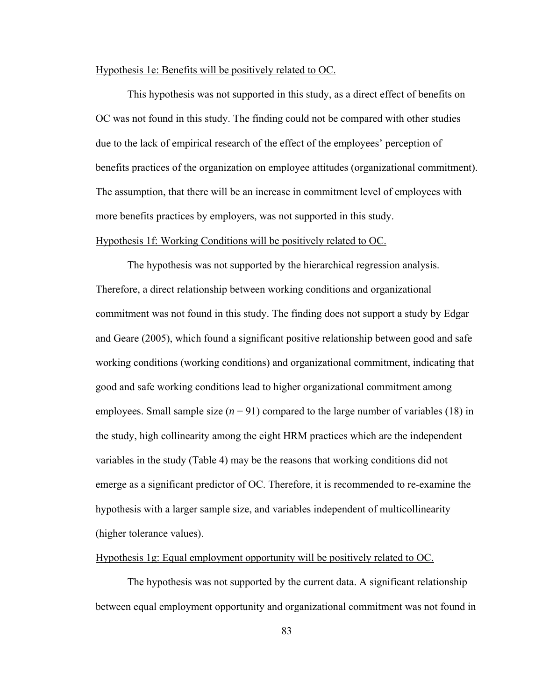# Hypothesis 1e: Benefits will be positively related to OC.

This hypothesis was not supported in this study, as a direct effect of benefits on OC was not found in this study. The finding could not be compared with other studies due to the lack of empirical research of the effect of the employees' perception of benefits practices of the organization on employee attitudes (organizational commitment). The assumption, that there will be an increase in commitment level of employees with more benefits practices by employers, was not supported in this study.

# Hypothesis 1f: Working Conditions will be positively related to OC.

The hypothesis was not supported by the hierarchical regression analysis. Therefore, a direct relationship between working conditions and organizational commitment was not found in this study. The finding does not support a study by Edgar and Geare (2005), which found a significant positive relationship between good and safe working conditions (working conditions) and organizational commitment, indicating that good and safe working conditions lead to higher organizational commitment among employees. Small sample size  $(n = 91)$  compared to the large number of variables (18) in the study, high collinearity among the eight HRM practices which are the independent variables in the study (Table 4) may be the reasons that working conditions did not emerge as a significant predictor of OC. Therefore, it is recommended to re-examine the hypothesis with a larger sample size, and variables independent of multicollinearity (higher tolerance values).

# Hypothesis 1g: Equal employment opportunity will be positively related to OC.

The hypothesis was not supported by the current data. A significant relationship between equal employment opportunity and organizational commitment was not found in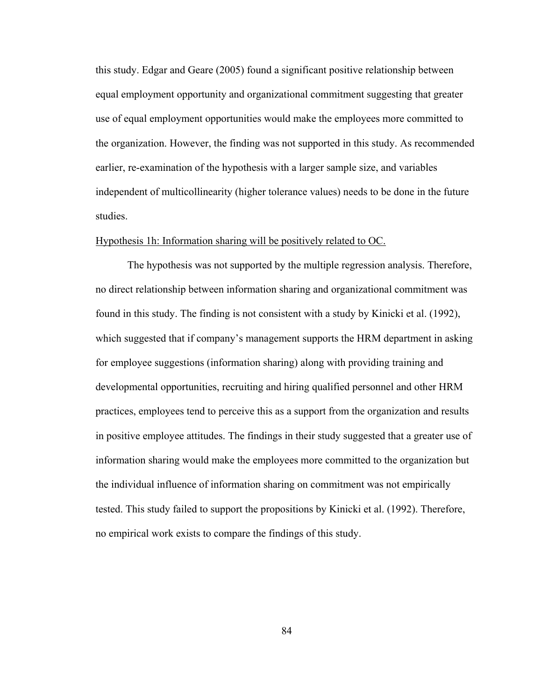this study. Edgar and Geare (2005) found a significant positive relationship between equal employment opportunity and organizational commitment suggesting that greater use of equal employment opportunities would make the employees more committed to the organization. However, the finding was not supported in this study. As recommended earlier, re-examination of the hypothesis with a larger sample size, and variables independent of multicollinearity (higher tolerance values) needs to be done in the future studies.

### Hypothesis 1h: Information sharing will be positively related to OC.

The hypothesis was not supported by the multiple regression analysis. Therefore, no direct relationship between information sharing and organizational commitment was found in this study. The finding is not consistent with a study by Kinicki et al. (1992), which suggested that if company's management supports the HRM department in asking for employee suggestions (information sharing) along with providing training and developmental opportunities, recruiting and hiring qualified personnel and other HRM practices, employees tend to perceive this as a support from the organization and results in positive employee attitudes. The findings in their study suggested that a greater use of information sharing would make the employees more committed to the organization but the individual influence of information sharing on commitment was not empirically tested. This study failed to support the propositions by Kinicki et al. (1992). Therefore, no empirical work exists to compare the findings of this study.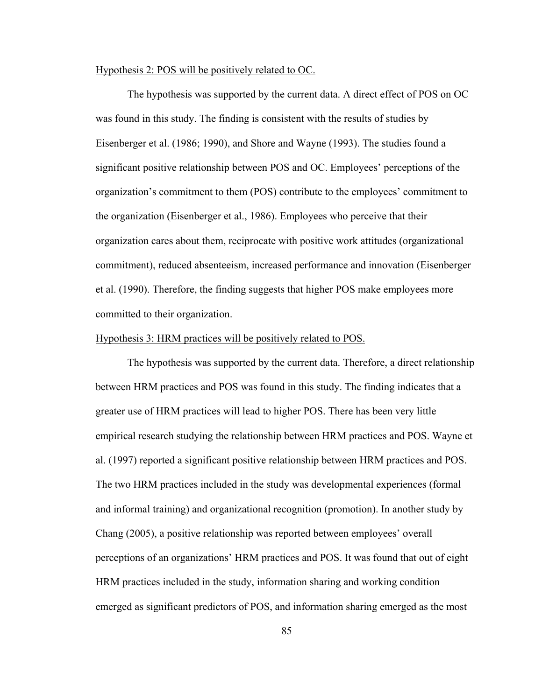# Hypothesis 2: POS will be positively related to OC.

The hypothesis was supported by the current data. A direct effect of POS on OC was found in this study. The finding is consistent with the results of studies by Eisenberger et al. (1986; 1990), and Shore and Wayne (1993). The studies found a significant positive relationship between POS and OC. Employees' perceptions of the organization's commitment to them (POS) contribute to the employees' commitment to the organization (Eisenberger et al., 1986). Employees who perceive that their organization cares about them, reciprocate with positive work attitudes (organizational commitment), reduced absenteeism, increased performance and innovation (Eisenberger et al. (1990). Therefore, the finding suggests that higher POS make employees more committed to their organization.

# Hypothesis 3: HRM practices will be positively related to POS.

The hypothesis was supported by the current data. Therefore, a direct relationship between HRM practices and POS was found in this study. The finding indicates that a greater use of HRM practices will lead to higher POS. There has been very little empirical research studying the relationship between HRM practices and POS. Wayne et al. (1997) reported a significant positive relationship between HRM practices and POS. The two HRM practices included in the study was developmental experiences (formal and informal training) and organizational recognition (promotion). In another study by Chang (2005), a positive relationship was reported between employees' overall perceptions of an organizations' HRM practices and POS. It was found that out of eight HRM practices included in the study, information sharing and working condition emerged as significant predictors of POS, and information sharing emerged as the most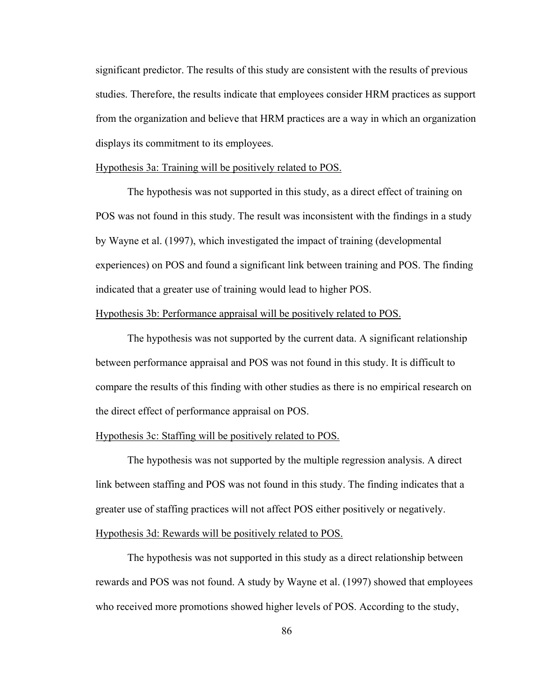significant predictor. The results of this study are consistent with the results of previous studies. Therefore, the results indicate that employees consider HRM practices as support from the organization and believe that HRM practices are a way in which an organization displays its commitment to its employees.

## Hypothesis 3a: Training will be positively related to POS.

The hypothesis was not supported in this study, as a direct effect of training on POS was not found in this study. The result was inconsistent with the findings in a study by Wayne et al. (1997), which investigated the impact of training (developmental experiences) on POS and found a significant link between training and POS. The finding indicated that a greater use of training would lead to higher POS.

# Hypothesis 3b: Performance appraisal will be positively related to POS.

The hypothesis was not supported by the current data. A significant relationship between performance appraisal and POS was not found in this study. It is difficult to compare the results of this finding with other studies as there is no empirical research on the direct effect of performance appraisal on POS.

# Hypothesis 3c: Staffing will be positively related to POS.

The hypothesis was not supported by the multiple regression analysis. A direct link between staffing and POS was not found in this study. The finding indicates that a greater use of staffing practices will not affect POS either positively or negatively. Hypothesis 3d: Rewards will be positively related to POS.

The hypothesis was not supported in this study as a direct relationship between rewards and POS was not found. A study by Wayne et al. (1997) showed that employees who received more promotions showed higher levels of POS. According to the study,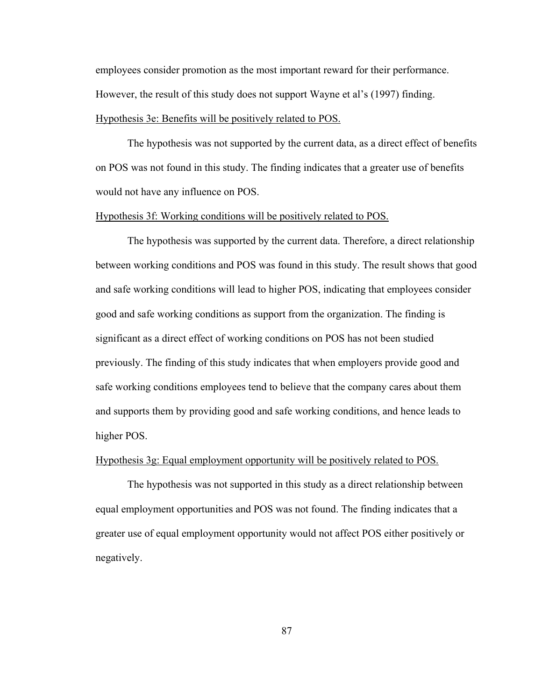employees consider promotion as the most important reward for their performance. However, the result of this study does not support Wayne et al's (1997) finding. Hypothesis 3e: Benefits will be positively related to POS.

The hypothesis was not supported by the current data, as a direct effect of benefits on POS was not found in this study. The finding indicates that a greater use of benefits would not have any influence on POS.

#### Hypothesis 3f: Working conditions will be positively related to POS.

The hypothesis was supported by the current data. Therefore, a direct relationship between working conditions and POS was found in this study. The result shows that good and safe working conditions will lead to higher POS, indicating that employees consider good and safe working conditions as support from the organization. The finding is significant as a direct effect of working conditions on POS has not been studied previously. The finding of this study indicates that when employers provide good and safe working conditions employees tend to believe that the company cares about them and supports them by providing good and safe working conditions, and hence leads to higher POS.

#### Hypothesis 3g: Equal employment opportunity will be positively related to POS.

The hypothesis was not supported in this study as a direct relationship between equal employment opportunities and POS was not found. The finding indicates that a greater use of equal employment opportunity would not affect POS either positively or negatively.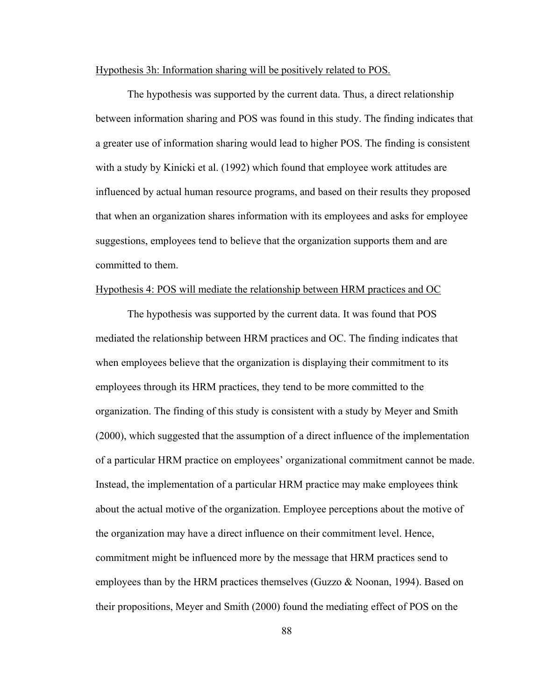### Hypothesis 3h: Information sharing will be positively related to POS.

The hypothesis was supported by the current data. Thus, a direct relationship between information sharing and POS was found in this study. The finding indicates that a greater use of information sharing would lead to higher POS. The finding is consistent with a study by Kinicki et al. (1992) which found that employee work attitudes are influenced by actual human resource programs, and based on their results they proposed that when an organization shares information with its employees and asks for employee suggestions, employees tend to believe that the organization supports them and are committed to them.

#### Hypothesis 4: POS will mediate the relationship between HRM practices and OC

The hypothesis was supported by the current data. It was found that POS mediated the relationship between HRM practices and OC. The finding indicates that when employees believe that the organization is displaying their commitment to its employees through its HRM practices, they tend to be more committed to the organization. The finding of this study is consistent with a study by Meyer and Smith (2000), which suggested that the assumption of a direct influence of the implementation of a particular HRM practice on employees' organizational commitment cannot be made. Instead, the implementation of a particular HRM practice may make employees think about the actual motive of the organization. Employee perceptions about the motive of the organization may have a direct influence on their commitment level. Hence, commitment might be influenced more by the message that HRM practices send to employees than by the HRM practices themselves (Guzzo  $&$  Noonan, 1994). Based on their propositions, Meyer and Smith (2000) found the mediating effect of POS on the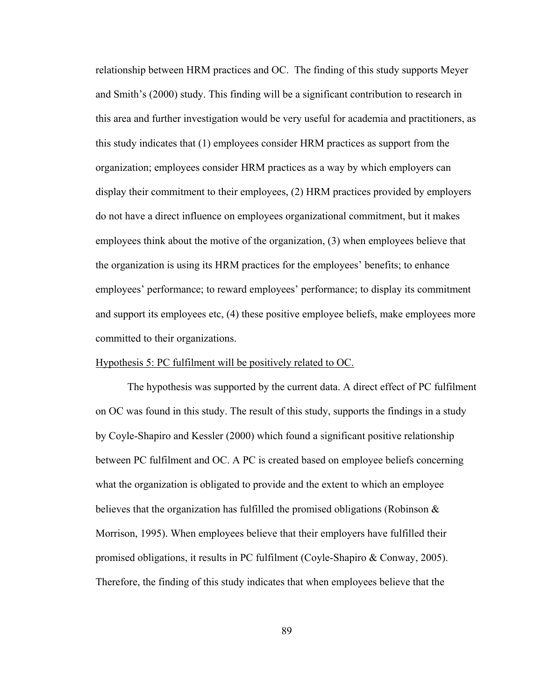relationship between HRM practices and OC. The finding of this study supports Meyer and Smith's (2000) study. This finding will be a significant contribution to research in this area and further investigation would be very useful for academia and practitioners, as this study indicates that (1) employees consider HRM practices as support from the organization; employees consider HRM practices as a way by which employers can display their commitment to their employees, (2) HRM practices provided by employers do not have a direct influence on employees organizational commitment, but it makes employees think about the motive of the organization, (3) when employees believe that the organization is using its HRM practices for the employees' benefits; to enhance employees' performance; to reward employees' performance; to display its commitment and support its employees etc, (4) these positive employee beliefs, make employees more committed to their organizations.

# Hypothesis 5: PC fulfilment will be positively related to OC.

The hypothesis was supported by the current data. A direct effect of PC fulfilment on OC was found in this study. The result of this study, supports the findings in a study by Coyle-Shapiro and Kessler (2000) which found a significant positive relationship between PC fulfilment and OC. A PC is created based on employee beliefs concerning what the organization is obligated to provide and the extent to which an employee believes that the organization has fulfilled the promised obligations (Robinson  $\&$ Morrison, 1995). When employees believe that their employers have fulfilled their promised obligations, it results in PC fulfilment (Coyle-Shapiro & Conway, 2005). Therefore, the finding of this study indicates that when employees believe that the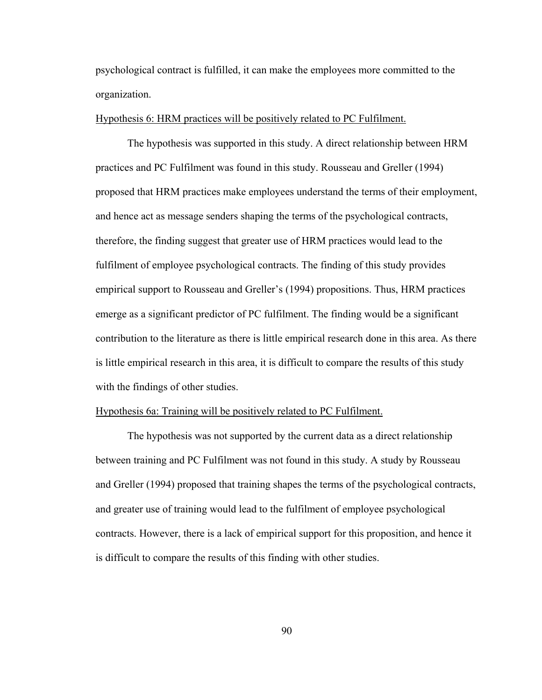psychological contract is fulfilled, it can make the employees more committed to the organization.

#### Hypothesis 6: HRM practices will be positively related to PC Fulfilment.

The hypothesis was supported in this study. A direct relationship between HRM practices and PC Fulfilment was found in this study. Rousseau and Greller (1994) proposed that HRM practices make employees understand the terms of their employment, and hence act as message senders shaping the terms of the psychological contracts, therefore, the finding suggest that greater use of HRM practices would lead to the fulfilment of employee psychological contracts. The finding of this study provides empirical support to Rousseau and Greller's (1994) propositions. Thus, HRM practices emerge as a significant predictor of PC fulfilment. The finding would be a significant contribution to the literature as there is little empirical research done in this area. As there is little empirical research in this area, it is difficult to compare the results of this study with the findings of other studies.

## Hypothesis 6a: Training will be positively related to PC Fulfilment.

The hypothesis was not supported by the current data as a direct relationship between training and PC Fulfilment was not found in this study. A study by Rousseau and Greller (1994) proposed that training shapes the terms of the psychological contracts, and greater use of training would lead to the fulfilment of employee psychological contracts. However, there is a lack of empirical support for this proposition, and hence it is difficult to compare the results of this finding with other studies.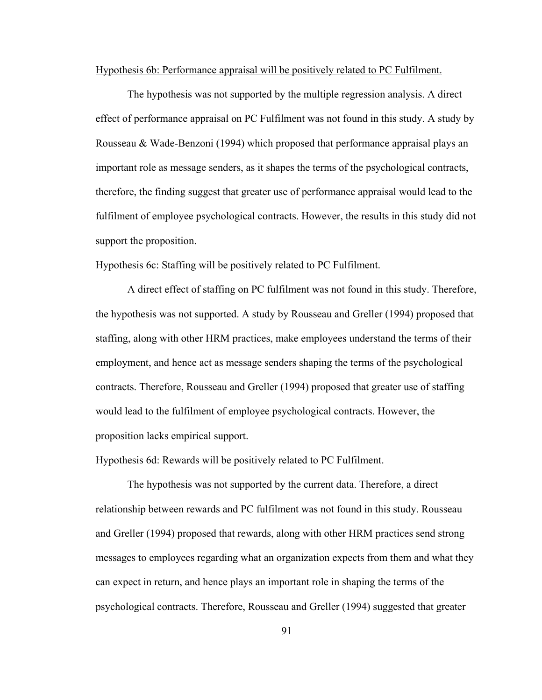Hypothesis 6b: Performance appraisal will be positively related to PC Fulfilment.

The hypothesis was not supported by the multiple regression analysis. A direct effect of performance appraisal on PC Fulfilment was not found in this study. A study by Rousseau & Wade-Benzoni (1994) which proposed that performance appraisal plays an important role as message senders, as it shapes the terms of the psychological contracts, therefore, the finding suggest that greater use of performance appraisal would lead to the fulfilment of employee psychological contracts. However, the results in this study did not support the proposition.

#### Hypothesis 6c: Staffing will be positively related to PC Fulfilment.

A direct effect of staffing on PC fulfilment was not found in this study. Therefore, the hypothesis was not supported. A study by Rousseau and Greller (1994) proposed that staffing, along with other HRM practices, make employees understand the terms of their employment, and hence act as message senders shaping the terms of the psychological contracts. Therefore, Rousseau and Greller (1994) proposed that greater use of staffing would lead to the fulfilment of employee psychological contracts. However, the proposition lacks empirical support.

#### Hypothesis 6d: Rewards will be positively related to PC Fulfilment.

The hypothesis was not supported by the current data. Therefore, a direct relationship between rewards and PC fulfilment was not found in this study. Rousseau and Greller (1994) proposed that rewards, along with other HRM practices send strong messages to employees regarding what an organization expects from them and what they can expect in return, and hence plays an important role in shaping the terms of the psychological contracts. Therefore, Rousseau and Greller (1994) suggested that greater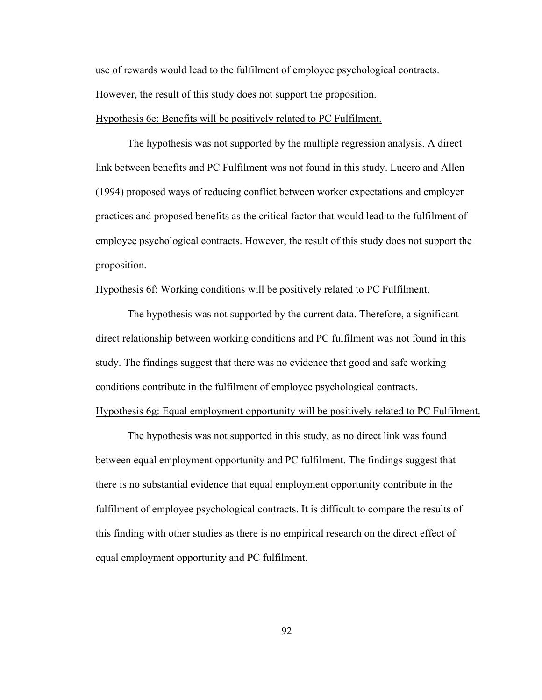use of rewards would lead to the fulfilment of employee psychological contracts. However, the result of this study does not support the proposition.

#### Hypothesis 6e: Benefits will be positively related to PC Fulfilment.

The hypothesis was not supported by the multiple regression analysis. A direct link between benefits and PC Fulfilment was not found in this study. Lucero and Allen (1994) proposed ways of reducing conflict between worker expectations and employer practices and proposed benefits as the critical factor that would lead to the fulfilment of employee psychological contracts. However, the result of this study does not support the proposition.

# Hypothesis 6f: Working conditions will be positively related to PC Fulfilment.

The hypothesis was not supported by the current data. Therefore, a significant direct relationship between working conditions and PC fulfilment was not found in this study. The findings suggest that there was no evidence that good and safe working conditions contribute in the fulfilment of employee psychological contracts. Hypothesis 6g: Equal employment opportunity will be positively related to PC Fulfilment.

The hypothesis was not supported in this study, as no direct link was found between equal employment opportunity and PC fulfilment. The findings suggest that there is no substantial evidence that equal employment opportunity contribute in the fulfilment of employee psychological contracts. It is difficult to compare the results of this finding with other studies as there is no empirical research on the direct effect of equal employment opportunity and PC fulfilment.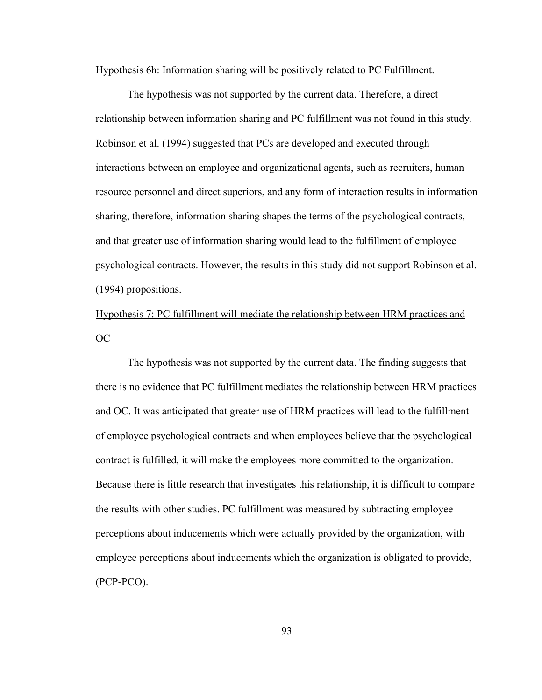Hypothesis 6h: Information sharing will be positively related to PC Fulfillment.

The hypothesis was not supported by the current data. Therefore, a direct relationship between information sharing and PC fulfillment was not found in this study. Robinson et al. (1994) suggested that PCs are developed and executed through interactions between an employee and organizational agents, such as recruiters, human resource personnel and direct superiors, and any form of interaction results in information sharing, therefore, information sharing shapes the terms of the psychological contracts, and that greater use of information sharing would lead to the fulfillment of employee psychological contracts. However, the results in this study did not support Robinson et al. (1994) propositions.

# Hypothesis 7: PC fulfillment will mediate the relationship between HRM practices and OC

The hypothesis was not supported by the current data. The finding suggests that there is no evidence that PC fulfillment mediates the relationship between HRM practices and OC. It was anticipated that greater use of HRM practices will lead to the fulfillment of employee psychological contracts and when employees believe that the psychological contract is fulfilled, it will make the employees more committed to the organization. Because there is little research that investigates this relationship, it is difficult to compare the results with other studies. PC fulfillment was measured by subtracting employee perceptions about inducements which were actually provided by the organization, with employee perceptions about inducements which the organization is obligated to provide, (PCP-PCO).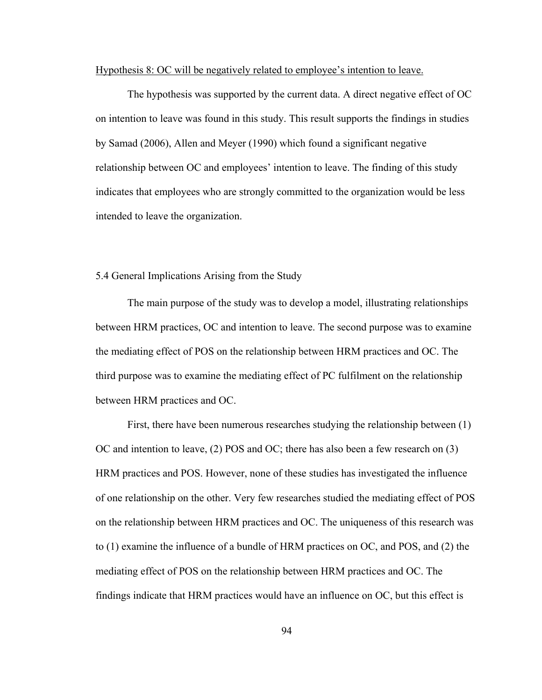Hypothesis 8: OC will be negatively related to employee's intention to leave.

The hypothesis was supported by the current data. A direct negative effect of OC on intention to leave was found in this study. This result supports the findings in studies by Samad (2006), Allen and Meyer (1990) which found a significant negative relationship between OC and employees' intention to leave. The finding of this study indicates that employees who are strongly committed to the organization would be less intended to leave the organization.

5.4 General Implications Arising from the Study

The main purpose of the study was to develop a model, illustrating relationships between HRM practices, OC and intention to leave. The second purpose was to examine the mediating effect of POS on the relationship between HRM practices and OC. The third purpose was to examine the mediating effect of PC fulfilment on the relationship between HRM practices and OC.

First, there have been numerous researches studying the relationship between (1) OC and intention to leave, (2) POS and OC; there has also been a few research on (3) HRM practices and POS. However, none of these studies has investigated the influence of one relationship on the other. Very few researches studied the mediating effect of POS on the relationship between HRM practices and OC. The uniqueness of this research was to (1) examine the influence of a bundle of HRM practices on OC, and POS, and (2) the mediating effect of POS on the relationship between HRM practices and OC. The findings indicate that HRM practices would have an influence on OC, but this effect is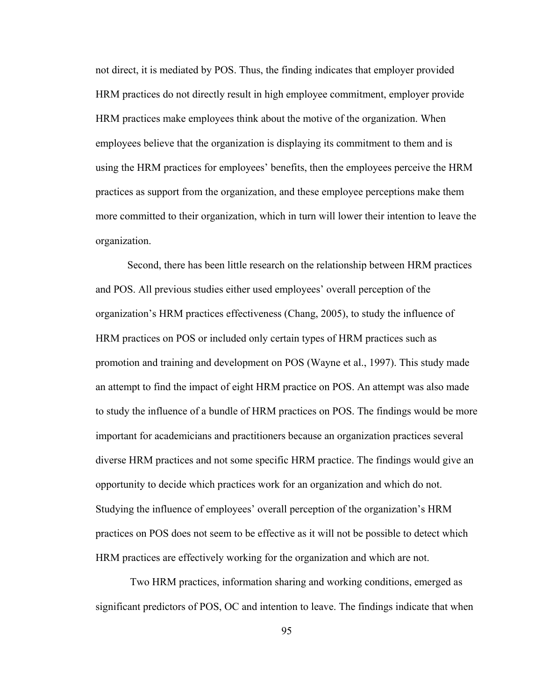not direct, it is mediated by POS. Thus, the finding indicates that employer provided HRM practices do not directly result in high employee commitment, employer provide HRM practices make employees think about the motive of the organization. When employees believe that the organization is displaying its commitment to them and is using the HRM practices for employees' benefits, then the employees perceive the HRM practices as support from the organization, and these employee perceptions make them more committed to their organization, which in turn will lower their intention to leave the organization.

Second, there has been little research on the relationship between HRM practices and POS. All previous studies either used employees' overall perception of the organization's HRM practices effectiveness (Chang, 2005), to study the influence of HRM practices on POS or included only certain types of HRM practices such as promotion and training and development on POS (Wayne et al., 1997). This study made an attempt to find the impact of eight HRM practice on POS. An attempt was also made to study the influence of a bundle of HRM practices on POS. The findings would be more important for academicians and practitioners because an organization practices several diverse HRM practices and not some specific HRM practice. The findings would give an opportunity to decide which practices work for an organization and which do not. Studying the influence of employees' overall perception of the organization's HRM practices on POS does not seem to be effective as it will not be possible to detect which HRM practices are effectively working for the organization and which are not.

 Two HRM practices, information sharing and working conditions, emerged as significant predictors of POS, OC and intention to leave. The findings indicate that when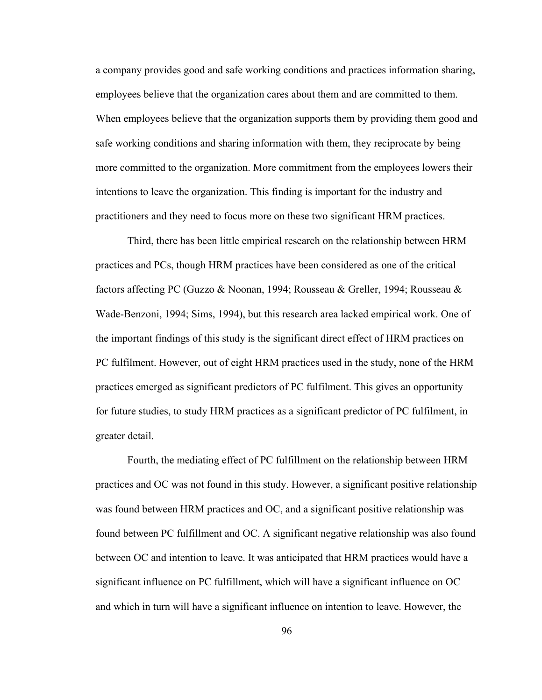a company provides good and safe working conditions and practices information sharing, employees believe that the organization cares about them and are committed to them. When employees believe that the organization supports them by providing them good and safe working conditions and sharing information with them, they reciprocate by being more committed to the organization. More commitment from the employees lowers their intentions to leave the organization. This finding is important for the industry and practitioners and they need to focus more on these two significant HRM practices.

Third, there has been little empirical research on the relationship between HRM practices and PCs, though HRM practices have been considered as one of the critical factors affecting PC (Guzzo & Noonan, 1994; Rousseau & Greller, 1994; Rousseau & Wade-Benzoni, 1994; Sims, 1994), but this research area lacked empirical work. One of the important findings of this study is the significant direct effect of HRM practices on PC fulfilment. However, out of eight HRM practices used in the study, none of the HRM practices emerged as significant predictors of PC fulfilment. This gives an opportunity for future studies, to study HRM practices as a significant predictor of PC fulfilment, in greater detail.

Fourth, the mediating effect of PC fulfillment on the relationship between HRM practices and OC was not found in this study. However, a significant positive relationship was found between HRM practices and OC, and a significant positive relationship was found between PC fulfillment and OC. A significant negative relationship was also found between OC and intention to leave. It was anticipated that HRM practices would have a significant influence on PC fulfillment, which will have a significant influence on OC and which in turn will have a significant influence on intention to leave. However, the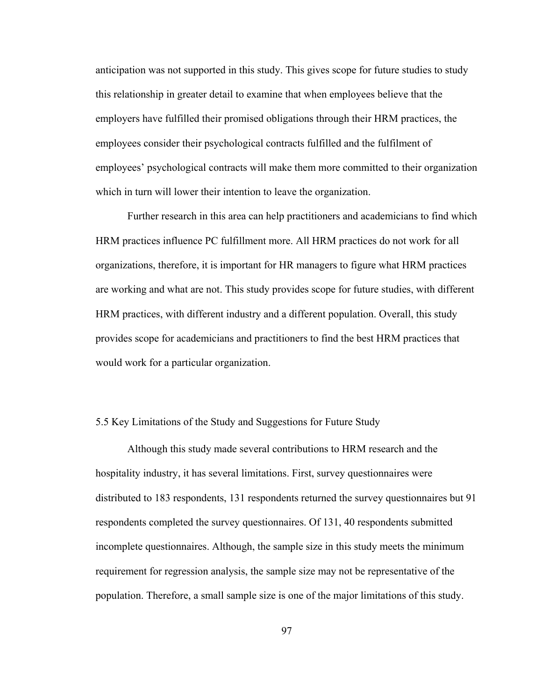anticipation was not supported in this study. This gives scope for future studies to study this relationship in greater detail to examine that when employees believe that the employers have fulfilled their promised obligations through their HRM practices, the employees consider their psychological contracts fulfilled and the fulfilment of employees' psychological contracts will make them more committed to their organization which in turn will lower their intention to leave the organization.

Further research in this area can help practitioners and academicians to find which HRM practices influence PC fulfillment more. All HRM practices do not work for all organizations, therefore, it is important for HR managers to figure what HRM practices are working and what are not. This study provides scope for future studies, with different HRM practices, with different industry and a different population. Overall, this study provides scope for academicians and practitioners to find the best HRM practices that would work for a particular organization.

# 5.5 Key Limitations of the Study and Suggestions for Future Study

Although this study made several contributions to HRM research and the hospitality industry, it has several limitations. First, survey questionnaires were distributed to 183 respondents, 131 respondents returned the survey questionnaires but 91 respondents completed the survey questionnaires. Of 131, 40 respondents submitted incomplete questionnaires. Although, the sample size in this study meets the minimum requirement for regression analysis, the sample size may not be representative of the population. Therefore, a small sample size is one of the major limitations of this study.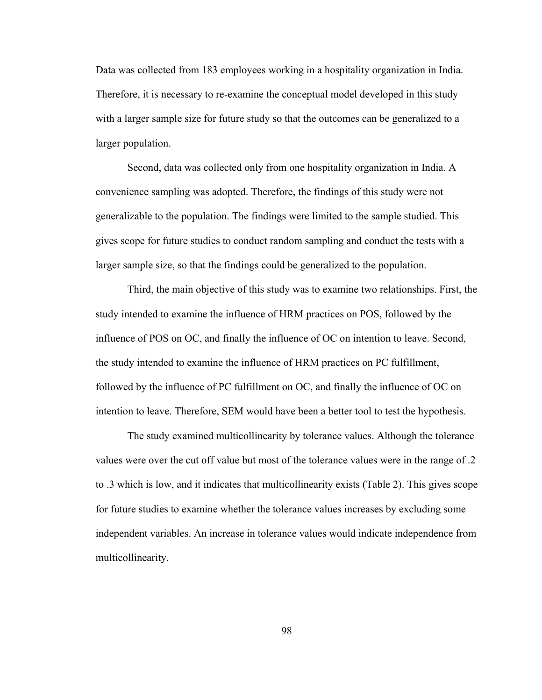Data was collected from 183 employees working in a hospitality organization in India. Therefore, it is necessary to re-examine the conceptual model developed in this study with a larger sample size for future study so that the outcomes can be generalized to a larger population.

Second, data was collected only from one hospitality organization in India. A convenience sampling was adopted. Therefore, the findings of this study were not generalizable to the population. The findings were limited to the sample studied. This gives scope for future studies to conduct random sampling and conduct the tests with a larger sample size, so that the findings could be generalized to the population.

Third, the main objective of this study was to examine two relationships. First, the study intended to examine the influence of HRM practices on POS, followed by the influence of POS on OC, and finally the influence of OC on intention to leave. Second, the study intended to examine the influence of HRM practices on PC fulfillment, followed by the influence of PC fulfillment on OC, and finally the influence of OC on intention to leave. Therefore, SEM would have been a better tool to test the hypothesis.

The study examined multicollinearity by tolerance values. Although the tolerance values were over the cut off value but most of the tolerance values were in the range of .2 to .3 which is low, and it indicates that multicollinearity exists (Table 2). This gives scope for future studies to examine whether the tolerance values increases by excluding some independent variables. An increase in tolerance values would indicate independence from multicollinearity.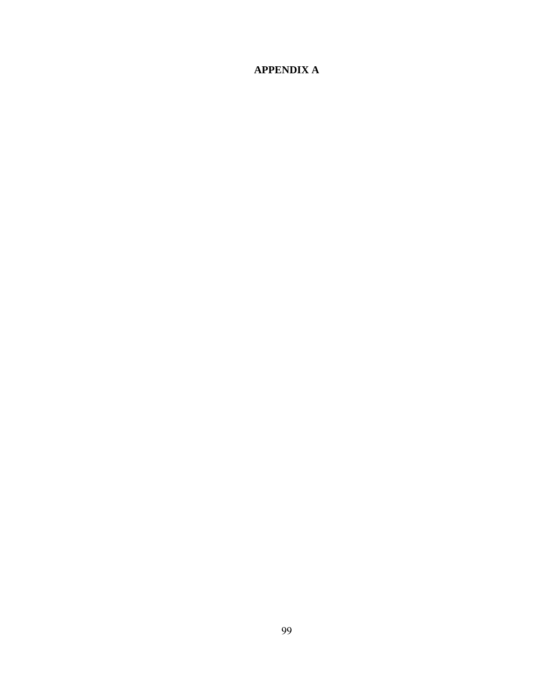# **APPENDIX A**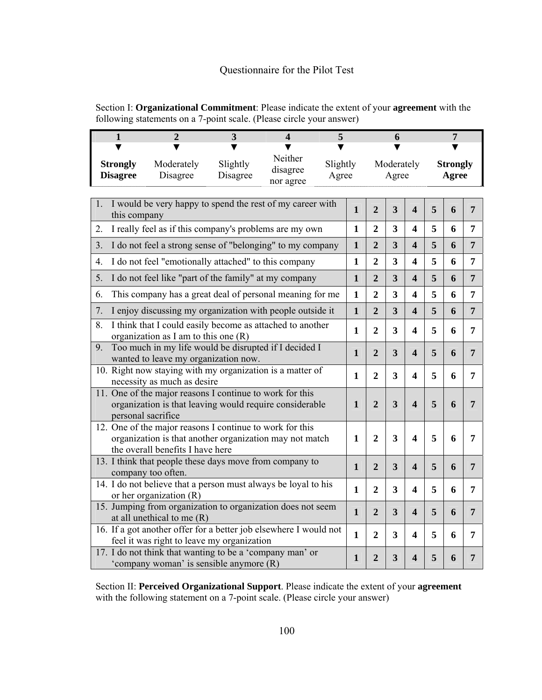# Questionnaire for the Pilot Test

| $\mathbf{1}$                       | $\overline{2}$                                                                                                                                          | $\mathbf{3}$         | $\overline{\mathbf{4}}$          | 5                 |              |                | 6                   |                         |   | 7                        |                |
|------------------------------------|---------------------------------------------------------------------------------------------------------------------------------------------------------|----------------------|----------------------------------|-------------------|--------------|----------------|---------------------|-------------------------|---|--------------------------|----------------|
| <b>Strongly</b><br><b>Disagree</b> | Moderately<br>Disagree                                                                                                                                  | Slightly<br>Disagree | Neither<br>disagree<br>nor agree | Slightly<br>Agree |              |                | Moderately<br>Agree |                         |   | <b>Strongly</b><br>Agree |                |
| 1.                                 | I would be very happy to spend the rest of my career with<br>this company                                                                               |                      |                                  |                   |              |                |                     |                         | 5 | 6                        | 7              |
| 2.                                 | I really feel as if this company's problems are my own                                                                                                  |                      |                                  |                   | $\mathbf{1}$ | $\overline{2}$ | 3                   | 4                       | 5 | 6                        | 7              |
| 3.                                 | I do not feel a strong sense of "belonging" to my company                                                                                               |                      |                                  |                   | $\mathbf{1}$ | $\overline{2}$ | 3                   | $\overline{\mathbf{4}}$ | 5 | 6                        | $\overline{7}$ |
| 4.                                 | I do not feel "emotionally attached" to this company                                                                                                    |                      |                                  |                   | $\mathbf{1}$ | $\overline{2}$ | 3                   | 4                       | 5 | 6                        | 7              |
| 5.                                 | I do not feel like "part of the family" at my company                                                                                                   |                      |                                  |                   | $\mathbf{1}$ | $\overline{2}$ | 3                   | $\overline{\mathbf{4}}$ | 5 | 6                        | $\overline{7}$ |
| 6.                                 | This company has a great deal of personal meaning for me                                                                                                |                      |                                  |                   | $\mathbf{1}$ | $\overline{2}$ | 3                   | 4                       | 5 | 6                        | $\overline{7}$ |
| 7.                                 |                                                                                                                                                         |                      |                                  |                   | $\mathbf{1}$ | $\overline{2}$ | 3                   | $\overline{\mathbf{4}}$ | 5 | 6                        | $\overline{7}$ |
| 8.                                 | I enjoy discussing my organization with people outside it<br>I think that I could easily become as attached to another                                  |                      |                                  |                   |              |                |                     |                         |   |                          |                |
|                                    | organization as I am to this one $(R)$                                                                                                                  |                      |                                  |                   | $\mathbf{1}$ | $\overline{2}$ | 3                   | 4                       | 5 | 6                        | 7              |
| 9.                                 | Too much in my life would be disrupted if I decided I<br>wanted to leave my organization now.                                                           |                      |                                  |                   | 1            | $\overline{2}$ | 3                   | $\overline{\mathbf{4}}$ | 5 | 6                        | 7              |
|                                    | 10. Right now staying with my organization is a matter of<br>necessity as much as desire                                                                |                      |                                  |                   | 1            | $\overline{2}$ | 3                   | 4                       | 5 | 6                        | 7              |
|                                    | 11. One of the major reasons I continue to work for this<br>organization is that leaving would require considerable<br>personal sacrifice               |                      |                                  |                   | $\mathbf{1}$ | $\overline{2}$ | 3                   | 4                       | 5 | 6                        | 7              |
|                                    | 12. One of the major reasons I continue to work for this<br>organization is that another organization may not match<br>the overall benefits I have here |                      |                                  |                   | $\mathbf{1}$ | $\overline{2}$ | 3                   | 4                       | 5 | 6                        | 7              |
|                                    | 13. I think that people these days move from company to<br>company too often.                                                                           |                      |                                  |                   | $\mathbf{1}$ | $\overline{2}$ | 3                   | $\overline{\mathbf{4}}$ | 5 | 6                        | 7              |
|                                    | 14. I do not believe that a person must always be loyal to his<br>or her organization (R)                                                               |                      |                                  |                   | $\mathbf{1}$ | $\overline{2}$ | 3                   | 4                       | 5 | 6                        | 7              |
|                                    | 15. Jumping from organization to organization does not seem<br>at all unethical to me $(R)$                                                             |                      |                                  |                   | $\mathbf{1}$ | $\overline{2}$ | 3                   | $\overline{\mathbf{4}}$ | 5 | 6                        | 7              |
|                                    | 16. If a got another offer for a better job elsewhere I would not<br>feel it was right to leave my organization                                         |                      |                                  |                   | $\mathbf{1}$ | $\overline{2}$ | 3                   | 4                       | 5 | 6                        | $\overline{7}$ |
|                                    | 17. I do not think that wanting to be a 'company man' or<br>'company woman' is sensible anymore (R)                                                     |                      |                                  |                   | $\mathbf{1}$ | $\overline{2}$ | 3                   | 4                       | 5 | 6                        | 7              |

Section I: **Organizational Commitment**: Please indicate the extent of your **agreement** with the following statements on a 7-point scale. (Please circle your answer)

Section II: **Perceived Organizational Support**. Please indicate the extent of your **agreement** with the following statement on a 7-point scale. (Please circle your answer)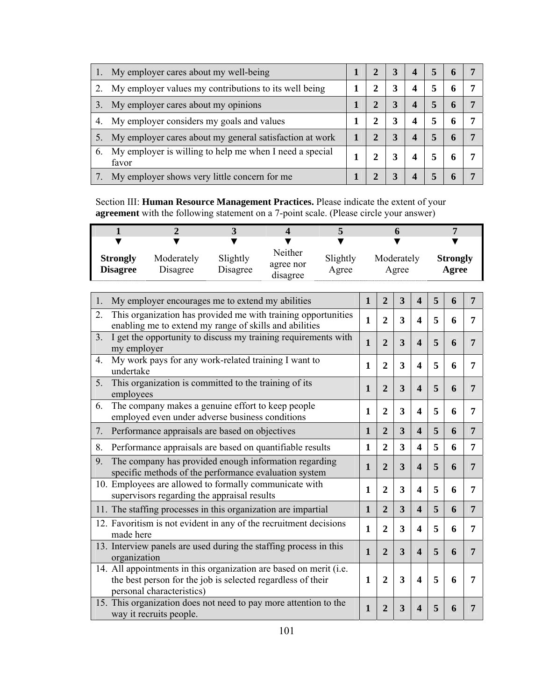|    | My employer cares about my well-being                            | 2 |   | 4                       | 5 |   |  |
|----|------------------------------------------------------------------|---|---|-------------------------|---|---|--|
| 2. | My employer values my contributions to its well being            | 2 | 3 | $\boldsymbol{4}$        | 5 |   |  |
| 3. | My employer cares about my opinions                              | 2 | 3 | $\overline{\mathbf{4}}$ | 5 |   |  |
| 4. | My employer considers my goals and values                        | 2 |   |                         | 5 | n |  |
| 5. | My employer cares about my general satisfaction at work          | 2 | 3 | 4                       | 5 | O |  |
| 6. | My employer is willing to help me when I need a special<br>favor |   |   |                         |   |   |  |
|    | My employer shows very little concern for me                     |   |   |                         |   |   |  |

Section III: **Human Resource Management Practices.** Please indicate the extent of your **agreement** with the following statement on a 7-point scale. (Please circle your answer)

| <b>Strongly</b><br><b>Disagree</b> | Moderately<br>Disagree | Slightly<br><b>Disagree</b> | Neither<br>agree nor<br>disagree | Slightly<br>Agree | Moderately<br>Agree | <b>Strongly</b><br>Agree |
|------------------------------------|------------------------|-----------------------------|----------------------------------|-------------------|---------------------|--------------------------|

| 1.<br>My employer encourages me to extend my abilities                                                                                                         | 1 | $\overline{2}$ | 3 | $\overline{\mathbf{4}}$ | 5 | 6 | 7 |
|----------------------------------------------------------------------------------------------------------------------------------------------------------------|---|----------------|---|-------------------------|---|---|---|
| This organization has provided me with training opportunities<br>2.<br>enabling me to extend my range of skills and abilities                                  | 1 | $\overline{2}$ | 3 | $\boldsymbol{4}$        | 5 | 6 | 7 |
| I get the opportunity to discuss my training requirements with<br>3 <sub>1</sub><br>my employer                                                                | 1 | $\overline{2}$ | 3 | $\boldsymbol{\Delta}$   | 5 | 6 | 7 |
| My work pays for any work-related training I want to<br>$4_{\cdot}$<br>undertake                                                                               | 1 | $\overline{2}$ | 3 | $\boldsymbol{4}$        | 5 | 6 | 7 |
| This organization is committed to the training of its<br>5.<br>employees                                                                                       | 1 | $\overline{2}$ | 3 | $\overline{\mathbf{4}}$ | 5 | 6 | 7 |
| The company makes a genuine effort to keep people<br>6.<br>employed even under adverse business conditions                                                     | 1 | $\mathbf{2}$   | 3 | $\boldsymbol{4}$        | 5 | 6 | 7 |
| Performance appraisals are based on objectives<br>7.                                                                                                           | 1 | $\overline{2}$ | 3 | $\boldsymbol{4}$        | 5 | 6 | 7 |
| Performance appraisals are based on quantifiable results<br>8.                                                                                                 | 1 | $\overline{2}$ | 3 | $\boldsymbol{4}$        | 5 | 6 | 7 |
| 9.<br>The company has provided enough information regarding<br>specific methods of the performance evaluation system                                           | 1 | $\overline{2}$ | 3 | $\overline{\mathbf{4}}$ | 5 | 6 | 7 |
| 10. Employees are allowed to formally communicate with<br>supervisors regarding the appraisal results                                                          | 1 | $\mathbf{2}$   | 3 | $\boldsymbol{4}$        | 5 | 6 | 7 |
| 11. The staffing processes in this organization are impartial                                                                                                  | 1 | $\overline{2}$ | 3 | $\overline{\mathbf{4}}$ | 5 | 6 | 7 |
| 12. Favoritism is not evident in any of the recruitment decisions<br>made here                                                                                 | 1 | $\overline{2}$ | 3 | $\boldsymbol{4}$        | 5 | 6 | 7 |
| 13. Interview panels are used during the staffing process in this<br>organization                                                                              | 1 | $\overline{2}$ | 3 | $\boldsymbol{4}$        | 5 | 6 | 7 |
| 14. All appointments in this organization are based on merit (i.e.<br>the best person for the job is selected regardless of their<br>personal characteristics) | 1 | $\overline{2}$ | 3 | $\boldsymbol{4}$        | 5 | 6 |   |
| 15. This organization does not need to pay more attention to the<br>way it recruits people.                                                                    | 1 | 2              | 3 | $\boldsymbol{4}$        | 5 | 6 |   |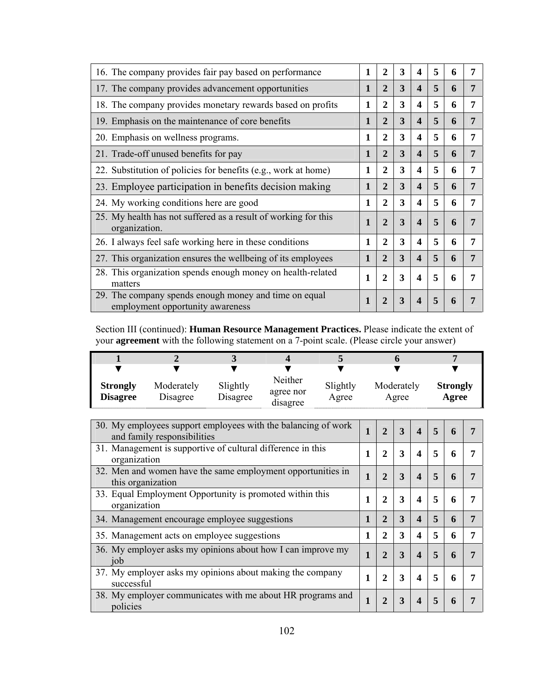| 16. The company provides fair pay based on performance                                    | 1 | $\mathbf{2}$   | 3 | 4                       | 5 | 6 |  |
|-------------------------------------------------------------------------------------------|---|----------------|---|-------------------------|---|---|--|
| 17. The company provides advancement opportunities                                        | 1 | $\overline{2}$ | 3 | $\overline{\mathbf{4}}$ | 5 | 6 |  |
| 18. The company provides monetary rewards based on profits                                | 1 | $\overline{2}$ | 3 | $\boldsymbol{4}$        | 5 | 6 |  |
| 19. Emphasis on the maintenance of core benefits                                          | 1 | $\mathbf{2}$   | 3 | $\overline{\mathbf{4}}$ | 5 | 6 |  |
| 20. Emphasis on wellness programs.                                                        | 1 | $\overline{2}$ | 3 | $\overline{\mathbf{4}}$ | 5 | 6 |  |
| 21. Trade-off unused benefits for pay                                                     | 1 | $\mathbf{2}$   | 3 | $\overline{\mathbf{4}}$ | 5 | 6 |  |
| 22. Substitution of policies for benefits (e.g., work at home)                            | 1 | $\overline{2}$ | 3 | 4                       | 5 | 6 |  |
| 23. Employee participation in benefits decision making                                    | 1 | $\overline{2}$ | 3 | $\overline{\mathbf{4}}$ | 5 | 6 |  |
| 24. My working conditions here are good                                                   | 1 | $\overline{2}$ | 3 | 4                       | 5 | 6 |  |
| 25. My health has not suffered as a result of working for this<br>organization.           | 1 | $\overline{2}$ | 3 | $\boldsymbol{4}$        | 5 | 6 |  |
| 26. I always feel safe working here in these conditions                                   | 1 | $\mathbf{2}$   | 3 | 4                       | 5 | 6 |  |
| 27. This organization ensures the wellbeing of its employees                              | 1 | $\overline{2}$ | 3 | $\overline{\mathbf{4}}$ | 5 | 6 |  |
| 28. This organization spends enough money on health-related<br>matters                    |   | $\overline{2}$ | 3 | $\boldsymbol{4}$        | 5 | 6 |  |
| 29. The company spends enough money and time on equal<br>employment opportunity awareness |   | $\mathbf 2$    | 3 | $\boldsymbol{4}$        | 5 | 6 |  |

Section III (continued): **Human Resource Management Practices.** Please indicate the extent of your **agreement** with the following statement on a 7-point scale. (Please circle your answer)

| <b>Strongly</b><br><b>Disagree</b> | Moderately<br>Disagree | Slightly<br>Disagree | Neither<br>agree nor<br>disagree | Slightly<br>Agree | Moderately<br>Agree | <b>Strongly</b><br>Agree |
|------------------------------------|------------------------|----------------------|----------------------------------|-------------------|---------------------|--------------------------|

| 30. My employees support employees with the balancing of work<br>and family responsibilities | 1 | $\mathbf{2}$   | 3 | $\boldsymbol{4}$ | 5 | 6 | 7 |
|----------------------------------------------------------------------------------------------|---|----------------|---|------------------|---|---|---|
| 31. Management is supportive of cultural difference in this<br>organization                  |   | $\overline{2}$ | 3 | 4                | 5 | 6 |   |
| 32. Men and women have the same employment opportunities in<br>this organization             |   | $\mathbf{2}$   | 3 | 4                | 5 | 6 |   |
| 33. Equal Employment Opportunity is promoted within this<br>organization                     |   | $\overline{2}$ | 3 | 4                | 5 | 6 |   |
| 34. Management encourage employee suggestions                                                |   | $\overline{2}$ | 3 | 4                | 5 | 6 | 7 |
| 35. Management acts on employee suggestions                                                  |   | $\mathbf{2}$   | 3 | 4                | 5 | 6 |   |
| 36. My employer asks my opinions about how I can improve my<br>job                           |   | $\overline{2}$ | 3 | $\boldsymbol{4}$ | 5 | 6 | 7 |
| 37. My employer asks my opinions about making the company<br>successful                      |   | $\overline{2}$ | 3 | 4                | 5 | 6 |   |
| 38. My employer communicates with me about HR programs and<br>policies                       |   | 2              | 3 | 4                | 5 | n |   |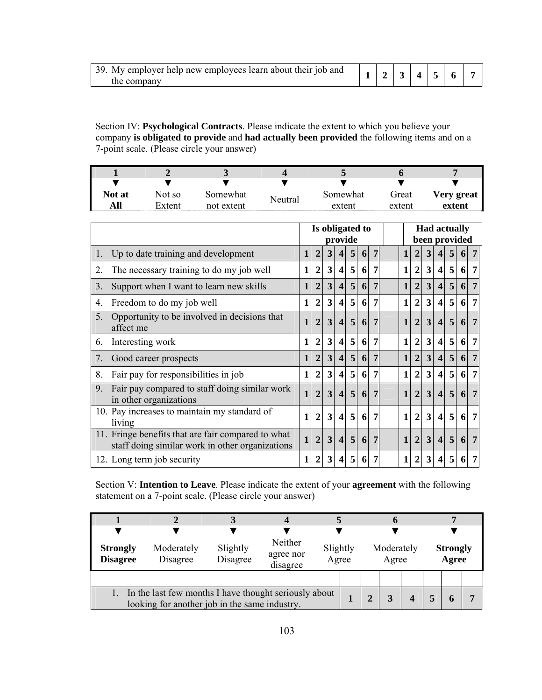| 39. My employer help new employees learn about their job and | $2 \mid 3 \mid 4$ |  |  |  |
|--------------------------------------------------------------|-------------------|--|--|--|
| the company                                                  |                   |  |  |  |

#### Section IV: **Psychological Contracts**. Please indicate the extent to which you believe your company **is obligated to provide** and **had actually been provided** the following items and on a 7-point scale. (Please circle your answer)

| 1                                                                                                     | $\mathbf{2}$                                                            | 3 | 4 |                    |                |   | 5                          |                |                 |                | 6            |                      |                         |                         | 7                                    |   |                |
|-------------------------------------------------------------------------------------------------------|-------------------------------------------------------------------------|---|---|--------------------|----------------|---|----------------------------|----------------|-----------------|----------------|--------------|----------------------|-------------------------|-------------------------|--------------------------------------|---|----------------|
|                                                                                                       |                                                                         |   |   |                    |                |   |                            |                |                 |                |              |                      |                         |                         |                                      |   |                |
|                                                                                                       | Not at<br>Not so<br>Somewhat<br>Neutral<br>Extent<br>All<br>not extent  |   |   | Somewhat<br>extent |                |   |                            |                | Great<br>extent |                |              | Very great<br>extent |                         |                         |                                      |   |                |
|                                                                                                       |                                                                         |   |   |                    |                |   | Is obligated to<br>provide |                |                 |                |              |                      |                         |                         | <b>Had actually</b><br>been provided |   |                |
| 1.                                                                                                    | Up to date training and development                                     |   |   | 1                  | $\overline{2}$ | 3 | $\vert$                    | 5              | 6               | $\overline{7}$ | 1            | $\overline{2}$       | 3                       | $\vert$                 | 5 <sup>1</sup>                       | 6 | 7              |
| 2.                                                                                                    | The necessary training to do my job well                                |   |   | 1                  | 2              | 3 | $\vert$                    | 5              | 6               | 7              | 1            | $\overline{2}$       | 3                       | $\overline{\mathbf{4}}$ | 5                                    | 6 | 7              |
| 3.                                                                                                    | Support when I want to learn new skills                                 |   |   | 1                  | $\overline{2}$ | 3 | $\overline{4}$             | 5              | 6               | 7              | $\mathbf{1}$ | $\overline{2}$       | 3                       | $\overline{4}$          | 5                                    | 6 | 7              |
| 4.                                                                                                    | Freedom to do my job well                                               |   |   | 1                  | $\overline{2}$ | 3 | $\vert$                    | 5              | 6               | 7              | 1            | $\overline{2}$       | $\overline{\mathbf{3}}$ | $\boldsymbol{4}$        | 5                                    | 6 | 7              |
| 5.                                                                                                    | Opportunity to be involved in decisions that<br>affect me               |   |   | $\mathbf{1}$       | $\overline{2}$ | 3 | $\overline{4}$             | 5              | 6               | 7              | $\mathbf{1}$ | $\overline{2}$       | 3                       | $\overline{\mathbf{4}}$ | 5                                    | 6 | 7              |
| 6.                                                                                                    | Interesting work                                                        |   |   | 1                  | $\overline{c}$ | 3 | $\overline{4}$             | 5              | 6               | 7              | 1            | $\overline{2}$       | 3                       | $\overline{\mathbf{4}}$ | 5                                    | 6 | 7              |
| 7.                                                                                                    | Good career prospects                                                   |   |   | 1                  | $\mathbf 2$    | 3 | $\overline{4}$             | 5              | 6               | 7              | 1            | $\overline{2}$       | 3                       | $\overline{4}$          | 5                                    | 6 | 7              |
| 8.                                                                                                    | Fair pay for responsibilities in job                                    |   |   | 1                  | 2              | 3 | $\vert$                    | 5              | 6               | 7              | 1            | $\overline{2}$       | 3                       | $\overline{\mathbf{4}}$ | 5                                    | 6 | 7              |
| 9.                                                                                                    | Fair pay compared to staff doing similar work<br>in other organizations |   |   | 1                  | $\overline{2}$ | 3 | $\overline{4}$             | 5 <sup>5</sup> | 6               | $\overline{7}$ | $\mathbf{1}$ | $\overline{2}$       | $\overline{3}$          | $\overline{\mathbf{4}}$ | 5                                    | 6 | $\overline{7}$ |
| living                                                                                                | 10. Pay increases to maintain my standard of                            |   |   | 1                  | 2              | 3 | $\vert$                    | 5              | 6               | 7              | 1            | $\overline{2}$       | 3                       | $\overline{\mathbf{4}}$ | 5                                    | 6 | 7              |
| 11. Fringe benefits that are fair compared to what<br>staff doing similar work in other organizations |                                                                         |   |   | $\mathbf{1}$       | $\overline{2}$ | 3 | $\overline{4}$             | 5              | 6               | 7              | $\mathbf{1}$ | $\overline{2}$       | $\overline{\mathbf{3}}$ | $\overline{\mathbf{4}}$ | 5                                    | 6 | 7              |
|                                                                                                       | 12. Long term job security                                              |   |   | 1                  | 2              | 3 | 4                          | 5              | 6               | 7              | $\mathbf{1}$ | 2                    | 3                       | $\overline{\mathbf{4}}$ | 5                                    | 6 | 7              |

Section V: **Intention to Leave**. Please indicate the extent of your **agreement** with the following statement on a 7-point scale. (Please circle your answer)

| <b>Strongly</b><br><b>Disagree</b>                                                                     | Moderately<br>Disagree | Slightly<br>Disagree | Neither<br>agree nor<br>disagree | Slightly<br>Agree |  |  | Moderately<br>Agree |  | <b>Strongly</b><br>Agree |  |
|--------------------------------------------------------------------------------------------------------|------------------------|----------------------|----------------------------------|-------------------|--|--|---------------------|--|--------------------------|--|
|                                                                                                        |                        |                      |                                  |                   |  |  |                     |  |                          |  |
| In the last few months I have thought seriously about<br>looking for another job in the same industry. |                        |                      |                                  |                   |  |  |                     |  |                          |  |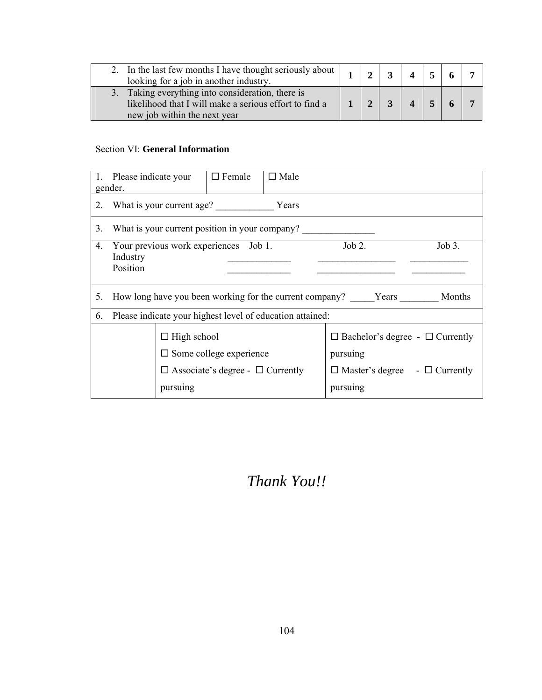| 2. In the last few months I have thought seriously about $\begin{bmatrix} 1 \\ 1 \end{bmatrix}$<br>looking for a job in another industry.   |  |  |  |  |
|---------------------------------------------------------------------------------------------------------------------------------------------|--|--|--|--|
| 3. Taking everything into consideration, there is<br>likelihood that I will make a serious effort to find a<br>new job within the next year |  |  |  |  |

### Section VI: **General Information**

|    | 1. Please indicate your<br>gender.             |                    | $\Box$ Female                                | $\Box$ Male                                               |                                                               |        |  |  |  |
|----|------------------------------------------------|--------------------|----------------------------------------------|-----------------------------------------------------------|---------------------------------------------------------------|--------|--|--|--|
| 2. |                                                |                    | What is your current age? Years              |                                                           |                                                               |        |  |  |  |
| 3. | What is your current position in your company? |                    |                                              |                                                           |                                                               |        |  |  |  |
| 4. | Industry<br>Position                           |                    | Your previous work experiences Job 1.        |                                                           | Job 2.                                                        | Job 3. |  |  |  |
| 5. |                                                |                    |                                              |                                                           | How long have you been working for the current company? Years | Months |  |  |  |
| 6. |                                                |                    |                                              | Please indicate your highest level of education attained: |                                                               |        |  |  |  |
|    |                                                | $\Box$ High school | $\square$ Some college experience            |                                                           | $\Box$ Bachelor's degree - $\Box$ Currently<br>pursuing       |        |  |  |  |
|    |                                                | pursuing           | $\Box$ Associate's degree - $\Box$ Currently |                                                           | $\Box$ Master's degree - $\Box$ Currently<br>pursuing         |        |  |  |  |

# *Thank You!!*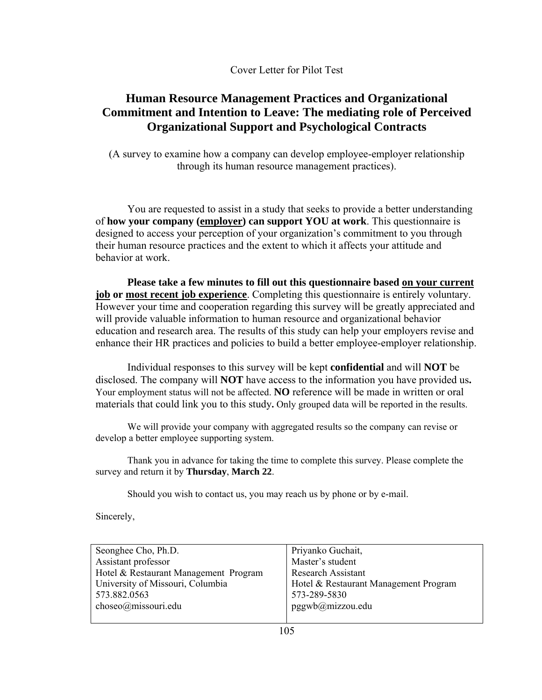Cover Letter for Pilot Test

# **Human Resource Management Practices and Organizational Commitment and Intention to Leave: The mediating role of Perceived Organizational Support and Psychological Contracts**

(A survey to examine how a company can develop employee-employer relationship through its human resource management practices).

You are requested to assist in a study that seeks to provide a better understanding of **how your company (employer) can support YOU at work**. This questionnaire is designed to access your perception of your organization's commitment to you through their human resource practices and the extent to which it affects your attitude and behavior at work.

**Please take a few minutes to fill out this questionnaire based on your current job or most recent job experience**. Completing this questionnaire is entirely voluntary. However your time and cooperation regarding this survey will be greatly appreciated and will provide valuable information to human resource and organizational behavior education and research area. The results of this study can help your employers revise and enhance their HR practices and policies to build a better employee-employer relationship.

Individual responses to this survey will be kept **confidential** and will **NOT** be disclosed. The company will **NOT** have access to the information you have provided us**.**  Your employment status will not be affected. **NO** reference will be made in written or oral materials that could link you to this study**.** Only grouped data will be reported in the results.

We will provide your company with aggregated results so the company can revise or develop a better employee supporting system.

Thank you in advance for taking the time to complete this survey. Please complete the survey and return it by **Thursday**, **March 22**.

Should you wish to contact us, you may reach us by phone or by e-mail.

Sincerely,

| Seonghee Cho, Ph.D.                   | Priyanko Guchait,                     |
|---------------------------------------|---------------------------------------|
| Assistant professor                   | Master's student                      |
| Hotel & Restaurant Management Program | <b>Research Assistant</b>             |
| University of Missouri, Columbia      | Hotel & Restaurant Management Program |
| 573.882.0563                          | 573-289-5830                          |
| $choseo(\partial)$ missouri.edu       | pggwb@mizzou.edu                      |
|                                       |                                       |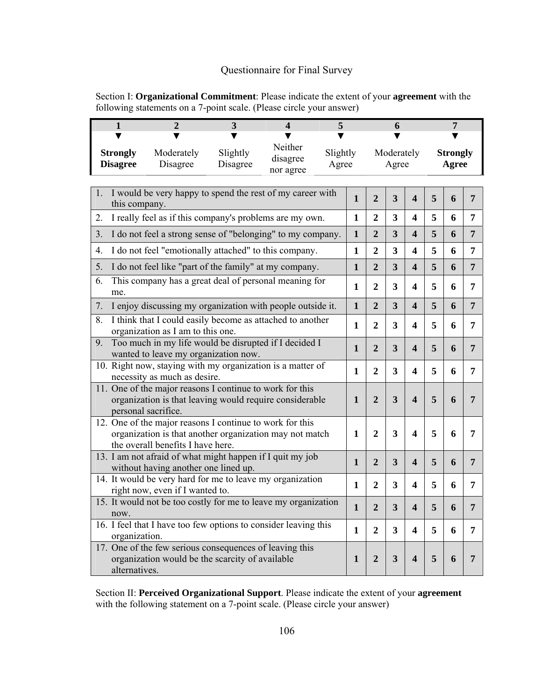### Questionnaire for Final Survey

Section I: **Organizational Commitment**: Please indicate the extent of your **agreement** with the following statements on a 7-point scale. (Please circle your answer)

| $\mathbf{1}$                                                                                 | $\overline{2}$                                                                                                                                           | 3                    | $\overline{\mathbf{4}}$          | 5                 |              |                | 6                       |                         |   |                          |                |
|----------------------------------------------------------------------------------------------|----------------------------------------------------------------------------------------------------------------------------------------------------------|----------------------|----------------------------------|-------------------|--------------|----------------|-------------------------|-------------------------|---|--------------------------|----------------|
|                                                                                              |                                                                                                                                                          |                      |                                  |                   |              |                |                         |                         |   |                          |                |
| <b>Strongly</b><br><b>Disagree</b>                                                           | Moderately<br>Disagree                                                                                                                                   | Slightly<br>Disagree | Neither<br>disagree<br>nor agree | Slightly<br>Agree |              |                | Moderately<br>Agree     |                         |   | <b>Strongly</b><br>Agree |                |
|                                                                                              |                                                                                                                                                          |                      |                                  |                   |              |                |                         |                         |   |                          |                |
| 1.<br>this company.                                                                          | I would be very happy to spend the rest of my career with                                                                                                |                      |                                  |                   | $\mathbf{1}$ | $\overline{2}$ | 3                       | $\overline{\mathbf{4}}$ | 5 | 6                        | 7              |
| 2.                                                                                           | I really feel as if this company's problems are my own.                                                                                                  |                      |                                  |                   |              |                | 3                       | 4                       | 5 | 6                        | 7              |
| 3.<br>I do not feel a strong sense of "belonging" to my company.                             |                                                                                                                                                          |                      |                                  |                   | $\mathbf{1}$ | $\overline{2}$ | 3                       | $\overline{\mathbf{4}}$ | 5 | 6                        | 7              |
| 4.                                                                                           | I do not feel "emotionally attached" to this company.                                                                                                    |                      |                                  |                   | $\mathbf{1}$ | $\overline{2}$ | 3                       | $\boldsymbol{4}$        | 5 | 6                        | $\overline{7}$ |
| 5.                                                                                           | I do not feel like "part of the family" at my company.                                                                                                   |                      |                                  |                   | $\mathbf{1}$ | $\overline{2}$ | 3                       | $\overline{\mathbf{4}}$ | 5 | 6                        | $\overline{7}$ |
| 6.<br>me.                                                                                    | This company has a great deal of personal meaning for                                                                                                    |                      |                                  |                   | 1            | $\overline{2}$ | 3                       | 4                       | 5 | 6                        | 7              |
| 7.                                                                                           | I enjoy discussing my organization with people outside it.                                                                                               |                      |                                  |                   | $\mathbf{1}$ | $\overline{2}$ | 3                       | $\overline{\mathbf{4}}$ | 5 | 6                        | $\overline{7}$ |
| 8.                                                                                           | I think that I could easily become as attached to another<br>organization as I am to this one.                                                           |                      |                                  |                   | $\mathbf{1}$ | $\mathbf{2}$   | 3                       | $\boldsymbol{4}$        | 5 | 6                        | 7              |
| 9.                                                                                           | Too much in my life would be disrupted if I decided I<br>wanted to leave my organization now.                                                            |                      |                                  |                   | $\mathbf{1}$ | $\overline{2}$ | 3                       | $\boldsymbol{4}$        | 5 | 6                        | 7              |
|                                                                                              | 10. Right now, staying with my organization is a matter of<br>necessity as much as desire.                                                               |                      |                                  |                   | 1            | $\overline{2}$ | 3                       | 4                       | 5 | 6                        | 7              |
|                                                                                              | 11. One of the major reasons I continue to work for this<br>organization is that leaving would require considerable<br>personal sacrifice.               |                      |                                  |                   | 1            | $\overline{2}$ | 3                       | $\overline{\mathbf{4}}$ | 5 | 6                        | 7              |
|                                                                                              | 12. One of the major reasons I continue to work for this<br>organization is that another organization may not match<br>the overall benefits I have here. |                      |                                  |                   | 1            | $\overline{2}$ | 3                       | $\boldsymbol{4}$        | 5 | 6                        | 7              |
|                                                                                              | 13. I am not afraid of what might happen if I quit my job<br>without having another one lined up.                                                        |                      |                                  |                   | $\mathbf{1}$ | $\overline{2}$ | 3                       | $\overline{\mathbf{4}}$ | 5 | 6                        | 7              |
| 14. It would be very hard for me to leave my organization<br>right now, even if I wanted to. |                                                                                                                                                          |                      |                                  |                   | $\mathbf{1}$ | $\overline{2}$ | $\overline{\mathbf{3}}$ | 4                       | 5 | 6                        | 7              |
| now.                                                                                         | 15. It would not be too costly for me to leave my organization                                                                                           |                      |                                  |                   | $\mathbf{1}$ | $\overline{2}$ | 3                       | $\overline{\mathbf{4}}$ | 5 | 6                        | $\overline{7}$ |
| organization.                                                                                | 16. I feel that I have too few options to consider leaving this                                                                                          |                      |                                  |                   | 1            | $\overline{2}$ | 3                       | 4                       | 5 | 6                        | 7              |
| alternatives.                                                                                | 17. One of the few serious consequences of leaving this<br>organization would be the scarcity of available                                               |                      |                                  |                   | $\mathbf{1}$ | $\overline{2}$ | 3                       | 4                       | 5 | 6                        | 7              |

Section II: **Perceived Organizational Support**. Please indicate the extent of your **agreement** with the following statement on a 7-point scale. (Please circle your answer)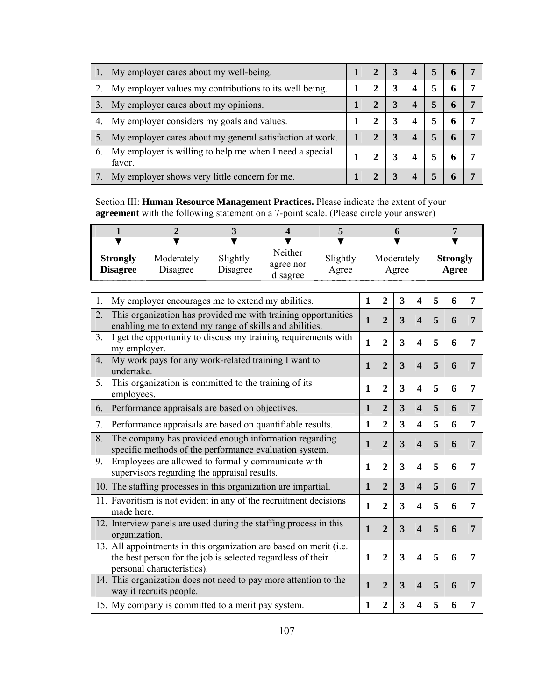| 1. | My employer cares about my well-being.                            |   | 2              | 3 | 4 | 5 |   |  |
|----|-------------------------------------------------------------------|---|----------------|---|---|---|---|--|
| 2. | My employer values my contributions to its well being.            |   |                | 3 | 4 | 5 |   |  |
| 3. | My employer cares about my opinions.                              |   | 2              | 3 | 4 | 5 |   |  |
| 4. | My employer considers my goals and values.                        |   | 2              | 3 | 4 | 5 | h |  |
| 5. | My employer cares about my general satisfaction at work.          | 1 | $\overline{2}$ | 3 | 4 | 5 | O |  |
| 6. | My employer is willing to help me when I need a special<br>favor. |   |                | 3 |   |   |   |  |
|    | My employer shows very little concern for me.                     |   |                |   |   |   |   |  |

Section III: **Human Resource Management Practices.** Please indicate the extent of your **agreement** with the following statement on a 7-point scale. (Please circle your answer)

| <b>Strongly</b><br><b>Disagree</b> | Moderately<br>Disagree | Slightly<br>Disagree | Neither<br>agree nor<br>disagree | Slightly<br>Agree | Moderately<br>Agree | <b>Strongly</b><br>Agree |
|------------------------------------|------------------------|----------------------|----------------------------------|-------------------|---------------------|--------------------------|

| 1.<br>My employer encourages me to extend my abilities.                                                                                                         | 1 | $\overline{2}$ | 3 | $\overline{\mathbf{4}}$ | 5 | 6 | 7 |
|-----------------------------------------------------------------------------------------------------------------------------------------------------------------|---|----------------|---|-------------------------|---|---|---|
| This organization has provided me with training opportunities<br>2.<br>enabling me to extend my range of skills and abilities.                                  | 1 | $\overline{2}$ | 3 | $\overline{\mathbf{4}}$ | 5 | 6 | 7 |
| I get the opportunity to discuss my training requirements with<br>3.<br>my employer.                                                                            | 1 | $\overline{2}$ | 3 | $\boldsymbol{4}$        | 5 | 6 | 7 |
| My work pays for any work-related training I want to<br>$\overline{4}$ .<br>undertake.                                                                          | 1 | $\overline{2}$ | 3 | $\overline{\mathbf{4}}$ | 5 | 6 | 7 |
| This organization is committed to the training of its<br>5.<br>employees.                                                                                       | 1 | $\overline{2}$ | 3 | $\boldsymbol{4}$        | 5 | 6 | 7 |
| Performance appraisals are based on objectives.<br>6.                                                                                                           | 1 | $\overline{2}$ | 3 | $\overline{\mathbf{4}}$ | 5 | 6 | 7 |
| Performance appraisals are based on quantifiable results.<br>7.                                                                                                 | 1 | $\overline{2}$ | 3 | $\overline{\mathbf{4}}$ | 5 | 6 | 7 |
| The company has provided enough information regarding<br>8.<br>specific methods of the performance evaluation system.                                           | 1 | $\overline{2}$ | 3 | $\boldsymbol{4}$        | 5 | 6 | 7 |
| Employees are allowed to formally communicate with<br>9.<br>supervisors regarding the appraisal results.                                                        | 1 | $\mathbf{2}$   | 3 | $\boldsymbol{4}$        | 5 | 6 | 7 |
| 10. The staffing processes in this organization are impartial.                                                                                                  | 1 | $\overline{2}$ | 3 | $\boldsymbol{4}$        | 5 | 6 | 7 |
| 11. Favoritism is not evident in any of the recruitment decisions<br>made here.                                                                                 | 1 | $\overline{2}$ | 3 | $\boldsymbol{4}$        | 5 | 6 | 7 |
| 12. Interview panels are used during the staffing process in this<br>organization.                                                                              | 1 | $\overline{2}$ | 3 | $\boldsymbol{4}$        | 5 | 6 | 7 |
| 13. All appointments in this organization are based on merit (i.e.<br>the best person for the job is selected regardless of their<br>personal characteristics). | 1 | $\overline{2}$ | 3 | $\boldsymbol{4}$        | 5 | 6 | 7 |
| 14. This organization does not need to pay more attention to the<br>way it recruits people.                                                                     | 1 | $\overline{2}$ | 3 | $\boldsymbol{4}$        | 5 | 6 |   |
| 15. My company is committed to a merit pay system.                                                                                                              | 1 | 2              | 3 | $\boldsymbol{\Delta}$   | 5 | 6 | 7 |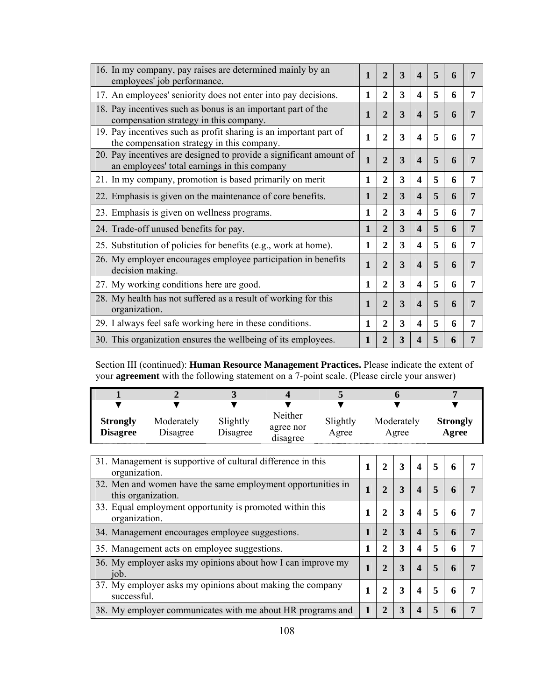| 16. In my company, pay raises are determined mainly by an<br>employees' job performance.                           | 1            | $\overline{2}$ | 3 | $\boldsymbol{4}$           | 5 | 6 |  |
|--------------------------------------------------------------------------------------------------------------------|--------------|----------------|---|----------------------------|---|---|--|
| 17. An employees' seniority does not enter into pay decisions.                                                     | 1            | $\overline{2}$ | 3 | 4                          | 5 | 6 |  |
| 18. Pay incentives such as bonus is an important part of the<br>compensation strategy in this company.             | 1            | $\overline{2}$ | 3 | $\boldsymbol{\mathcal{A}}$ | 5 | 6 |  |
| 19. Pay incentives such as profit sharing is an important part of<br>the compensation strategy in this company.    | 1            | $\mathbf{2}$   | 3 | $\boldsymbol{4}$           | 5 | 6 |  |
| 20. Pay incentives are designed to provide a significant amount of<br>an employees' total earnings in this company | $\mathbf{1}$ | $\overline{2}$ | 3 | $\boldsymbol{\mathcal{A}}$ | 5 | 6 |  |
| 21. In my company, promotion is based primarily on merit                                                           | 1            | 2              | 3 | 4                          | 5 | 6 |  |
| 22. Emphasis is given on the maintenance of core benefits.                                                         | 1            | $\mathbf{2}$   | 3 | $\boldsymbol{4}$           | 5 | 6 |  |
| 23. Emphasis is given on wellness programs.                                                                        | 1            | $\overline{2}$ | 3 | 4                          | 5 | 6 |  |
| 24. Trade-off unused benefits for pay.                                                                             | 1            | $\overline{2}$ | 3 | $\boldsymbol{4}$           | 5 | 6 |  |
| 25. Substitution of policies for benefits (e.g., work at home).                                                    | 1            | $\overline{2}$ | 3 | 4                          | 5 | 6 |  |
| 26. My employer encourages employee participation in benefits<br>decision making.                                  | $\mathbf{1}$ | $\overline{2}$ | 3 | $\boldsymbol{4}$           | 5 | 6 |  |
| 27. My working conditions here are good.                                                                           | 1            | $\overline{2}$ | 3 | 4                          | 5 | 6 |  |
| 28. My health has not suffered as a result of working for this<br>organization.                                    | 1            | $\overline{2}$ | 3 | $\boldsymbol{4}$           | 5 | 6 |  |
| 29. I always feel safe working here in these conditions.                                                           | 1            | $\mathbf{2}$   | 3 | 4                          | 5 | 6 |  |
| 30. This organization ensures the wellbeing of its employees.                                                      | 1            | 2              | 3 | $\boldsymbol{4}$           | 5 | 6 |  |

Section III (continued): **Human Resource Management Practices.** Please indicate the extent of your **agreement** with the following statement on a 7-point scale. (Please circle your answer)

| <b>Strongly</b><br><b>Disagree</b> | Moderately<br>Disagree | Slightly<br>Disagree | Neither<br>agree nor<br>disagree | Slightly<br>Agree | Moderately<br>Agree | <b>Strongly</b><br>Agree |
|------------------------------------|------------------------|----------------------|----------------------------------|-------------------|---------------------|--------------------------|

| 31. Management is supportive of cultural difference in this<br>organization.      | 2              | 3 | 4 | 5 | n |   |
|-----------------------------------------------------------------------------------|----------------|---|---|---|---|---|
| 32. Men and women have the same employment opportunities in<br>this organization. | $\mathbf{2}$   | 3 | 4 | 5 | 6 |   |
| 33. Equal employment opportunity is promoted within this<br>organization.         | 2              | 3 | 4 | 5 | 6 |   |
| 34. Management encourages employee suggestions.                                   | $\overline{2}$ | 3 | 4 | 5 | 6 |   |
| 35. Management acts on employee suggestions.                                      | 2              | 3 | 4 | 5 | n | 7 |
| 36. My employer asks my opinions about how I can improve my<br>job.               | $\overline{2}$ | 3 | 4 | 5 | 6 | 7 |
| 37. My employer asks my opinions about making the company<br>successful.          | $\mathbf{2}$   | 3 | 4 | 5 | 6 |   |
| 38. My employer communicates with me about HR programs and                        | 2              | 3 | 4 |   |   |   |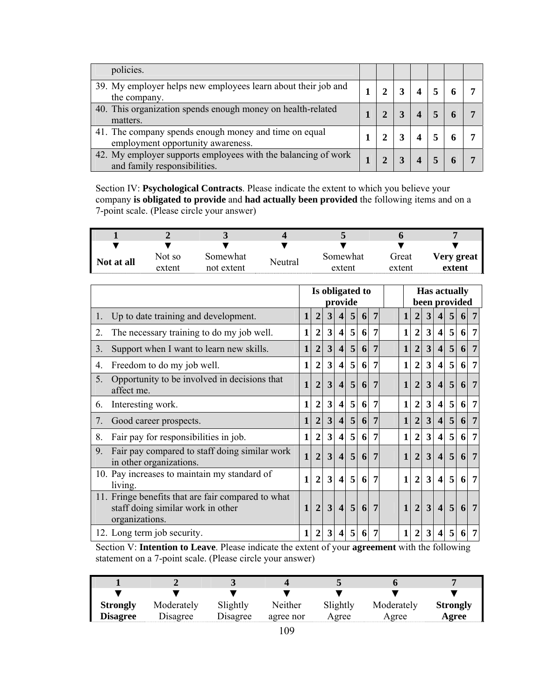| policies.                                                                                     |  |  |  |  |
|-----------------------------------------------------------------------------------------------|--|--|--|--|
| 39. My employer helps new employees learn about their job and<br>the company.                 |  |  |  |  |
| 40. This organization spends enough money on health-related<br>matters.                       |  |  |  |  |
| 41. The company spends enough money and time on equal<br>employment opportunity awareness.    |  |  |  |  |
| 42. My employer supports employees with the balancing of work<br>and family responsibilities. |  |  |  |  |

Section IV: **Psychological Contracts**. Please indicate the extent to which you believe your company **is obligated to provide** and **had actually been provided** the following items and on a 7-point scale. (Please circle your answer)

| Not at all | Not so<br>extent | Somewhat<br>not extent | Neutral | Somewhat<br>extent | Great<br>extent | Very great<br>extent |
|------------|------------------|------------------------|---------|--------------------|-----------------|----------------------|

|                                                                                                           | Is obligated to<br>provide |                  |                         |                 | <b>Has actually</b><br>been provided |   |                |   |                  |                         |                |   |   |                |
|-----------------------------------------------------------------------------------------------------------|----------------------------|------------------|-------------------------|-----------------|--------------------------------------|---|----------------|---|------------------|-------------------------|----------------|---|---|----------------|
| Up to date training and development.<br>1.                                                                | 1                          | $\overline{2}$   | 3 <sup>1</sup>          | $\vert 4 \vert$ | 5 <sup>1</sup>                       | 6 | $\overline{7}$ | 1 | $\overline{2}$   | 3 <sup>1</sup>          | $\vert$        | 5 | 6 | 7              |
| The necessary training to do my job well.<br>2.                                                           | 1                          | $\overline{2}$   | 3 <sup>1</sup>          | $\overline{4}$  | 5                                    | 6 | 7              | 1 | $\boldsymbol{2}$ | $\vert 3 \vert$         | $\overline{4}$ | 5 | 6 | 7              |
| 3.<br>Support when I want to learn new skills.                                                            | 1                          | $\overline{2}$   | 3                       | 4 <sup>1</sup>  | 5 <sup>5</sup>                       | 6 | $\overline{7}$ | 1 | $\overline{2}$   | 3 <sup>1</sup>          | $\overline{4}$ | 5 | 6 | 7              |
| Freedom to do my job well.<br>4.                                                                          | 1                          | $\boldsymbol{2}$ | $\mathbf{3}$            | $\vert$         | 5                                    | 6 | 7              | 1 | $\boldsymbol{2}$ | 3                       | $\vert$        | 5 | 6 | 7              |
| Opportunity to be involved in decisions that<br>5.<br>affect me.                                          | 1                          | $\overline{2}$   | 3 <sup>1</sup>          | $\overline{4}$  | 5                                    | 6 | 7              | 1 | $\overline{2}$   | 3 <sup>1</sup>          | $\overline{4}$ | 5 | 6 | 7              |
| Interesting work.<br>6.                                                                                   | 1                          | $\boldsymbol{2}$ | 3                       | $\vert$         | 5                                    | 6 | 7              | 1 | $\overline{2}$   | $\overline{\mathbf{3}}$ | $\overline{4}$ | 5 | 6 | 7              |
| Good career prospects.<br>7.                                                                              | 1                          | $\overline{2}$   | 3 <sup>1</sup>          | $\vert 4 \vert$ | 5 <sup>1</sup>                       | 6 | 7              | 1 | $\overline{2}$   | 3 <sup>1</sup>          | $\overline{4}$ | 5 | 6 | $\overline{7}$ |
| Fair pay for responsibilities in job.<br>8.                                                               | 1                          | $\boldsymbol{2}$ | 3 <sup>1</sup>          | $\vert$         | 5                                    | 6 | 7              | 1 | $\boldsymbol{2}$ | 3 <sup>1</sup>          | $\overline{4}$ | 5 | 6 | $\overline{7}$ |
| Fair pay compared to staff doing similar work<br>9.<br>in other organizations.                            | 1                          | $\overline{2}$   | 3 <sup>1</sup>          | $\vert$         | 5 <sup>1</sup>                       | 6 | 7              | 1 | $\overline{2}$   | 3 <sup>1</sup>          | $\overline{4}$ | 5 | 6 | $\overline{7}$ |
| 10. Pay increases to maintain my standard of<br>living.                                                   | 1                          | $\overline{2}$   | $\overline{\mathbf{3}}$ | $\vert$         | 5                                    | 6 | 7              | 1 | $\overline{2}$   | $\mathbf{3}$            | $\vert$        | 5 | 6 | 7              |
| 11. Fringe benefits that are fair compared to what<br>staff doing similar work in other<br>organizations. | 1                          | $\overline{2}$   | 3 <sup>1</sup>          | $\vert$         | 5 <sup>1</sup>                       | 6 | $\overline{7}$ | 1 | $\overline{2}$   | 3 <sup>1</sup>          | $\overline{4}$ | 5 | 6 | 7              |
| 12. Long term job security.                                                                               | 1                          | $\boldsymbol{2}$ | $\mathbf{3}$            | $\vert 4 \vert$ | 5                                    | 6 |                | 1 | $\overline{2}$   | 3                       | $\overline{4}$ | 5 | 6 |                |

Section V: **Intention to Leave**. Please indicate the extent of your **agreement** with the following statement on a 7-point scale. (Please circle your answer)

| <b>Strongly</b> | Moderately      | Slightly        | Neither   | Slightly | Moderately | <b>Strongly</b> |
|-----------------|-----------------|-----------------|-----------|----------|------------|-----------------|
| <b>Disagree</b> | <b>Disagree</b> | <b>Disagree</b> | agree nor | Agree    | Agree      | Agree           |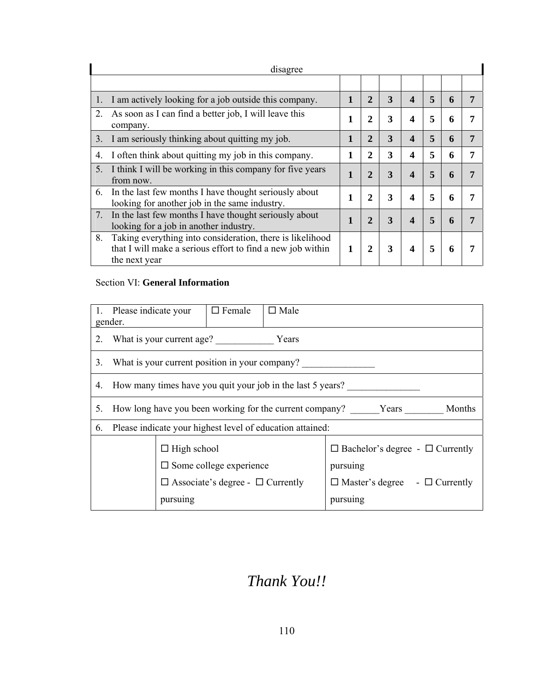|    | disagree                                                                                                                                 |   |             |   |   |   |   |   |
|----|------------------------------------------------------------------------------------------------------------------------------------------|---|-------------|---|---|---|---|---|
|    |                                                                                                                                          |   |             |   |   |   |   |   |
|    | I am actively looking for a job outside this company.                                                                                    | 1 | 2           | 3 | 4 | 5 | 6 | 7 |
| 2. | As soon as I can find a better job, I will leave this<br>company.                                                                        | 1 | 2           | 3 | 4 | 5 | 6 | 7 |
| 3. | I am seriously thinking about quitting my job.                                                                                           | 1 | 2           | 3 | 4 | 5 | 6 | 7 |
| 4. | I often think about quitting my job in this company.                                                                                     | 1 | 2           | 3 | 4 | 5 | 6 | 7 |
| 5. | I think I will be working in this company for five years<br>from now.                                                                    | 1 | $\mathbf 2$ | 3 | 4 | 5 | 6 | 7 |
| 6. | In the last few months I have thought seriously about<br>looking for another job in the same industry.                                   |   | 2           | 3 | 4 | 5 | 6 | 7 |
| 7. | In the last few months I have thought seriously about<br>looking for a job in another industry.                                          |   | 2.          | 3 | 4 | 5 | 6 | 7 |
| 8. | Taking everything into consideration, there is likelihood<br>that I will make a serious effort to find a new job within<br>the next year | 1 | 2           | 3 | 4 | 5 | 6 |   |

#### Section VI: **General Information**

|    | 1. Please indicate your                                              |                                    | $\Box$ Female                                | $\square$ Male |                                                         |  |  |  |  |  |  |  |
|----|----------------------------------------------------------------------|------------------------------------|----------------------------------------------|----------------|---------------------------------------------------------|--|--|--|--|--|--|--|
|    | gender.                                                              |                                    |                                              |                |                                                         |  |  |  |  |  |  |  |
| 2. |                                                                      | What is your current age?<br>Years |                                              |                |                                                         |  |  |  |  |  |  |  |
| 3. | What is your current position in your company?                       |                                    |                                              |                |                                                         |  |  |  |  |  |  |  |
| 4. | How many times have you quit your job in the last 5 years?           |                                    |                                              |                |                                                         |  |  |  |  |  |  |  |
| 5. | How long have you been working for the current company? Years Months |                                    |                                              |                |                                                         |  |  |  |  |  |  |  |
| 6. | Please indicate your highest level of education attained:            |                                    |                                              |                |                                                         |  |  |  |  |  |  |  |
|    |                                                                      | $\Box$ High school                 | $\square$ Some college experience            |                | $\Box$ Bachelor's degree - $\Box$ Currently<br>pursuing |  |  |  |  |  |  |  |
|    |                                                                      |                                    | $\Box$ Associate's degree - $\Box$ Currently |                | $\Box$ Master's degree - $\Box$ Currently               |  |  |  |  |  |  |  |
|    |                                                                      | pursuing                           |                                              | pursuing       |                                                         |  |  |  |  |  |  |  |

# *Thank You!!*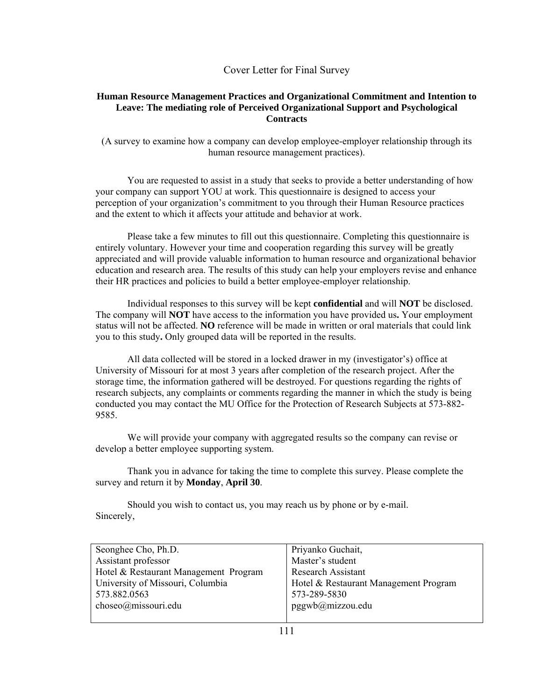#### Cover Letter for Final Survey

#### **Human Resource Management Practices and Organizational Commitment and Intention to Leave: The mediating role of Perceived Organizational Support and Psychological Contracts**

(A survey to examine how a company can develop employee-employer relationship through its human resource management practices).

You are requested to assist in a study that seeks to provide a better understanding of how your company can support YOU at work. This questionnaire is designed to access your perception of your organization's commitment to you through their Human Resource practices and the extent to which it affects your attitude and behavior at work.

Please take a few minutes to fill out this questionnaire. Completing this questionnaire is entirely voluntary. However your time and cooperation regarding this survey will be greatly appreciated and will provide valuable information to human resource and organizational behavior education and research area. The results of this study can help your employers revise and enhance their HR practices and policies to build a better employee-employer relationship.

Individual responses to this survey will be kept **confidential** and will **NOT** be disclosed. The company will **NOT** have access to the information you have provided us**.** Your employment status will not be affected. **NO** reference will be made in written or oral materials that could link you to this study**.** Only grouped data will be reported in the results.

All data collected will be stored in a locked drawer in my (investigator's) office at University of Missouri for at most 3 years after completion of the research project. After the storage time, the information gathered will be destroyed. For questions regarding the rights of research subjects, any complaints or comments regarding the manner in which the study is being conducted you may contact the MU Office for the Protection of Research Subjects at 573-882- 9585.

We will provide your company with aggregated results so the company can revise or develop a better employee supporting system.

Thank you in advance for taking the time to complete this survey. Please complete the survey and return it by **Monday**, **April 30**.

Should you wish to contact us, you may reach us by phone or by e-mail. Sincerely,

| Seonghee Cho, Ph.D.                   | Priyanko Guchait,                     |  |  |  |
|---------------------------------------|---------------------------------------|--|--|--|
| Assistant professor                   | Master's student                      |  |  |  |
| Hotel & Restaurant Management Program | <b>Research Assistant</b>             |  |  |  |
| University of Missouri, Columbia      | Hotel & Restaurant Management Program |  |  |  |
| 573.882.0563                          | 573-289-5830                          |  |  |  |
| $choseo(\partial)$ missouri.edu       | pggwb@mizzou.edu                      |  |  |  |
|                                       |                                       |  |  |  |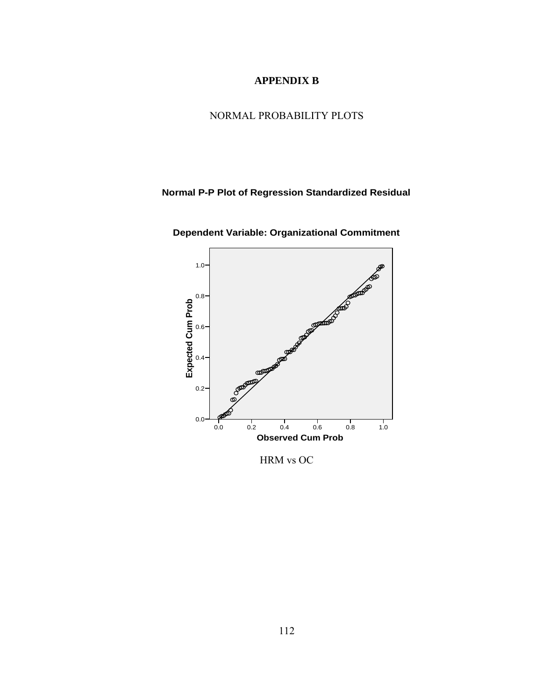#### **APPENDIX B**

#### NORMAL PROBABILITY PLOTS

#### **Normal P-P Plot of Regression Standardized Residual**



**Dependent Variable: Organizational Commitment**

HRM vs OC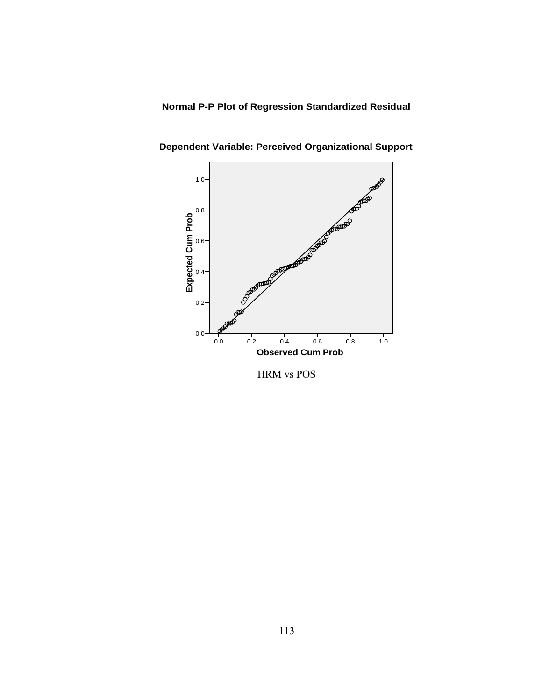

**Dependent Variable: Perceived Organizational Support**

HRM vs POS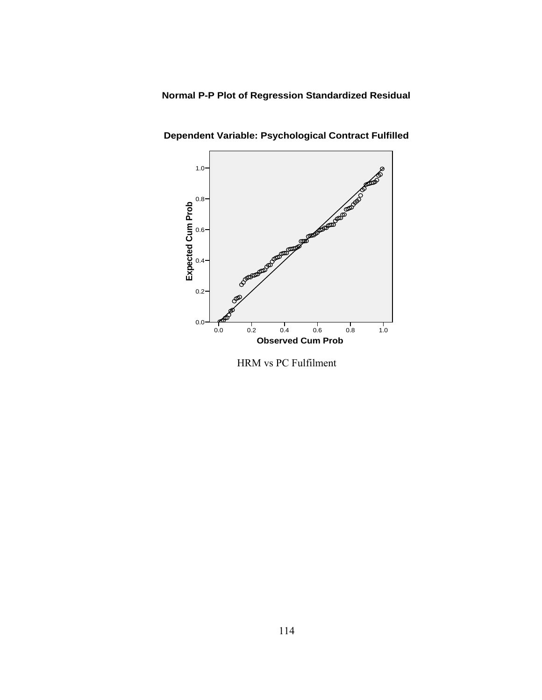

**Dependent Variable: Psychological Contract Fulfilled**

HRM vs PC Fulfilment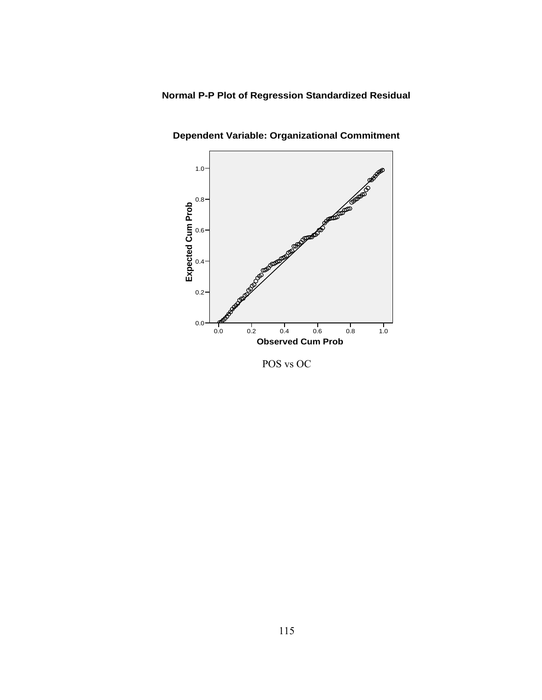

**Dependent Variable: Organizational Commitment**

POS vs OC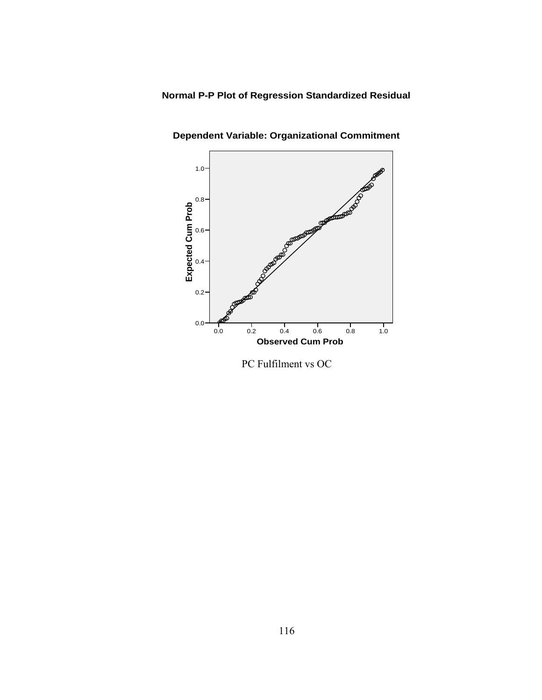

**Dependent Variable: Organizational Commitment**

PC Fulfilment vs OC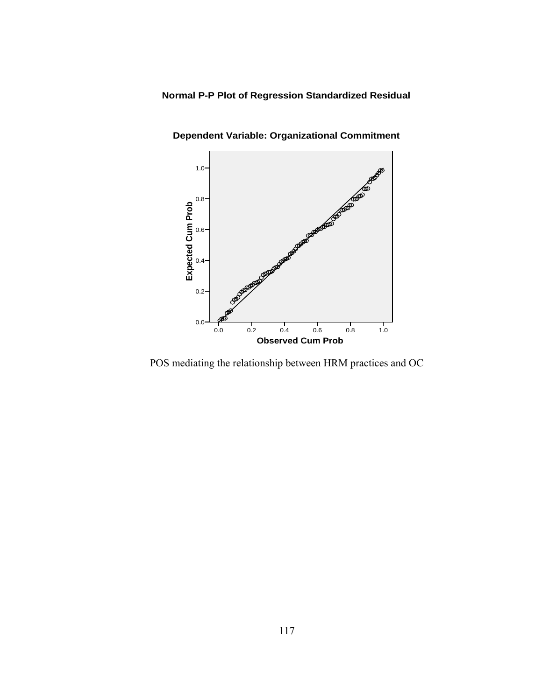

**Dependent Variable: Organizational Commitment**

POS mediating the relationship between HRM practices and OC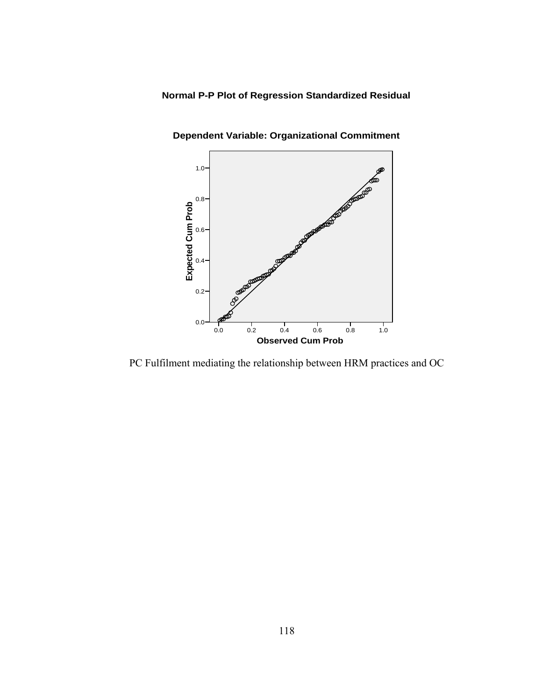

**Dependent Variable: Organizational Commitment**

PC Fulfilment mediating the relationship between HRM practices and OC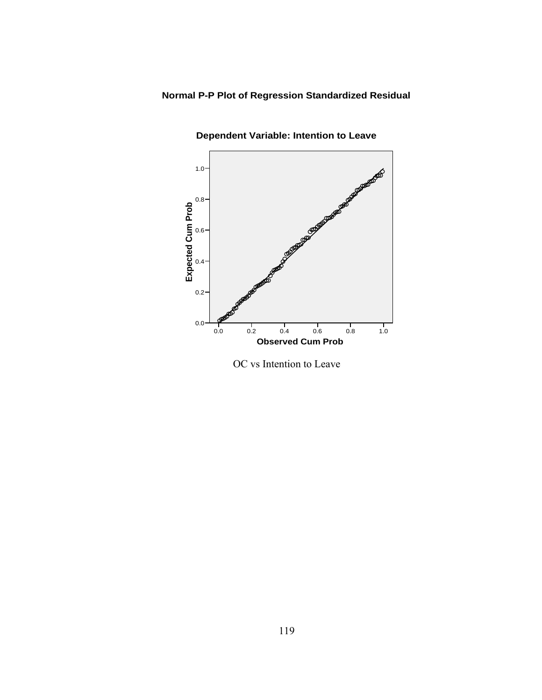

**Dependent Variable: Intention to Leave**

OC vs Intention to Leave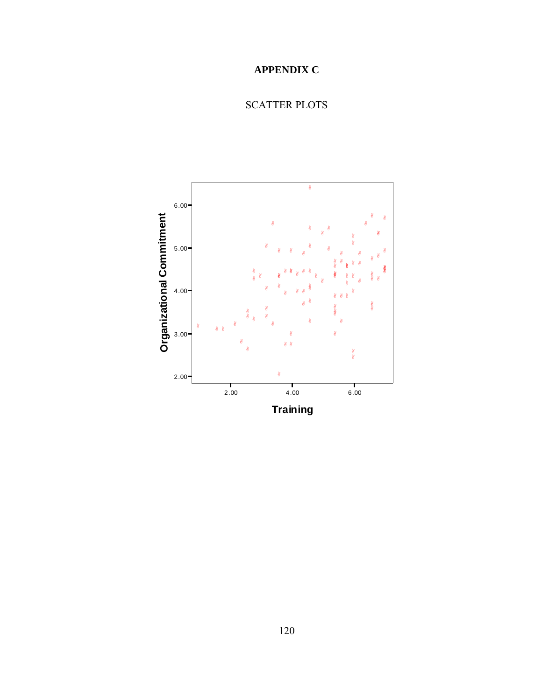# **APPENDIX C**



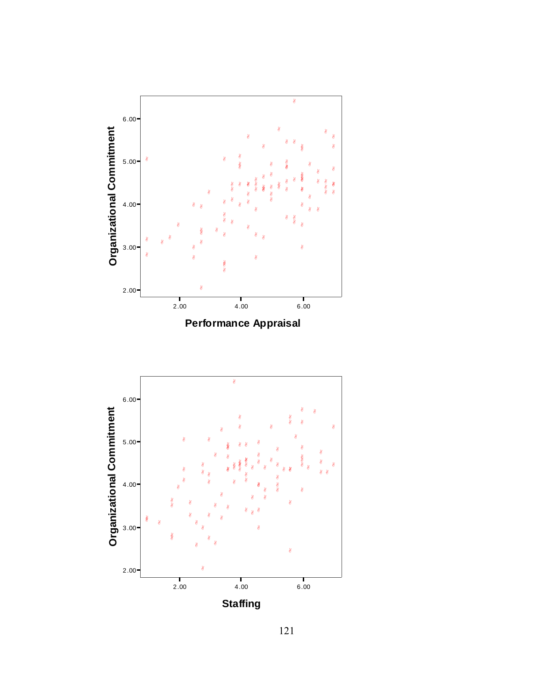

Performance Appraisal

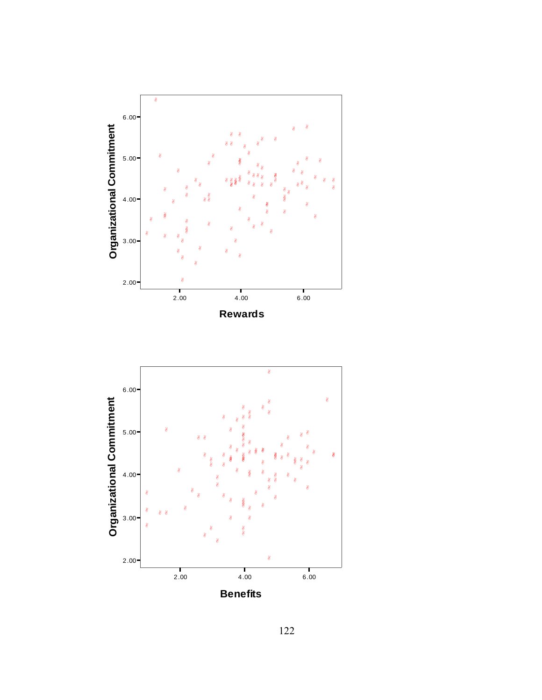

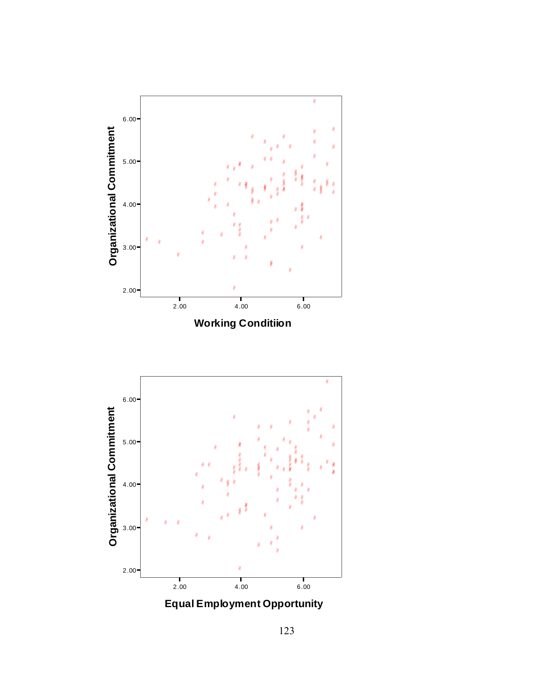

**Equal Employment Opportunity**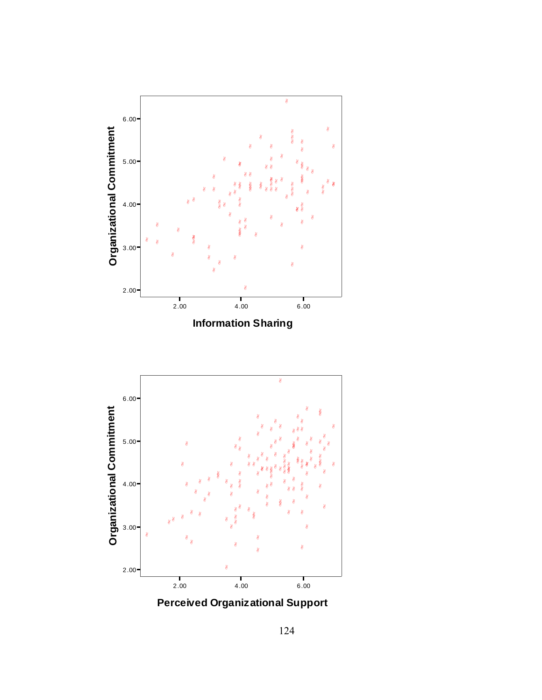

**Perceived Organizational Support**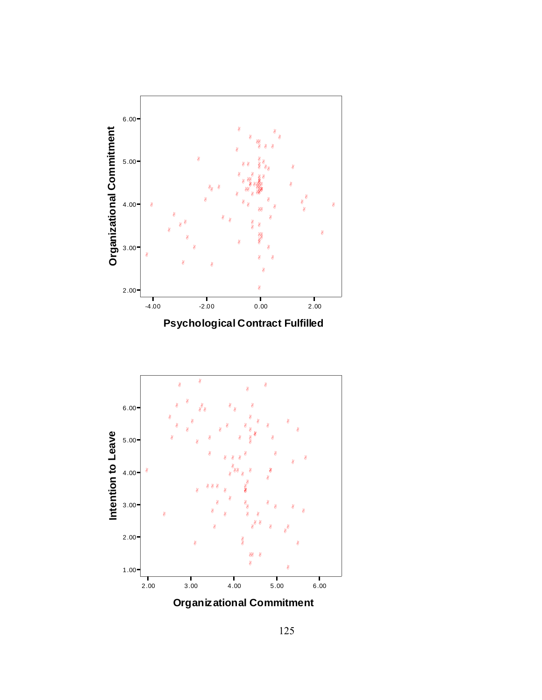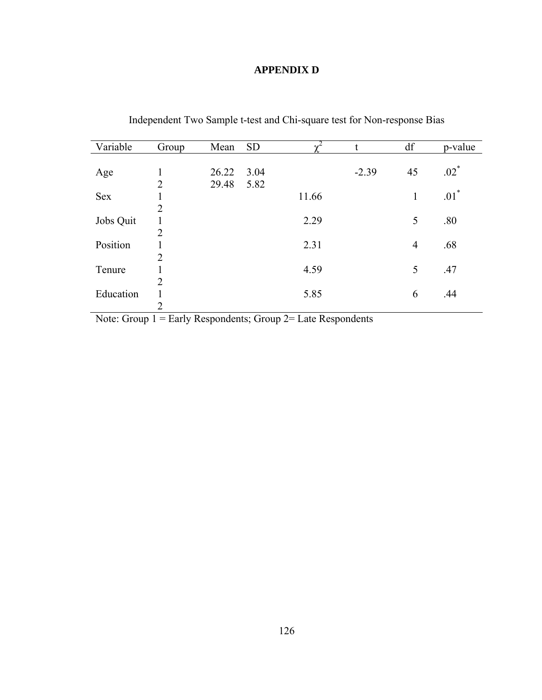# **APPENDIX D**

| Variable   | Group          | Mean  | <b>SD</b> |       | t       | df             | p-value            |
|------------|----------------|-------|-----------|-------|---------|----------------|--------------------|
|            |                |       |           |       |         |                |                    |
| Age        | 1              | 26.22 | 3.04      |       | $-2.39$ | 45             | $.02*$             |
|            | $\overline{2}$ | 29.48 | 5.82      |       |         |                |                    |
| <b>Sex</b> | 1              |       |           | 11.66 |         | $\mathbf{1}$   | $.01$ <sup>*</sup> |
|            | $\overline{2}$ |       |           |       |         |                |                    |
| Jobs Quit  |                |       |           | 2.29  |         | 5              | .80                |
|            | $\overline{2}$ |       |           |       |         |                |                    |
| Position   |                |       |           | 2.31  |         | $\overline{4}$ | .68                |
|            | $\overline{2}$ |       |           |       |         |                |                    |
| Tenure     |                |       |           | 4.59  |         | 5              | .47                |
|            | $\overline{2}$ |       |           |       |         |                |                    |
| Education  | -1             |       |           | 5.85  |         | 6              | .44                |
|            | $\overline{2}$ |       |           |       |         |                |                    |

Independent Two Sample t-test and Chi-square test for Non-response Bias

Note: Group  $1 =$  Early Respondents; Group  $2 =$  Late Respondents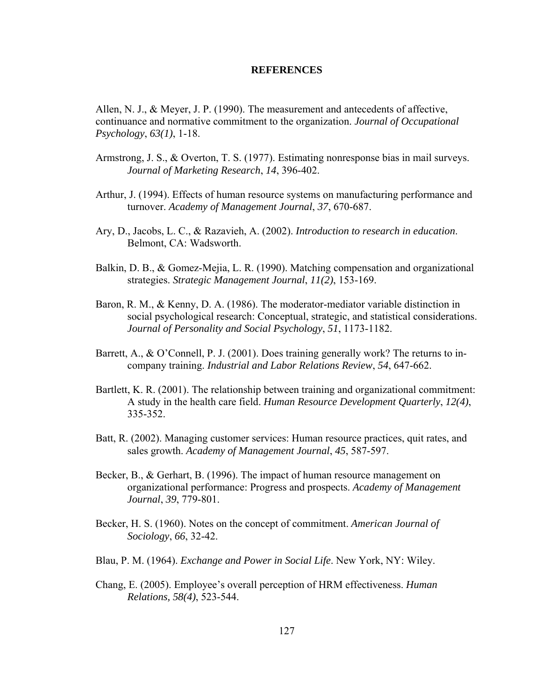#### **REFERENCES**

Allen, N. J., & Meyer, J. P. (1990). The measurement and antecedents of affective, continuance and normative commitment to the organization. *Journal of Occupational Psychology*, *63(1)*, 1-18.

- Armstrong, J. S., & Overton, T. S. (1977). Estimating nonresponse bias in mail surveys. *Journal of Marketing Research*, *14*, 396-402.
- Arthur, J. (1994). Effects of human resource systems on manufacturing performance and turnover. *Academy of Management Journal*, *37*, 670-687.
- Ary, D., Jacobs, L. C., & Razavieh, A. (2002). *Introduction to research in education*. Belmont, CA: Wadsworth.
- Balkin, D. B., & Gomez-Mejia, L. R. (1990). Matching compensation and organizational strategies. *Strategic Management Journal*, *11(2)*, 153-169.
- Baron, R. M., & Kenny, D. A. (1986). The moderator-mediator variable distinction in social psychological research: Conceptual, strategic, and statistical considerations. *Journal of Personality and Social Psychology*, *51*, 1173-1182.
- Barrett, A., & O'Connell, P. J. (2001). Does training generally work? The returns to incompany training. *Industrial and Labor Relations Review*, *54*, 647-662.
- Bartlett, K. R. (2001). The relationship between training and organizational commitment: A study in the health care field. *Human Resource Development Quarterly*, *12(4)*, 335-352.
- Batt, R. (2002). Managing customer services: Human resource practices, quit rates, and sales growth. *Academy of Management Journal*, *45*, 587-597.
- Becker, B., & Gerhart, B. (1996). The impact of human resource management on organizational performance: Progress and prospects. *Academy of Management Journal*, *39*, 779-801.
- Becker, H. S. (1960). Notes on the concept of commitment. *American Journal of Sociology*, *66*, 32-42.
- Blau, P. M. (1964). *Exchange and Power in Social Life*. New York, NY: Wiley.
- Chang, E. (2005). Employee's overall perception of HRM effectiveness. *Human Relations, 58(4)*, 523-544.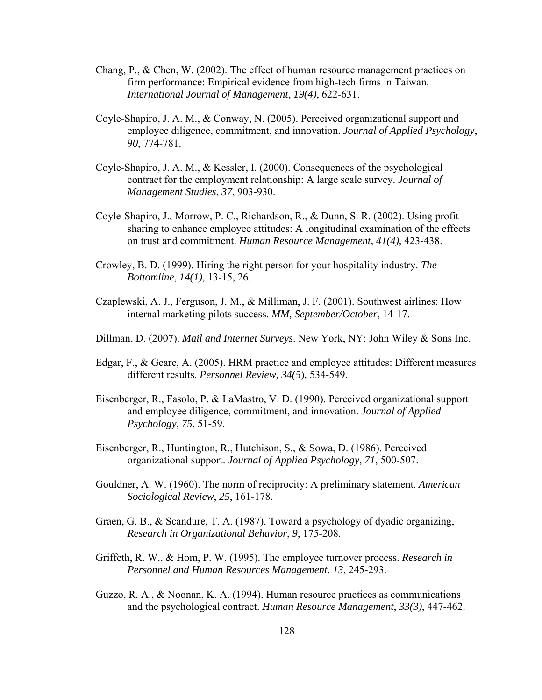- Chang, P., & Chen, W. (2002). The effect of human resource management practices on firm performance: Empirical evidence from high-tech firms in Taiwan. *International Journal of Management*, *19(4)*, 622-631.
- Coyle-Shapiro, J. A. M., & Conway, N. (2005). Perceived organizational support and employee diligence, commitment, and innovation. *Journal of Applied Psychology*, 9*0*, 774-781.
- Coyle-Shapiro, J. A. M., & Kessler, I. (2000). Consequences of the psychological contract for the employment relationship: A large scale survey. *Journal of Management Studies*, *37*, 903-930.
- Coyle-Shapiro, J., Morrow, P. C., Richardson, R., & Dunn, S. R. (2002). Using profitsharing to enhance employee attitudes: A longitudinal examination of the effects on trust and commitment. *Human Resource Management, 41(4)*, 423-438.
- Crowley, B. D. (1999). Hiring the right person for your hospitality industry. *The Bottomline*, *14(1)*, 13-15, 26.
- Czaplewski, A. J., Ferguson, J. M., & Milliman, J. F. (2001). Southwest airlines: How internal marketing pilots success. *MM, September/October*, 14-17.
- Dillman, D. (2007). *Mail and Internet Surveys*. New York, NY: John Wiley & Sons Inc.
- Edgar, F., & Geare, A. (2005). HRM practice and employee attitudes: Different measures different results. *Personnel Review, 34(5*)*,* 534-549.
- Eisenberger, R., Fasolo, P. & LaMastro, V. D. (1990). Perceived organizational support and employee diligence, commitment, and innovation. *Journal of Applied Psychology*, *75*, 51-59.
- Eisenberger, R., Huntington, R., Hutchison, S., & Sowa, D. (1986). Perceived organizational support. *Journal of Applied Psychology*, *71*, 500-507.
- Gouldner, A. W. (1960). The norm of reciprocity: A preliminary statement. *American Sociological Review*, *25*, 161-178.
- Graen, G. B., & Scandure, T. A. (1987). Toward a psychology of dyadic organizing, *Research in Organizational Behavior*, *9*, 175-208.
- Griffeth, R. W., & Hom, P. W. (1995). The employee turnover process. *Research in Personnel and Human Resources Management*, *13*, 245-293.
- Guzzo, R. A., & Noonan, K. A. (1994). Human resource practices as communications and the psychological contract. *Human Resource Management*, *33(3)*, 447-462.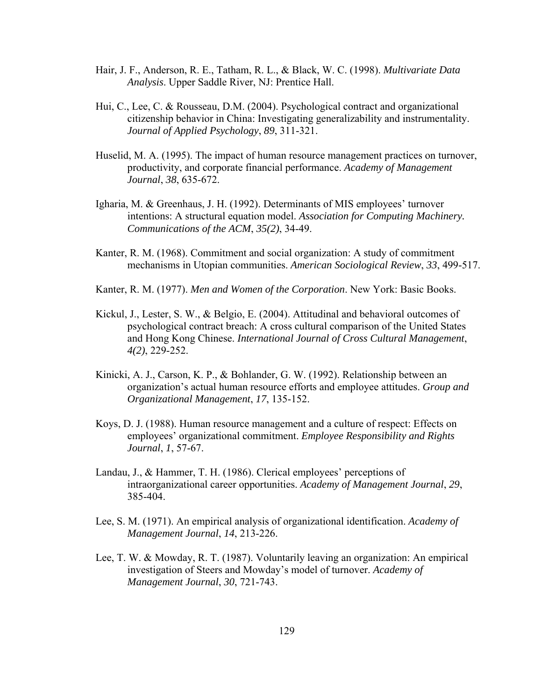- Hair, J. F., Anderson, R. E., Tatham, R. L., & Black, W. C. (1998). *Multivariate Data Analysis*. Upper Saddle River, NJ: Prentice Hall.
- Hui, C., Lee, C. & Rousseau, D.M. (2004). Psychological contract and organizational citizenship behavior in China: Investigating generalizability and instrumentality. *Journal of Applied Psychology*, *89*, 311-321.
- Huselid, M. A. (1995). The impact of human resource management practices on turnover, productivity, and corporate financial performance. *Academy of Management Journal*, *38*, 635-672.
- Igharia, M. & Greenhaus, J. H. (1992). Determinants of MIS employees' turnover intentions: A structural equation model. *Association for Computing Machinery. Communications of the ACM*, *35(2)*, 34-49.
- Kanter, R. M. (1968). Commitment and social organization: A study of commitment mechanisms in Utopian communities. *American Sociological Review*, *33*, 499-517.
- Kanter, R. M. (1977). *Men and Women of the Corporation*. New York: Basic Books.
- Kickul, J., Lester, S. W., & Belgio, E. (2004). Attitudinal and behavioral outcomes of psychological contract breach: A cross cultural comparison of the United States and Hong Kong Chinese. *International Journal of Cross Cultural Management*, *4(2)*, 229-252.
- Kinicki, A. J., Carson, K. P., & Bohlander, G. W. (1992). Relationship between an organization's actual human resource efforts and employee attitudes. *Group and Organizational Management*, *17*, 135-152.
- Koys, D. J. (1988). Human resource management and a culture of respect: Effects on employees' organizational commitment. *Employee Responsibility and Rights Journal*, *1*, 57-67.
- Landau, J., & Hammer, T. H. (1986). Clerical employees' perceptions of intraorganizational career opportunities. *Academy of Management Journal*, *29*, 385-404.
- Lee, S. M. (1971). An empirical analysis of organizational identification. *Academy of Management Journal*, *14*, 213-226.
- Lee, T. W. & Mowday, R. T. (1987). Voluntarily leaving an organization: An empirical investigation of Steers and Mowday's model of turnover. *Academy of Management Journal*, *30*, 721-743.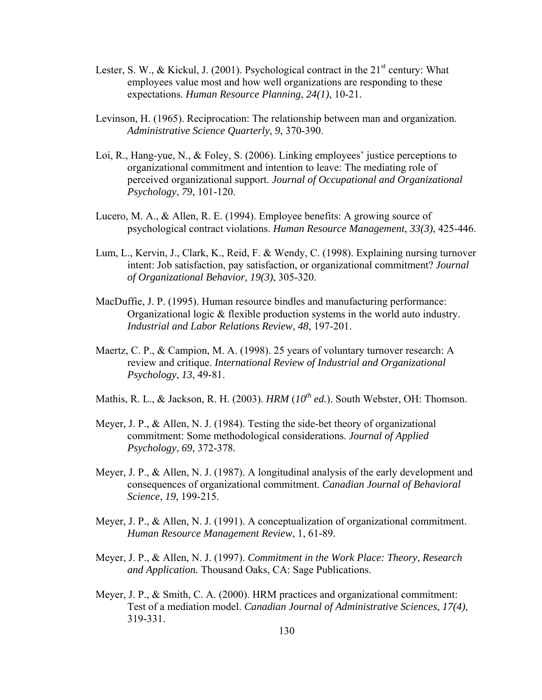- Lester, S. W., & Kickul, J. (2001). Psychological contract in the  $21<sup>st</sup>$  century: What employees value most and how well organizations are responding to these expectations. *Human Resource Planning*, *24(1)*, 10-21.
- Levinson, H. (1965). Reciprocation: The relationship between man and organization. *Administrative Science Quarterly*, *9*, 370-390.
- Loi, R., Hang-yue, N., & Foley, S. (2006). Linking employees' justice perceptions to organizational commitment and intention to leave: The mediating role of perceived organizational support. *Journal of Occupational and Organizational Psychology*, *79*, 101-120.
- Lucero, M. A., & Allen, R. E. (1994). Employee benefits: A growing source of psychological contract violations. *Human Resource Management*, *33(3)*, 425-446.
- Lum, L., Kervin, J., Clark, K., Reid, F. & Wendy, C. (1998). Explaining nursing turnover intent: Job satisfaction, pay satisfaction, or organizational commitment? *Journal of Organizational Behavior, 19(3)*, 305-320.
- MacDuffie, J. P. (1995). Human resource bindles and manufacturing performance: Organizational logic & flexible production systems in the world auto industry. *Industrial and Labor Relations Review*, *48*, 197-201.
- Maertz, C. P., & Campion, M. A. (1998). 25 years of voluntary turnover research: A review and critique. *International Review of Industrial and Organizational Psychology*, *13*, 49-81.
- Mathis, R. L., & Jackson, R. H. (2003). *HRM* (10<sup>th</sup> ed.). South Webster, OH: Thomson.
- Meyer, J. P., & Allen, N. J. (1984). Testing the side-bet theory of organizational commitment: Some methodological considerations. *Journal of Applied Psychology*, *69*, 372-378.
- Meyer, J. P., & Allen, N. J. (1987). A longitudinal analysis of the early development and consequences of organizational commitment. *Canadian Journal of Behavioral Science*, *19*, 199-215.
- Meyer, J. P., & Allen, N. J. (1991). A conceptualization of organizational commitment. *Human Resource Management Review*, 1, 61-89.
- Meyer, J. P., & Allen, N. J. (1997). *Commitment in the Work Place: Theory, Research and Application.* Thousand Oaks, CA: Sage Publications.
- Meyer, J. P., & Smith, C. A. (2000). HRM practices and organizational commitment: Test of a mediation model. *Canadian Journal of Administrative Sciences*, *17(4)*, 319-331.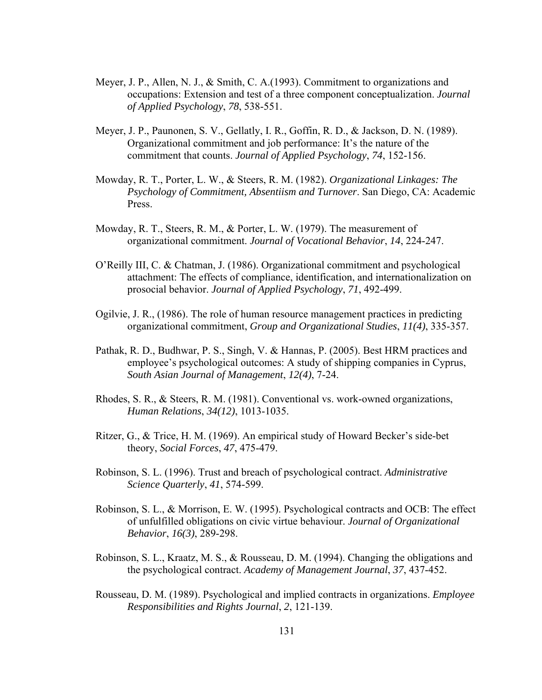- Meyer, J. P., Allen, N. J., & Smith, C. A.(1993). Commitment to organizations and occupations: Extension and test of a three component conceptualization. *Journal of Applied Psychology*, *78*, 538-551.
- Meyer, J. P., Paunonen, S. V., Gellatly, I. R., Goffin, R. D., & Jackson, D. N. (1989). Organizational commitment and job performance: It's the nature of the commitment that counts. *Journal of Applied Psychology*, *74*, 152-156.
- Mowday, R. T., Porter, L. W., & Steers, R. M. (1982). *Organizational Linkages: The Psychology of Commitment, Absentiism and Turnover*. San Diego, CA: Academic Press.
- Mowday, R. T., Steers, R. M., & Porter, L. W. (1979). The measurement of organizational commitment. *Journal of Vocational Behavior*, *14*, 224-247.
- O'Reilly III, C. & Chatman, J. (1986). Organizational commitment and psychological attachment: The effects of compliance, identification, and internationalization on prosocial behavior. *Journal of Applied Psychology*, *71*, 492-499.
- Ogilvie, J. R., (1986). The role of human resource management practices in predicting organizational commitment, *Group and Organizational Studies*, *11(4)*, 335-357.
- Pathak, R. D., Budhwar, P. S., Singh, V. & Hannas, P. (2005). Best HRM practices and employee's psychological outcomes: A study of shipping companies in Cyprus, *South Asian Journal of Management*, *12(4)*, 7-24.
- Rhodes, S. R., & Steers, R. M. (1981). Conventional vs. work-owned organizations, *Human Relations*, *34(12)*, 1013-1035.
- Ritzer, G., & Trice, H. M. (1969). An empirical study of Howard Becker's side-bet theory, *Social Forces*, *47*, 475-479.
- Robinson, S. L. (1996). Trust and breach of psychological contract. *Administrative Science Quarterly*, *41*, 574-599.
- Robinson, S. L., & Morrison, E. W. (1995). Psychological contracts and OCB: The effect of unfulfilled obligations on civic virtue behaviour. *Journal of Organizational Behavior*, *16(3)*, 289-298.
- Robinson, S. L., Kraatz, M. S., & Rousseau, D. M. (1994). Changing the obligations and the psychological contract. *Academy of Management Journal*, *37*, 437-452.
- Rousseau, D. M. (1989). Psychological and implied contracts in organizations. *Employee Responsibilities and Rights Journal*, *2*, 121-139.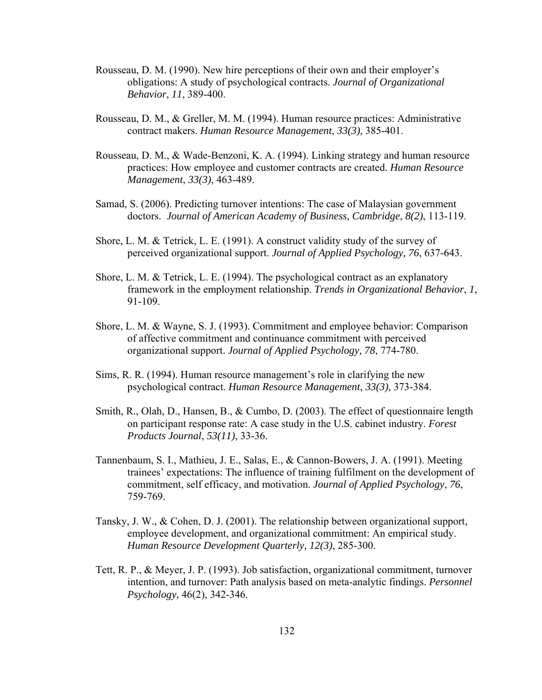- Rousseau, D. M. (1990). New hire perceptions of their own and their employer's obligations: A study of psychological contracts. *Journal of Organizational Behavior*, *11*, 389-400.
- Rousseau, D. M., & Greller, M. M. (1994). Human resource practices: Administrative contract makers. *Human Resource Management*, *33(3),* 385-401.
- Rousseau, D. M., & Wade-Benzoni, K. A. (1994). Linking strategy and human resource practices: How employee and customer contracts are created. *Human Resource Management*, *33(3)*, 463-489.
- Samad, S. (2006). Predicting turnover intentions: The case of Malaysian government doctors. *Journal of American Academy of Business, Cambridge*, *8(2)*, 113-119.
- Shore, L. M. & Tetrick, L. E. (1991). A construct validity study of the survey of perceived organizational support. *Journal of Applied Psychology, 76*, 637-643.
- Shore, L. M. & Tetrick, L. E. (1994). The psychological contract as an explanatory framework in the employment relationship. *Trends in Organizational Behavior*, *1*, 91-109.
- Shore, L. M. & Wayne, S. J. (1993). Commitment and employee behavior: Comparison of affective commitment and continuance commitment with perceived organizational support. *Journal of Applied Psychology, 78*, 774-780.
- Sims, R. R. (1994). Human resource management's role in clarifying the new psychological contract. *Human Resource Management*, *33(3)*, 373-384.
- Smith, R., Olah, D., Hansen, B., & Cumbo, D. (2003). The effect of questionnaire length on participant response rate: A case study in the U.S. cabinet industry. *Forest Products Journal*, *53(11)*, 33-36.
- Tannenbaum, S. I., Mathieu, J. E., Salas, E., & Cannon-Bowers, J. A. (1991). Meeting trainees' expectations: The influence of training fulfilment on the development of commitment, self efficacy, and motivation. *Journal of Applied Psychology*, *76*, 759-769.
- Tansky, J. W., & Cohen, D. J. (2001). The relationship between organizational support, employee development, and organizational commitment: An empirical study. *Human Resource Development Quarterly, 12(3)*, 285-300.
- Tett, R. P., & Meyer, J. P. (1993). Job satisfaction, organizational commitment, turnover intention, and turnover: Path analysis based on meta-analytic findings. *Personnel Psychology,* 46(2), 342-346.